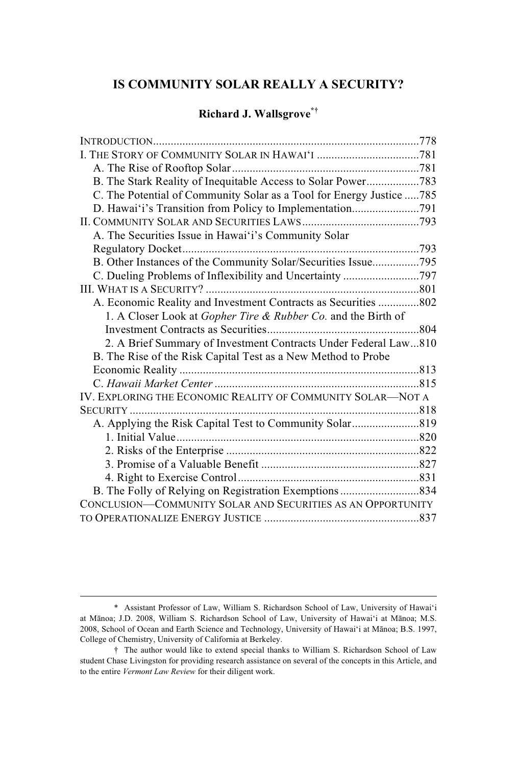# **IS COMMUNITY SOLAR REALLY A SECURITY?**

# **Richard J. Wallsgrove\*†**

| B. The Stark Reality of Inequitable Access to Solar Power783         |  |
|----------------------------------------------------------------------|--|
| C. The Potential of Community Solar as a Tool for Energy Justice 785 |  |
| D. Hawai'i's Transition from Policy to Implementation791             |  |
|                                                                      |  |
| A. The Securities Issue in Hawai'i's Community Solar                 |  |
|                                                                      |  |
| B. Other Instances of the Community Solar/Securities Issue795        |  |
|                                                                      |  |
|                                                                      |  |
| A. Economic Reality and Investment Contracts as Securities 802       |  |
| 1. A Closer Look at Gopher Tire & Rubber Co. and the Birth of        |  |
|                                                                      |  |
| 2. A Brief Summary of Investment Contracts Under Federal Law810      |  |
| B. The Rise of the Risk Capital Test as a New Method to Probe        |  |
|                                                                      |  |
|                                                                      |  |
| IV. EXPLORING THE ECONOMIC REALITY OF COMMUNITY SOLAR-NOT A          |  |
|                                                                      |  |
|                                                                      |  |
|                                                                      |  |
|                                                                      |  |
|                                                                      |  |
|                                                                      |  |
|                                                                      |  |
| CONCLUSION-COMMUNITY SOLAR AND SECURITIES AS AN OPPORTUNITY          |  |
|                                                                      |  |

<sup>\*</sup> Assistant Professor of Law, William S. Richardson School of Law, University of Hawaiʻi at Mānoa; J.D. 2008, William S. Richardson School of Law, University of Hawaiʻi at Mānoa; M.S. 2008, School of Ocean and Earth Science and Technology, University of Hawaiʻi at Mānoa; B.S. 1997, College of Chemistry, University of California at Berkeley.

<sup>†</sup> The author would like to extend special thanks to William S. Richardson School of Law student Chase Livingston for providing research assistance on several of the concepts in this Article, and to the entire *Vermont Law Review* for their diligent work.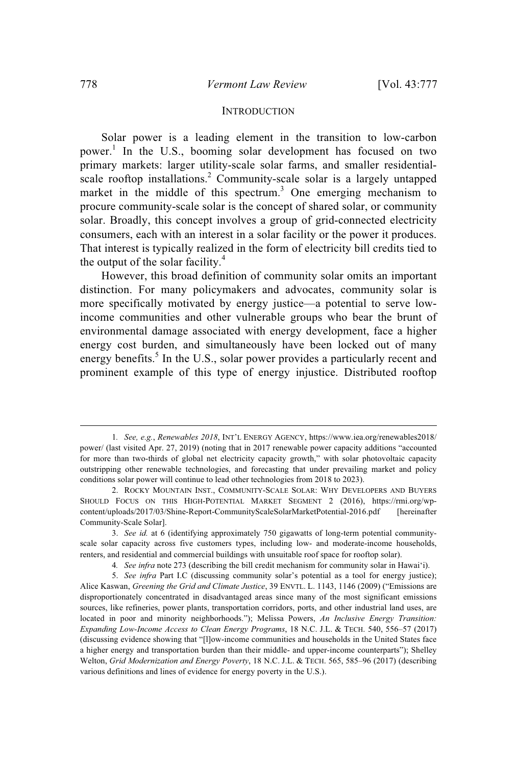# **INTRODUCTION**

Solar power is a leading element in the transition to low-carbon power. 1 In the U.S., booming solar development has focused on two primary markets: larger utility-scale solar farms, and smaller residentialscale rooftop installations.<sup>2</sup> Community-scale solar is a largely untapped market in the middle of this spectrum.<sup>3</sup> One emerging mechanism to procure community-scale solar is the concept of shared solar, or community solar. Broadly, this concept involves a group of grid-connected electricity consumers, each with an interest in a solar facility or the power it produces. That interest is typically realized in the form of electricity bill credits tied to the output of the solar facility. $4$ 

However, this broad definition of community solar omits an important distinction. For many policymakers and advocates, community solar is more specifically motivated by energy justice—a potential to serve lowincome communities and other vulnerable groups who bear the brunt of environmental damage associated with energy development, face a higher energy cost burden, and simultaneously have been locked out of many energy benefits.<sup>5</sup> In the U.S., solar power provides a particularly recent and prominent example of this type of energy injustice. Distributed rooftop

4*. See infra* note 273 (describing the bill credit mechanism for community solar in Hawaiʻi).

<sup>1</sup>*. See, e.g.*, *Renewables 2018*, INT'L ENERGY AGENCY, https://www.iea.org/renewables2018/ power/ (last visited Apr. 27, 2019) (noting that in 2017 renewable power capacity additions "accounted for more than two-thirds of global net electricity capacity growth," with solar photovoltaic capacity outstripping other renewable technologies, and forecasting that under prevailing market and policy conditions solar power will continue to lead other technologies from 2018 to 2023).

<sup>2.</sup> ROCKY MOUNTAIN INST., COMMUNITY-SCALE SOLAR: WHY DEVELOPERS AND BUYERS SHOULD FOCUS ON THIS HIGH-POTENTIAL MARKET SEGMENT 2 (2016), https://rmi.org/wpcontent/uploads/2017/03/Shine-Report-CommunityScaleSolarMarketPotential-2016.pdf [hereinafter Community-Scale Solar].

<sup>3.</sup> *See id.* at 6 (identifying approximately 750 gigawatts of long-term potential communityscale solar capacity across five customers types, including low- and moderate-income households, renters, and residential and commercial buildings with unsuitable roof space for rooftop solar).

<sup>5.</sup> *See infra* Part I.C (discussing community solar's potential as a tool for energy justice); Alice Kaswan, *Greening the Grid and Climate Justice*, 39 ENVTL. L. 1143, 1146 (2009) ("Emissions are disproportionately concentrated in disadvantaged areas since many of the most significant emissions sources, like refineries, power plants, transportation corridors, ports, and other industrial land uses, are located in poor and minority neighborhoods."); Melissa Powers, *An Inclusive Energy Transition: Expanding Low-Income Access to Clean Energy Programs*, 18 N.C. J.L. & TECH. 540, 556–57 (2017) (discussing evidence showing that "[l]ow-income communities and households in the United States face a higher energy and transportation burden than their middle- and upper-income counterparts"); Shelley Welton, *Grid Modernization and Energy Poverty*, 18 N.C. J.L. & TECH. 565, 585–96 (2017) (describing various definitions and lines of evidence for energy poverty in the U.S.).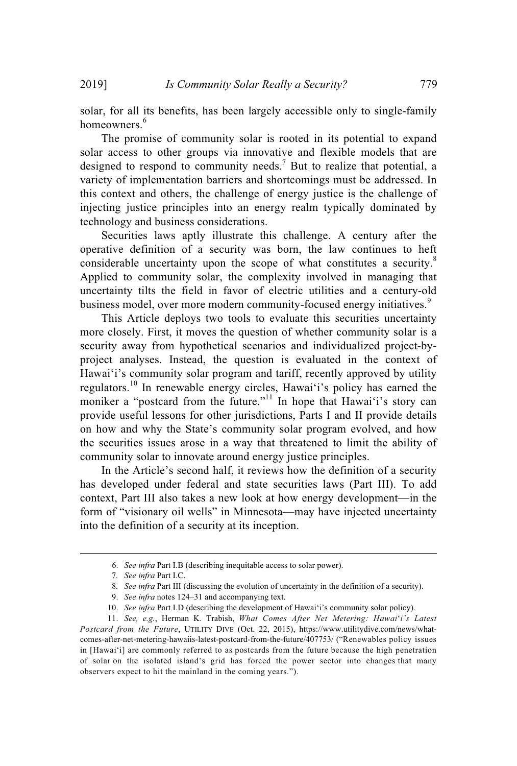solar, for all its benefits, has been largely accessible only to single-family homeowners.<sup>6</sup>

The promise of community solar is rooted in its potential to expand solar access to other groups via innovative and flexible models that are designed to respond to community needs.<sup>7</sup> But to realize that potential, a variety of implementation barriers and shortcomings must be addressed. In this context and others, the challenge of energy justice is the challenge of injecting justice principles into an energy realm typically dominated by technology and business considerations.

Securities laws aptly illustrate this challenge. A century after the operative definition of a security was born, the law continues to heft considerable uncertainty upon the scope of what constitutes a security.<sup>8</sup> Applied to community solar, the complexity involved in managing that uncertainty tilts the field in favor of electric utilities and a century-old business model, over more modern community-focused energy initiatives.<sup>9</sup>

This Article deploys two tools to evaluate this securities uncertainty more closely. First, it moves the question of whether community solar is a security away from hypothetical scenarios and individualized project-byproject analyses. Instead, the question is evaluated in the context of Hawai'i's community solar program and tariff, recently approved by utility regulators.<sup>10</sup> In renewable energy circles, Hawaiʻi's policy has earned the moniker a "postcard from the future."<sup>11</sup> In hope that Hawai'i's story can provide useful lessons for other jurisdictions, Parts I and II provide details on how and why the State's community solar program evolved, and how the securities issues arose in a way that threatened to limit the ability of community solar to innovate around energy justice principles.

In the Article's second half, it reviews how the definition of a security has developed under federal and state securities laws (Part III). To add context, Part III also takes a new look at how energy development—in the form of "visionary oil wells" in Minnesota—may have injected uncertainty into the definition of a security at its inception.

<sup>6.</sup> *See infra* Part I.B (describing inequitable access to solar power).

<sup>7</sup>*. See infra* Part I.C.

<sup>8</sup>*. See infra* Part III (discussing the evolution of uncertainty in the definition of a security).

<sup>9.</sup> *See infra* notes 124–31 and accompanying text.

<sup>10.</sup> *See infra* Part I.D (describing the development of Hawaiʻi's community solar policy).

<sup>11.</sup> *See, e.g.*, Herman K. Trabish, *What Comes After Net Metering: Hawai*ʻ*i's Latest Postcard from the Future*, UTILITY DIVE (Oct. 22, 2015), https://www.utilitydive.com/news/whatcomes-after-net-metering-hawaiis-latest-postcard-from-the-future/407753/ ("Renewables policy issues in [Hawaiʻi] are commonly referred to as postcards from the future because the high penetration of solar on the isolated island's grid has forced the power sector into changes that many observers expect to hit the mainland in the coming years.").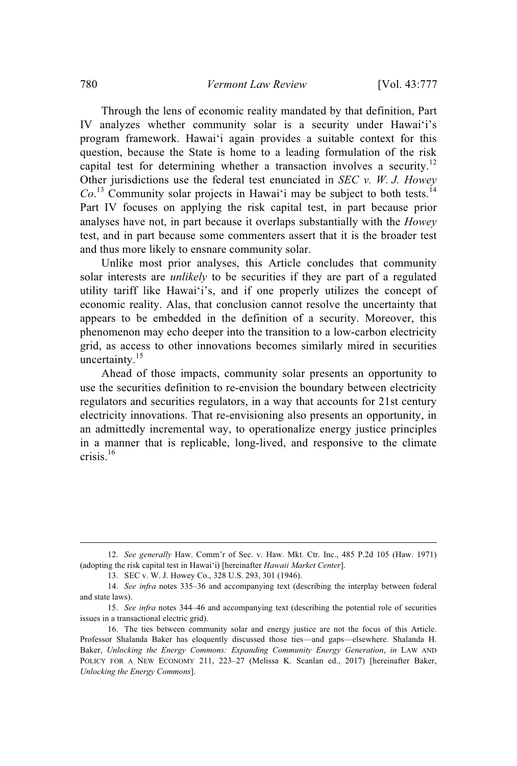Through the lens of economic reality mandated by that definition, Part IV analyzes whether community solar is a security under Hawaiʻi's program framework. Hawaiʻi again provides a suitable context for this question, because the State is home to a leading formulation of the risk capital test for determining whether a transaction involves a security.<sup>12</sup> Other jurisdictions use the federal test enunciated in *SEC v. W. J. Howey*  $Co$ <sup>13</sup> Community solar projects in Hawai'i may be subject to both tests.<sup>14</sup> Part IV focuses on applying the risk capital test, in part because prior analyses have not, in part because it overlaps substantially with the *Howey* test, and in part because some commenters assert that it is the broader test and thus more likely to ensnare community solar.

Unlike most prior analyses, this Article concludes that community solar interests are *unlikely* to be securities if they are part of a regulated utility tariff like Hawaiʻi's, and if one properly utilizes the concept of economic reality. Alas, that conclusion cannot resolve the uncertainty that appears to be embedded in the definition of a security. Moreover, this phenomenon may echo deeper into the transition to a low-carbon electricity grid, as access to other innovations becomes similarly mired in securities uncertainty. $15$ 

Ahead of those impacts, community solar presents an opportunity to use the securities definition to re-envision the boundary between electricity regulators and securities regulators, in a way that accounts for 21st century electricity innovations. That re-envisioning also presents an opportunity, in an admittedly incremental way, to operationalize energy justice principles in a manner that is replicable, long-lived, and responsive to the climate crisis.<sup>16</sup>

<sup>12.</sup> *See generally* Haw. Comm'r of Sec. v. Haw. Mkt. Ctr. Inc., 485 P.2d 105 (Haw. 1971) (adopting the risk capital test in Hawai'i) [hereinafter *Hawaii Market Center*].

<sup>13.</sup> SEC v. W. J. Howey Co., 328 U.S. 293, 301 (1946).

<sup>14.</sup> *See infra* notes 335–36 and accompanying text (describing the interplay between federal and state laws).

<sup>15.</sup> *See infra* notes 344–46 and accompanying text (describing the potential role of securities issues in a transactional electric grid).

<sup>16.</sup> The ties between community solar and energy justice are not the focus of this Article. Professor Shalanda Baker has eloquently discussed those ties—and gaps—elsewhere. Shalanda H. Baker, *Unlocking the Energy Commons: Expanding Community Energy Generation*, *in* LAW AND POLICY FOR A NEW ECONOMY 211, 223–27 (Melissa K. Scanlan ed., 2017) [hereinafter Baker, *Unlocking the Energy Commons*].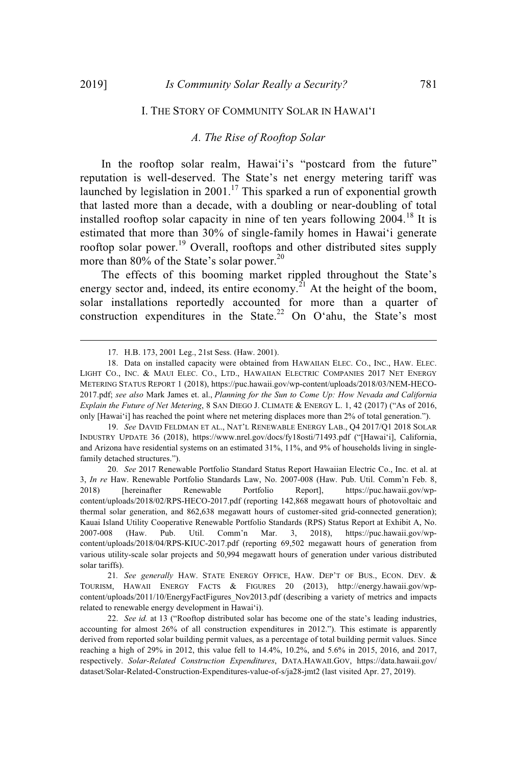### I. THE STORY OF COMMUNITY SOLAR IN HAWAIʻ<sup>I</sup>

# *A. The Rise of Rooftop Solar*

In the rooftop solar realm, Hawai'i's "postcard from the future" reputation is well-deserved. The State's net energy metering tariff was launched by legislation in 2001.<sup>17</sup> This sparked a run of exponential growth that lasted more than a decade, with a doubling or near-doubling of total installed rooftop solar capacity in nine of ten years following  $2004$ <sup>18</sup>. estimated that more than 30% of single-family homes in Hawaiʻi generate rooftop solar power. <sup>19</sup> Overall, rooftops and other distributed sites supply more than 80% of the State's solar power.<sup>20</sup>

The effects of this booming market rippled throughout the State's energy sector and, indeed, its entire economy.<sup>21</sup> At the height of the boom, solar installations reportedly accounted for more than a quarter of construction expenditures in the State.<sup>22</sup> On O'ahu, the State's most

19. *See* DAVID FELDMAN ET AL., NAT'L RENEWABLE ENERGY LAB., Q4 2017/Q1 2018 SOLAR INDUSTRY UPDATE 36 (2018), https://www.nrel.gov/docs/fy18osti/71493.pdf ("[Hawaiʻi], California, and Arizona have residential systems on an estimated 31%, 11%, and 9% of households living in singlefamily detached structures.").

20. *See* 2017 Renewable Portfolio Standard Status Report Hawaiian Electric Co., Inc. et al. at 3, *In re* Haw. Renewable Portfolio Standards Law, No. 2007-008 (Haw. Pub. Util. Comm'n Feb. 8, 2018) [hereinafter Renewable Portfolio Report], https://puc.hawaii.gov/wpcontent/uploads/2018/02/RPS-HECO-2017.pdf (reporting 142,868 megawatt hours of photovoltaic and thermal solar generation, and 862,638 megawatt hours of customer-sited grid-connected generation); Kauai Island Utility Cooperative Renewable Portfolio Standards (RPS) Status Report at Exhibit A, No. 2007-008 (Haw. Pub. Util. Comm'n Mar. 3, 2018), https://puc.hawaii.gov/wpcontent/uploads/2018/04/RPS-KIUC-2017.pdf (reporting 69,502 megawatt hours of generation from various utility-scale solar projects and 50,994 megawatt hours of generation under various distributed solar tariffs).

21*. See generally* HAW. STATE ENERGY OFFICE, HAW. DEP'T OF BUS., ECON. DEV. & TOURISM, HAWAII ENERGY FACTS & FIGURES 20 (2013), http://energy.hawaii.gov/wpcontent/uploads/2011/10/EnergyFactFigures\_Nov2013.pdf (describing a variety of metrics and impacts related to renewable energy development in Hawaiʻi).

22. *See id.* at 13 ("Rooftop distributed solar has become one of the state's leading industries, accounting for almost 26% of all construction expenditures in 2012."). This estimate is apparently derived from reported solar building permit values, as a percentage of total building permit values. Since reaching a high of 29% in 2012, this value fell to 14.4%, 10.2%, and 5.6% in 2015, 2016, and 2017, respectively. *Solar-Related Construction Expenditures*, DATA.HAWAII.GOV, https://data.hawaii.gov/ dataset/Solar-Related-Construction-Expenditures-value-of-s/ja28-jmt2 (last visited Apr. 27, 2019).

<sup>17.</sup> H.B. 173, 2001 Leg., 21st Sess. (Haw. 2001).

<sup>18.</sup> Data on installed capacity were obtained from HAWAIIAN ELEC. CO., INC., HAW. ELEC. LIGHT CO., INC. & MAUI ELEC. CO., LTD., HAWAIIAN ELECTRIC COMPANIES 2017 NET ENERGY METERING STATUS REPORT 1 (2018), https://puc.hawaii.gov/wp-content/uploads/2018/03/NEM-HECO-2017.pdf; *see also* Mark James et. al., *Planning for the Sun to Come Up: How Nevada and California Explain the Future of Net Metering*, 8 SAN DIEGO J. CLIMATE & ENERGY L. 1, 42 (2017) ("As of 2016, only [Hawaiʻi] has reached the point where net metering displaces more than 2% of total generation.").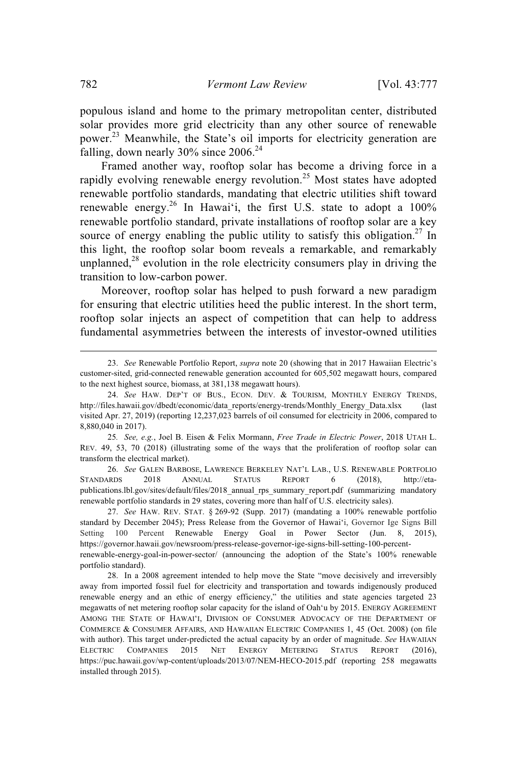populous island and home to the primary metropolitan center, distributed solar provides more grid electricity than any other source of renewable power.<sup>23</sup> Meanwhile, the State's oil imports for electricity generation are falling, down nearly  $30\%$  since  $2006.<sup>24</sup>$ 

Framed another way, rooftop solar has become a driving force in a rapidly evolving renewable energy revolution.<sup>25</sup> Most states have adopted renewable portfolio standards, mandating that electric utilities shift toward renewable energy.<sup>26</sup> In Hawai'i, the first U.S. state to adopt a 100% renewable portfolio standard, private installations of rooftop solar are a key source of energy enabling the public utility to satisfy this obligation.<sup>27</sup> In this light, the rooftop solar boom reveals a remarkable, and remarkably unplanned, $28$  evolution in the role electricity consumers play in driving the transition to low-carbon power.

Moreover, rooftop solar has helped to push forward a new paradigm for ensuring that electric utilities heed the public interest. In the short term, rooftop solar injects an aspect of competition that can help to address fundamental asymmetries between the interests of investor-owned utilities

26. *See* GALEN BARBOSE, LAWRENCE BERKELEY NAT'L LAB., U.S. RENEWABLE PORTFOLIO STANDARDS 2018 ANNUAL STATUS REPORT 6 (2018), http://etapublications.lbl.gov/sites/default/files/2018\_annual\_rps\_summary\_report.pdf (summarizing mandatory renewable portfolio standards in 29 states, covering more than half of U.S. electricity sales).

27. *See* HAW. REV. STAT. § 269-92 (Supp. 2017) (mandating a 100% renewable portfolio standard by December 2045); Press Release from the Governor of Hawaiʻi, Governor Ige Signs Bill Setting 100 Percent Renewable Energy Goal in Power Sector (Jun. 8, 2015), https://governor.hawaii.gov/newsroom/press-release-governor-ige-signs-bill-setting-100-percentrenewable-energy-goal-in-power-sector/ (announcing the adoption of the State's 100% renewable portfolio standard).

<sup>23.</sup> *See* Renewable Portfolio Report, *supra* note 20 (showing that in 2017 Hawaiian Electric's customer-sited, grid-connected renewable generation accounted for 605,502 megawatt hours, compared to the next highest source, biomass, at 381,138 megawatt hours).

<sup>24.</sup> *See* HAW. DEP'T OF BUS., ECON. DEV. & TOURISM, MONTHLY ENERGY TRENDS, http://files.hawaii.gov/dbedt/economic/data\_reports/energy-trends/Monthly\_Energy\_Data.xlsx visited Apr. 27, 2019) (reporting 12,237,023 barrels of oil consumed for electricity in 2006, compared to 8,880,040 in 2017).

<sup>25</sup>*. See, e.g.*, Joel B. Eisen & Felix Mormann, *Free Trade in Electric Power*, 2018 UTAH L. REV. 49, 53, 70 (2018) (illustrating some of the ways that the proliferation of rooftop solar can transform the electrical market).

<sup>28.</sup> In a 2008 agreement intended to help move the State "move decisively and irreversibly away from imported fossil fuel for electricity and transportation and towards indigenously produced renewable energy and an ethic of energy efficiency," the utilities and state agencies targeted 23 megawatts of net metering rooftop solar capacity for the island of Oahʻu by 2015. ENERGY AGREEMENT AMONG THE STATE OF HAWAIʻI, DIVISION OF CONSUMER ADVOCACY OF THE DEPARTMENT OF COMMERCE & CONSUMER AFFAIRS, AND HAWAIIAN ELECTRIC COMPANIES 1, 45 (Oct. 2008) (on file with author). This target under-predicted the actual capacity by an order of magnitude. *See* HAWAIIAN ELECTRIC COMPANIES 2015 NET ENERGY METERING STATUS REPORT (2016), https://puc.hawaii.gov/wp-content/uploads/2013/07/NEM-HECO-2015.pdf (reporting 258 megawatts installed through 2015).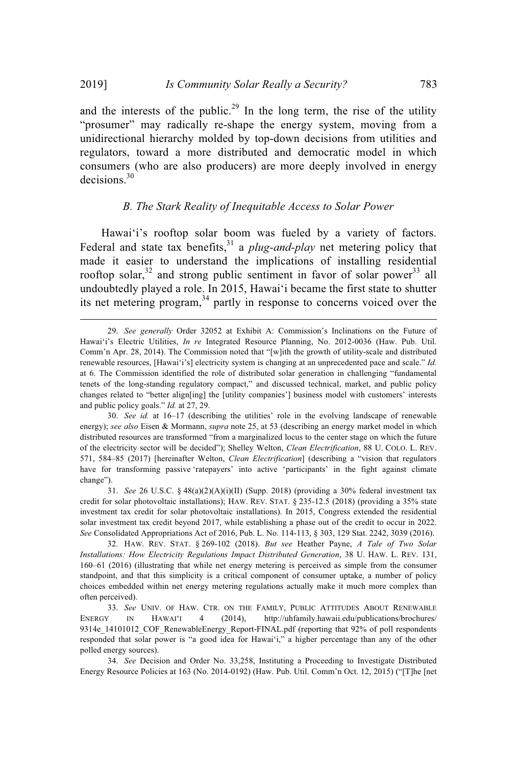and the interests of the public.<sup>29</sup> In the long term, the rise of the utility "prosumer" may radically re-shape the energy system, moving from a unidirectional hierarchy molded by top-down decisions from utilities and regulators, toward a more distributed and democratic model in which consumers (who are also producers) are more deeply involved in energy decisions. 30

# *B. The Stark Reality of Inequitable Access to Solar Power*

Hawai'i's rooftop solar boom was fueled by a variety of factors. Federal and state tax benefits,<sup>31</sup> a *plug-and-play* net metering policy that made it easier to understand the implications of installing residential rooftop solar, $32$  and strong public sentiment in favor of solar power  $33$  all undoubtedly played a role. In 2015, Hawaiʻi became the first state to shutter its net metering program,<sup>34</sup> partly in response to concerns voiced over the

<sup>29.</sup> *See generally* Order 32052 at Exhibit A: Commission's Inclinations on the Future of Hawai'i's Electric Utilities, *In re* Integrated Resource Planning, No. 2012-0036 (Haw. Pub. Util. Comm'n Apr. 28, 2014). The Commission noted that "[w]ith the growth of utility-scale and distributed renewable resources, [Hawaiʻi's] electricity system is changing at an unprecedented pace and scale." *Id.* at 6. The Commission identified the role of distributed solar generation in challenging "fundamental tenets of the long-standing regulatory compact," and discussed technical, market, and public policy changes related to "better align[ing] the [utility companies'] business model with customers' interests and public policy goals." *Id.* at 27, 29.

<sup>30.</sup> *See id.* at 16–17 (describing the utilities' role in the evolving landscape of renewable energy); *see also* Eisen & Mormann, *supra* note 25, at 53 (describing an energy market model in which distributed resources are transformed "from a marginalized locus to the center stage on which the future of the electricity sector will be decided"); Shelley Welton, *Clean Electrification*, 88 U. COLO. L. REV. 571, 584–85 (2017) [hereinafter Welton, *Clean Electrification*] (describing a "vision that regulators have for transforming passive 'ratepayers' into active 'participants' in the fight against climate change").

<sup>31.</sup> *See* 26 U.S.C. § 48(a)(2)(A)(i)(II) (Supp. 2018) (providing a 30% federal investment tax credit for solar photovoltaic installations); HAW. REV. STAT. § 235-12.5 (2018) (providing a 35% state investment tax credit for solar photovoltaic installations). In 2015, Congress extended the residential solar investment tax credit beyond 2017, while establishing a phase out of the credit to occur in 2022. *See* Consolidated Appropriations Act of 2016, Pub. L. No. 114-113, § 303, 129 Stat. 2242, 3039 (2016).

<sup>32.</sup> HAW. REV. STAT. § 269-102 (2018). *But see* Heather Payne, *A Tale of Two Solar Installations: How Electricity Regulations Impact Distributed Generation*, 38 U. HAW. L. REV. 131, 160–61 (2016) (illustrating that while net energy metering is perceived as simple from the consumer standpoint, and that this simplicity is a critical component of consumer uptake, a number of policy choices embedded within net energy metering regulations actually make it much more complex than often perceived).

<sup>33.</sup> *See* UNIV. OF HAW. CTR. ON THE FAMILY, PUBLIC ATTITUDES ABOUT RENEWABLE ENERGY IN HAWAIʻ<sup>I</sup> 4 (2014), http://uhfamily.hawaii.edu/publications/brochures/ 9314e\_14101012\_COF\_RenewableEnergy\_Report-FINAL.pdf (reporting that 92% of poll respondents responded that solar power is "a good idea for Hawaiʻi," a higher percentage than any of the other polled energy sources).

<sup>34.</sup> *See* Decision and Order No. 33,258, Instituting a Proceeding to Investigate Distributed Energy Resource Policies at 163 (No. 2014-0192) (Haw. Pub. Util. Comm'n Oct. 12, 2015) ("[T]he [net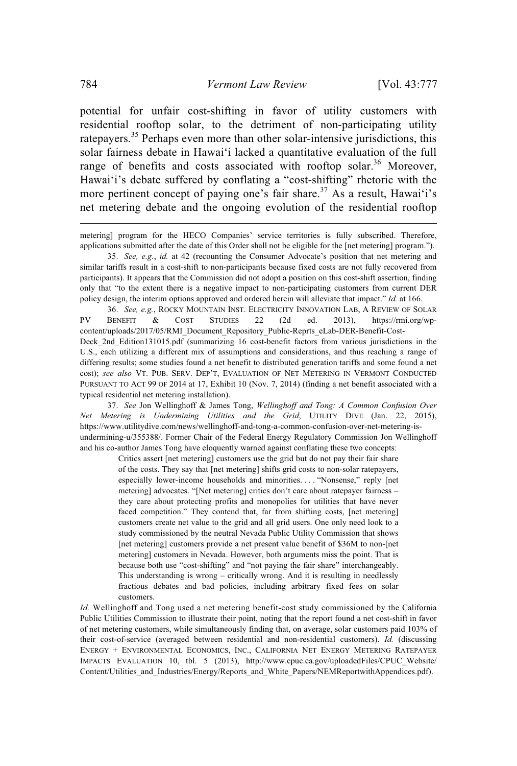potential for unfair cost-shifting in favor of utility customers with residential rooftop solar, to the detriment of non-participating utility ratepayers.<sup>35</sup> Perhaps even more than other solar-intensive jurisdictions, this solar fairness debate in Hawaiʻi lacked a quantitative evaluation of the full range of benefits and costs associated with rooftop solar.<sup>36</sup> Moreover, Hawai'i's debate suffered by conflating a "cost-shifting" rhetoric with the more pertinent concept of paying one's fair share.<sup>37</sup> As a result, Hawai'i's net metering debate and the ongoing evolution of the residential rooftop

metering] program for the HECO Companies' service territories is fully subscribed. Therefore, applications submitted after the date of this Order shall not be eligible for the [net metering] program.").

35. *See, e.g.*, *id.* at 42 (recounting the Consumer Advocate's position that net metering and similar tariffs result in a cost-shift to non-participants because fixed costs are not fully recovered from participants). It appears that the Commission did not adopt a position on this cost-shift assertion, finding only that "to the extent there is a negative impact to non-participating customers from current DER policy design, the interim options approved and ordered herein will alleviate that impact." *Id.* at 166.

36. *See, e.g.*, ROCKY MOUNTAIN INST. ELECTRICITY INNOVATION LAB, A REVIEW OF SOLAR PV BENEFIT & COST STUDIES 22 (2d ed. 2013), https://rmi.org/wpcontent/uploads/2017/05/RMI\_Document\_Repository\_Public-Reprts\_eLab-DER-Benefit-Cost-Deck 2nd Edition131015.pdf (summarizing 16 cost-benefit factors from various jurisdictions in the U.S., each utilizing a different mix of assumptions and considerations, and thus reaching a range of differing results; some studies found a net benefit to distributed generation tariffs and some found a net cost); *see also* VT. PUB. SERV. DEP'T, EVALUATION OF NET METERING IN VERMONT CONDUCTED PURSUANT TO ACT 99 OF 2014 at 17, Exhibit 10 (Nov. 7, 2014) (finding a net benefit associated with a typical residential net metering installation).

37. *See* Jon Wellinghoff & James Tong, *Wellinghoff and Tong: A Common Confusion Over Net Metering is Undermining Utilities and the Grid*, UTILITY DIVE (Jan. 22, 2015), https://www.utilitydive.com/news/wellinghoff-and-tong-a-common-confusion-over-net-metering-isundermining-u/355388/. Former Chair of the Federal Energy Regulatory Commission Jon Wellinghoff and his co-author James Tong have eloquently warned against conflating these two concepts:

Critics assert [net metering] customers use the grid but do not pay their fair share of the costs. They say that [net metering] shifts grid costs to non-solar ratepayers, especially lower-income households and minorities. . . . "Nonsense," reply [net metering] advocates. "[Net metering] critics don't care about ratepayer fairness – they care about protecting profits and monopolies for utilities that have never faced competition." They contend that, far from shifting costs, [net metering] customers create net value to the grid and all grid users. One only need look to a study commissioned by the neutral Nevada Public Utility Commission that shows [net metering] customers provide a net present value benefit of \$36M to non-[net] metering] customers in Nevada. However, both arguments miss the point. That is because both use "cost-shifting" and "not paying the fair share" interchangeably. This understanding is wrong – critically wrong. And it is resulting in needlessly fractious debates and bad policies, including arbitrary fixed fees on solar customers.

*Id.* Wellinghoff and Tong used a net metering benefit-cost study commissioned by the California Public Utilities Commission to illustrate their point, noting that the report found a net cost-shift in favor of net metering customers, while simultaneously finding that, on average, solar customers paid 103% of their cost-of-service (averaged between residential and non-residential customers). *Id.* (discussing ENERGY + ENVIRONMENTAL ECONOMICS, INC., CALIFORNIA NET ENERGY METERING RATEPAYER IMPACTS EVALUATION 10, tbl. 5 (2013), http://www.cpuc.ca.gov/uploadedFiles/CPUC\_Website/ Content/Utilities and Industries/Energy/Reports and White Papers/NEMReportwithAppendices.pdf).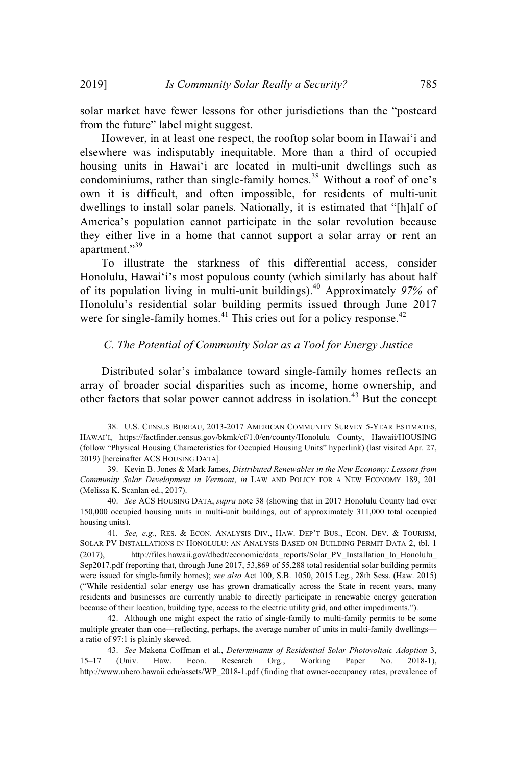solar market have fewer lessons for other jurisdictions than the "postcard from the future" label might suggest.

However, in at least one respect, the rooftop solar boom in Hawaiʻi and elsewhere was indisputably inequitable. More than a third of occupied housing units in Hawaiʻi are located in multi-unit dwellings such as condominiums, rather than single-family homes.<sup>38</sup> Without a roof of one's own it is difficult, and often impossible, for residents of multi-unit dwellings to install solar panels. Nationally, it is estimated that "[h]alf of America's population cannot participate in the solar revolution because they either live in a home that cannot support a solar array or rent an apartment."<sup>39</sup>

To illustrate the starkness of this differential access, consider Honolulu, Hawaiʻi's most populous county (which similarly has about half of its population living in multi-unit buildings).<sup>40</sup> Approximately *97%* of Honolulu's residential solar building permits issued through June 2017 were for single-family homes. $41$  This cries out for a policy response. $42$ 

# *C. The Potential of Community Solar as a Tool for Energy Justice*

Distributed solar's imbalance toward single-family homes reflects an array of broader social disparities such as income, home ownership, and other factors that solar power cannot address in isolation. <sup>43</sup> But the concept

<sup>38.</sup> U.S. CENSUS BUREAU, 2013-2017 AMERICAN COMMUNITY SURVEY 5-YEAR ESTIMATES, HAWAIʻI, https://factfinder.census.gov/bkmk/cf/1.0/en/county/Honolulu County, Hawaii/HOUSING (follow "Physical Housing Characteristics for Occupied Housing Units" hyperlink) (last visited Apr. 27, 2019) [hereinafter ACS HOUSING DATA].

<sup>39.</sup> Kevin B. Jones & Mark James, *Distributed Renewables in the New Economy: Lessons from Community Solar Development in Vermont*, *in* LAW AND POLICY FOR A NEW ECONOMY 189, 201 (Melissa K. Scanlan ed., 2017).

<sup>40.</sup> *See* ACS HOUSING DATA, *supra* note 38 (showing that in 2017 Honolulu County had over 150,000 occupied housing units in multi-unit buildings, out of approximately 311,000 total occupied housing units).

<sup>41</sup>*. See, e.g.*, RES. & ECON. ANALYSIS DIV., HAW. DEP'T BUS., ECON. DEV. & TOURISM, SOLAR PV INSTALLATIONS IN HONOLULU: AN ANALYSIS BASED ON BUILDING PERMIT DATA 2, tbl. 1 (2017), http://files.hawaii.gov/dbedt/economic/data\_reports/Solar\_PV\_Installation\_In\_Honolulu\_ Sep2017.pdf (reporting that, through June 2017, 53,869 of 55,288 total residential solar building permits were issued for single-family homes); *see also* Act 100, S.B. 1050, 2015 Leg., 28th Sess. (Haw. 2015) ("While residential solar energy use has grown dramatically across the State in recent years, many residents and businesses are currently unable to directly participate in renewable energy generation because of their location, building type, access to the electric utility grid, and other impediments.").

<sup>42.</sup> Although one might expect the ratio of single-family to multi-family permits to be some multiple greater than one—reflecting, perhaps, the average number of units in multi-family dwellings a ratio of 97:1 is plainly skewed.

<sup>43.</sup> *See* Makena Coffman et al., *Determinants of Residential Solar Photovoltaic Adoption* 3, 15–17 (Univ. Haw. Econ. Research Org., Working Paper No. 2018-1), http://www.uhero.hawaii.edu/assets/WP\_2018-1.pdf (finding that owner-occupancy rates, prevalence of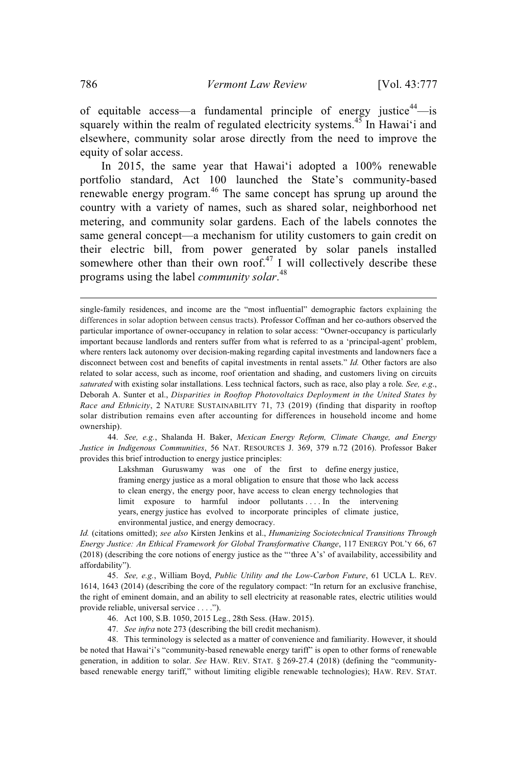of equitable access—a fundamental principle of energy justice<sup>44</sup>—is squarely within the realm of regulated electricity systems.<sup>45</sup> In Hawai'i and elsewhere, community solar arose directly from the need to improve the equity of solar access.

In 2015, the same year that Hawaiʻi adopted a 100% renewable portfolio standard, Act 100 launched the State's community-based renewable energy program.<sup>46</sup> The same concept has sprung up around the country with a variety of names, such as shared solar, neighborhood net metering, and community solar gardens. Each of the labels connotes the same general concept—a mechanism for utility customers to gain credit on their electric bill, from power generated by solar panels installed somewhere other than their own roof.<sup>47</sup> I will collectively describe these programs using the label *community solar*. 48

44. *See, e.g.*, Shalanda H. Baker, *Mexican Energy Reform, Climate Change, and Energy Justice in Indigenous Communities*, 56 NAT. RESOURCES J. 369, 379 n.72 (2016). Professor Baker provides this brief introduction to energy justice principles:

> Lakshman Guruswamy was one of the first to define energy justice, framing energy justice as a moral obligation to ensure that those who lack access to clean energy, the energy poor, have access to clean energy technologies that limit exposure to harmful indoor pollutants . . . . In the intervening years, energy justice has evolved to incorporate principles of climate justice, environmental justice, and energy democracy.

*Id.* (citations omitted); *see also* Kirsten Jenkins et al., *Humanizing Sociotechnical Transitions Through Energy Justice: An Ethical Framework for Global Transformative Change*, 117 ENERGY POL'Y 66, 67 (2018) (describing the core notions of energy justice as the "'three A's' of availability, accessibility and affordability").

45. *See, e.g.*, William Boyd, *Public Utility and the Low-Carbon Future*, 61 UCLA L. REV. 1614, 1643 (2014) (describing the core of the regulatory compact: "In return for an exclusive franchise, the right of eminent domain, and an ability to sell electricity at reasonable rates, electric utilities would provide reliable, universal service . . . .").

- 46. Act 100, S.B. 1050, 2015 Leg., 28th Sess. (Haw. 2015).
- 47. *See infra* note 273 (describing the bill credit mechanism).

48. This terminology is selected as a matter of convenience and familiarity. However, it should be noted that Hawaiʻi's "community-based renewable energy tariff" is open to other forms of renewable generation, in addition to solar. *See* HAW. REV. STAT. § 269-27.4 (2018) (defining the "communitybased renewable energy tariff," without limiting eligible renewable technologies); HAW. REV. STAT.

single-family residences, and income are the "most influential" demographic factors explaining the differences in solar adoption between census tracts). Professor Coffman and her co-authors observed the particular importance of owner-occupancy in relation to solar access: "Owner-occupancy is particularly important because landlords and renters suffer from what is referred to as a 'principal-agent' problem, where renters lack autonomy over decision-making regarding capital investments and landowners face a disconnect between cost and benefits of capital investments in rental assets." *Id.* Other factors are also related to solar access, such as income, roof orientation and shading, and customers living on circuits *saturated* with existing solar installations. Less technical factors, such as race, also play a role*. See, e.g*., Deborah A. Sunter et al., *Disparities in Rooftop Photovoltaics Deployment in the United States by Race and Ethnicity*, 2 NATURE SUSTAINABILITY 71, 73 (2019) (finding that disparity in rooftop solar distribution remains even after accounting for differences in household income and home ownership).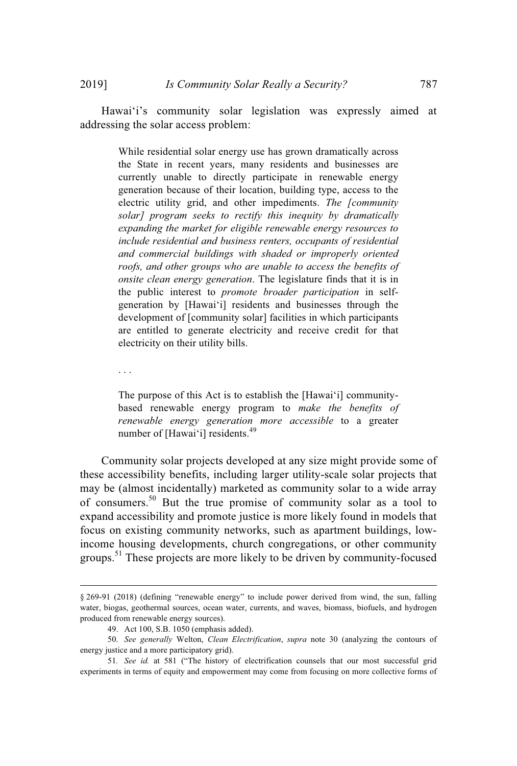While residential solar energy use has grown dramatically across the State in recent years, many residents and businesses are currently unable to directly participate in renewable energy generation because of their location, building type, access to the electric utility grid, and other impediments. *The [community solar] program seeks to rectify this inequity by dramatically expanding the market for eligible renewable energy resources to include residential and business renters, occupants of residential and commercial buildings with shaded or improperly oriented roofs, and other groups who are unable to access the benefits of onsite clean energy generation*. The legislature finds that it is in the public interest to *promote broader participation* in selfgeneration by [Hawaiʻi] residents and businesses through the development of [community solar] facilities in which participants are entitled to generate electricity and receive credit for that electricity on their utility bills.

. . .

The purpose of this Act is to establish the [Hawaiʻi] communitybased renewable energy program to *make the benefits of renewable energy generation more accessible* to a greater number of [Hawaiʻi] residents.<sup>49</sup>

Community solar projects developed at any size might provide some of these accessibility benefits, including larger utility-scale solar projects that may be (almost incidentally) marketed as community solar to a wide array of consumers.<sup>50</sup> But the true promise of community solar as a tool to expand accessibility and promote justice is more likely found in models that focus on existing community networks, such as apartment buildings, lowincome housing developments, church congregations, or other community groups.<sup>51</sup> These projects are more likely to be driven by community-focused

<sup>§ 269-91 (2018) (</sup>defining "renewable energy" to include power derived from wind, the sun, falling water, biogas, geothermal sources, ocean water, currents, and waves, biomass, biofuels, and hydrogen produced from renewable energy sources).

<sup>49.</sup> Act 100, S.B. 1050 (emphasis added).

<sup>50.</sup> *See generally* Welton, *Clean Electrification*, *supra* note 30 (analyzing the contours of energy justice and a more participatory grid).

<sup>51</sup>*. See id.* at 581 ("The history of electrification counsels that our most successful grid experiments in terms of equity and empowerment may come from focusing on more collective forms of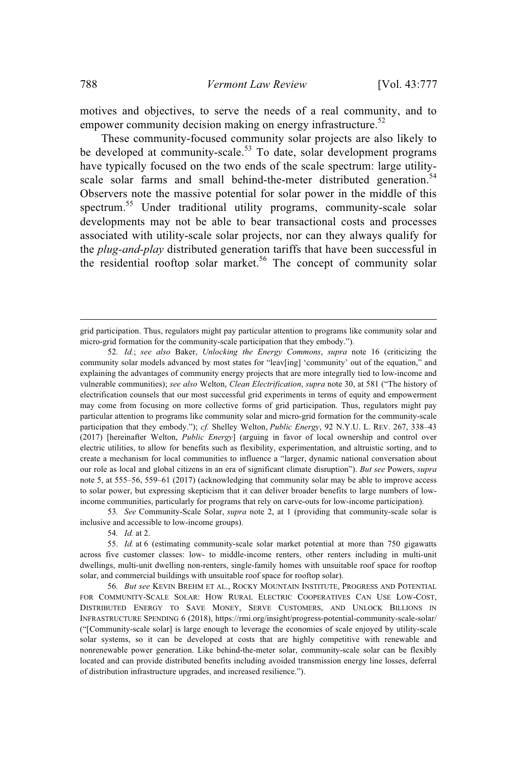motives and objectives, to serve the needs of a real community, and to empower community decision making on energy infrastructure.<sup>52</sup>

These community-focused community solar projects are also likely to be developed at community-scale.<sup>53</sup> To date, solar development programs have typically focused on the two ends of the scale spectrum: large utilityscale solar farms and small behind-the-meter distributed generation.<sup>54</sup> Observers note the massive potential for solar power in the middle of this spectrum. <sup>55</sup> Under traditional utility programs, community-scale solar developments may not be able to bear transactional costs and processes associated with utility-scale solar projects, nor can they always qualify for the *plug-and-play* distributed generation tariffs that have been successful in the residential rooftop solar market.<sup>56</sup> The concept of community solar

53*. See* Community-Scale Solar, *supra* note 2, at 1 (providing that community-scale solar is inclusive and accessible to low-income groups).

54*. Id.* at 2.

grid participation. Thus, regulators might pay particular attention to programs like community solar and micro-grid formation for the community-scale participation that they embody.").

<sup>52.</sup> *Id.*; *see also* Baker, *Unlocking the Energy Commons*, *supra* note 16 (criticizing the community solar models advanced by most states for "leav[ing] 'community' out of the equation," and explaining the advantages of community energy projects that are more integrally tied to low-income and vulnerable communities); *see also* Welton, *Clean Electrification*, *supra* note 30, at 581 ("The history of electrification counsels that our most successful grid experiments in terms of equity and empowerment may come from focusing on more collective forms of grid participation. Thus, regulators might pay particular attention to programs like community solar and micro-grid formation for the community-scale participation that they embody."); *cf.* Shelley Welton, *Public Energy*, 92 N.Y.U. L. REV. 267, 338–43 (2017) [hereinafter Welton, *Public Energy*] (arguing in favor of local ownership and control over electric utilities, to allow for benefits such as flexibility, experimentation, and altruistic sorting, and to create a mechanism for local communities to influence a "larger, dynamic national conversation about our role as local and global citizens in an era of significant climate disruption"). *But see* Powers, *supra* note 5, at 555–56, 559–61 (2017) (acknowledging that community solar may be able to improve access to solar power, but expressing skepticism that it can deliver broader benefits to large numbers of lowincome communities, particularly for programs that rely on carve-outs for low-income participation).

<sup>55.</sup> *Id.* at 6 (estimating community-scale solar market potential at more than 750 gigawatts across five customer classes: low- to middle-income renters, other renters including in multi-unit dwellings, multi-unit dwelling non-renters, single-family homes with unsuitable roof space for rooftop solar, and commercial buildings with unsuitable roof space for rooftop solar).

<sup>56</sup>*. But see* KEVIN BREHM ET AL., ROCKY MOUNTAIN INSTITUTE, PROGRESS AND POTENTIAL FOR COMMUNITY-SCALE SOLAR: HOW RURAL ELECTRIC COOPERATIVES CAN USE LOW-COST, DISTRIBUTED ENERGY TO SAVE MONEY, SERVE CUSTOMERS, AND UNLOCK BILLIONS IN INFRASTRUCTURE SPENDING 6 (2018), https://rmi.org/insight/progress-potential-community-scale-solar/ ("[Community-scale solar] is large enough to leverage the economies of scale enjoyed by utility-scale solar systems, so it can be developed at costs that are highly competitive with renewable and nonrenewable power generation. Like behind-the-meter solar, community-scale solar can be flexibly located and can provide distributed benefits including avoided transmission energy line losses, deferral of distribution infrastructure upgrades, and increased resilience.").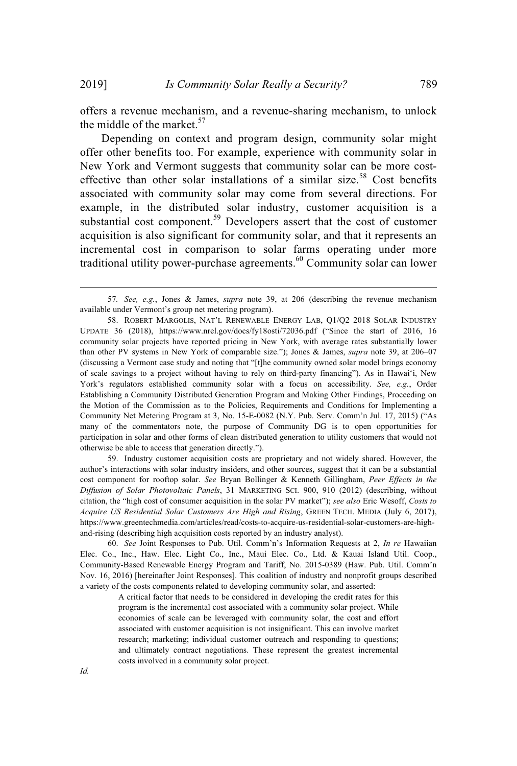offers a revenue mechanism, and a revenue-sharing mechanism, to unlock the middle of the market. $57$ 

Depending on context and program design, community solar might offer other benefits too. For example, experience with community solar in New York and Vermont suggests that community solar can be more costeffective than other solar installations of a similar size.<sup>58</sup> Cost benefits associated with community solar may come from several directions. For example, in the distributed solar industry, customer acquisition is a substantial cost component.<sup>59</sup> Developers assert that the cost of customer acquisition is also significant for community solar, and that it represents an incremental cost in comparison to solar farms operating under more traditional utility power-purchase agreements.<sup>60</sup> Community solar can lower

59. Industry customer acquisition costs are proprietary and not widely shared. However, the author's interactions with solar industry insiders, and other sources, suggest that it can be a substantial cost component for rooftop solar. *See* Bryan Bollinger & Kenneth Gillingham, *Peer Effects in the Diffusion of Solar Photovoltaic Panels*, 31 MARKETING SCI. 900, 910 (2012) (describing, without citation, the "high cost of consumer acquisition in the solar PV market"); *see also* Eric Wesoff, *Costs to Acquire US Residential Solar Customers Are High and Rising*, GREEN TECH. MEDIA (July 6, 2017), https://www.greentechmedia.com/articles/read/costs-to-acquire-us-residential-solar-customers-are-highand-rising (describing high acquisition costs reported by an industry analyst).

60. *See* Joint Responses to Pub. Util. Comm'n's Information Requests at 2, *In re* Hawaiian Elec. Co., Inc., Haw. Elec. Light Co., Inc., Maui Elec. Co., Ltd. & Kauai Island Util. Coop., Community-Based Renewable Energy Program and Tariff, No. 2015-0389 (Haw. Pub. Util. Comm'n Nov. 16, 2016) [hereinafter Joint Responses]. This coalition of industry and nonprofit groups described a variety of the costs components related to developing community solar, and asserted:

> A critical factor that needs to be considered in developing the credit rates for this program is the incremental cost associated with a community solar project. While economies of scale can be leveraged with community solar, the cost and effort associated with customer acquisition is not insignificant. This can involve market research; marketing; individual customer outreach and responding to questions; and ultimately contract negotiations. These represent the greatest incremental costs involved in a community solar project.

<sup>57</sup>*. See, e.g.*, Jones & James, *supra* note 39, at 206 (describing the revenue mechanism available under Vermont's group net metering program).

<sup>58.</sup> ROBERT MARGOLIS, NAT'L RENEWABLE ENERGY LAB, Q1/Q2 2018 SOLAR INDUSTRY UPDATE 36 (2018), https://www.nrel.gov/docs/fy18osti/72036.pdf ("Since the start of 2016, 16 community solar projects have reported pricing in New York, with average rates substantially lower than other PV systems in New York of comparable size."); Jones & James, *supra* note 39, at 206–07 (discussing a Vermont case study and noting that "[t]he community owned solar model brings economy of scale savings to a project without having to rely on third-party financing"). As in Hawaiʻi, New York's regulators established community solar with a focus on accessibility. *See, e.g.*, Order Establishing a Community Distributed Generation Program and Making Other Findings, Proceeding on the Motion of the Commission as to the Policies, Requirements and Conditions for Implementing a Community Net Metering Program at 3, No. 15-E-0082 (N.Y. Pub. Serv. Comm'n Jul. 17, 2015) ("As many of the commentators note, the purpose of Community DG is to open opportunities for participation in solar and other forms of clean distributed generation to utility customers that would not otherwise be able to access that generation directly.").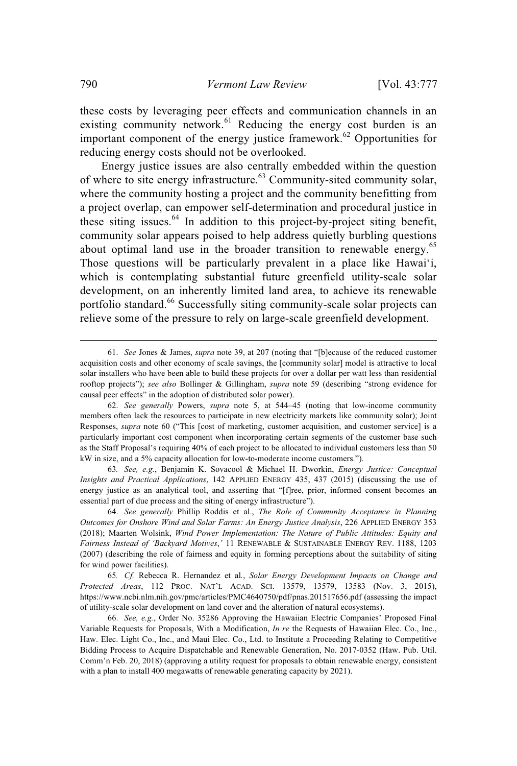these costs by leveraging peer effects and communication channels in an existing community network.<sup>61</sup> Reducing the energy cost burden is an important component of the energy justice framework.<sup>62</sup> Opportunities for reducing energy costs should not be overlooked.

Energy justice issues are also centrally embedded within the question of where to site energy infrastructure.<sup>63</sup> Community-sited community solar, where the community hosting a project and the community benefitting from a project overlap, can empower self-determination and procedural justice in these siting issues.<sup>64</sup> In addition to this project-by-project siting benefit, community solar appears poised to help address quietly burbling questions about optimal land use in the broader transition to renewable energy.<sup>65</sup> Those questions will be particularly prevalent in a place like Hawaiʻi, which is contemplating substantial future greenfield utility-scale solar development, on an inherently limited land area, to achieve its renewable portfolio standard.<sup>66</sup> Successfully siting community-scale solar projects can relieve some of the pressure to rely on large-scale greenfield development.

<sup>61.</sup> *See* Jones & James, *supra* note 39, at 207 (noting that "[b]ecause of the reduced customer acquisition costs and other economy of scale savings, the [community solar] model is attractive to local solar installers who have been able to build these projects for over a dollar per watt less than residential rooftop projects"); *see also* Bollinger & Gillingham, *supra* note 59 (describing "strong evidence for causal peer effects" in the adoption of distributed solar power).

<sup>62.</sup> *See generally* Powers, *supra* note 5, at 544–45 (noting that low-income community members often lack the resources to participate in new electricity markets like community solar); Joint Responses, *supra* note 60 ("This [cost of marketing, customer acquisition, and customer service] is a particularly important cost component when incorporating certain segments of the customer base such as the Staff Proposal's requiring 40% of each project to be allocated to individual customers less than 50 kW in size, and a 5% capacity allocation for low-to-moderate income customers.").

<sup>63</sup>*. See, e.g.*, Benjamin K. Sovacool & Michael H. Dworkin, *Energy Justice: Conceptual Insights and Practical Applications*, 142 APPLIED ENERGY 435, 437 (2015) (discussing the use of energy justice as an analytical tool, and asserting that "[f]ree, prior, informed consent becomes an essential part of due process and the siting of energy infrastructure").

<sup>64.</sup> *See generally* Phillip Roddis et al., *The Role of Community Acceptance in Planning Outcomes for Onshore Wind and Solar Farms: An Energy Justice Analysis*, 226 APPLIED ENERGY 353 (2018); Maarten Wolsink, *Wind Power Implementation: The Nature of Public Attitudes: Equity and Fairness Instead of 'Backyard Motives*,*'* 11 RENEWABLE & SUSTAINABLE ENERGY REV. 1188, 1203 (2007) (describing the role of fairness and equity in forming perceptions about the suitability of siting for wind power facilities).

<sup>65</sup>*. Cf.* Rebecca R. Hernandez et al*.*, *Solar Energy Development Impacts on Change and Protected Areas*, 112 PROC. NAT'L ACAD. SCI. 13579, 13579, 13583 (Nov. 3, 2015), https://www.ncbi.nlm.nih.gov/pmc/articles/PMC4640750/pdf/pnas.201517656.pdf (assessing the impact of utility-scale solar development on land cover and the alteration of natural ecosystems).

<sup>66.</sup> *See, e.g.*, Order No. 35286 Approving the Hawaiian Electric Companies' Proposed Final Variable Requests for Proposals, With a Modification, *In re* the Requests of Hawaiian Elec. Co., Inc., Haw. Elec. Light Co., Inc., and Maui Elec. Co., Ltd. to Institute a Proceeding Relating to Competitive Bidding Process to Acquire Dispatchable and Renewable Generation, No. 2017-0352 (Haw. Pub. Util. Comm'n Feb. 20, 2018) (approving a utility request for proposals to obtain renewable energy, consistent with a plan to install 400 megawatts of renewable generating capacity by 2021).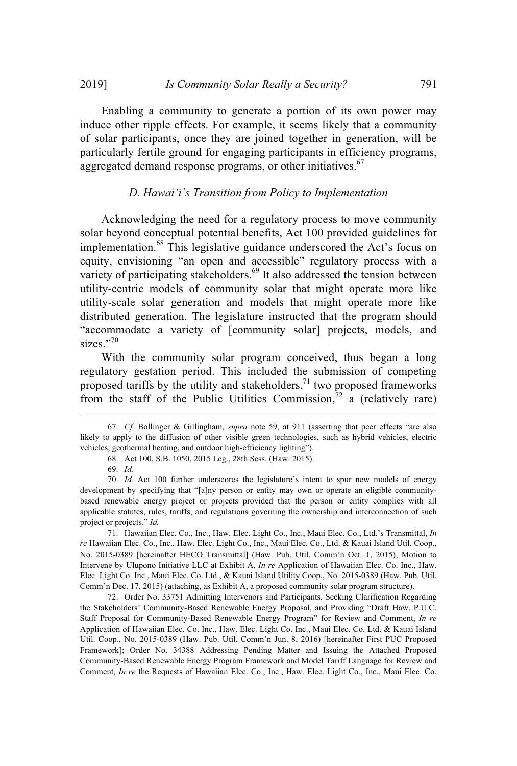Enabling a community to generate a portion of its own power may induce other ripple effects. For example, it seems likely that a community of solar participants, once they are joined together in generation, will be particularly fertile ground for engaging participants in efficiency programs, aggregated demand response programs, or other initiatives.<sup>67</sup>

### *D. Hawaiʻi's Transition from Policy to Implementation*

Acknowledging the need for a regulatory process to move community solar beyond conceptual potential benefits, Act 100 provided guidelines for implementation.<sup>68</sup> This legislative guidance underscored the Act's focus on equity, envisioning "an open and accessible" regulatory process with a variety of participating stakeholders.<sup>69</sup> It also addressed the tension between utility-centric models of community solar that might operate more like utility-scale solar generation and models that might operate more like distributed generation. The legislature instructed that the program should "accommodate a variety of [community solar] projects, models, and sizes."70

With the community solar program conceived, thus began a long regulatory gestation period. This included the submission of competing proposed tariffs by the utility and stakeholders, $\frac{1}{1}$  two proposed frameworks from the staff of the Public Utilities Commission, $\bar{r}^2$  a (relatively rare)

71. Hawaiian Elec. Co., Inc., Haw. Elec. Light Co., Inc., Maui Elec. Co., Ltd.'s Transmittal, *In re* Hawaiian Elec. Co., Inc., Haw. Elec. Light Co., Inc., Maui Elec. Co., Ltd. & Kauai Island Util. Coop., No. 2015-0389 [hereinafter HECO Transmittal] (Haw. Pub. Util. Comm'n Oct. 1, 2015); Motion to Intervene by Ulupono Initiative LLC at Exhibit A, *In re* Application of Hawaiian Elec. Co. Inc., Haw. Elec. Light Co. Inc., Maui Elec. Co. Ltd., & Kauai Island Utility Coop., No. 2015-0389 (Haw. Pub. Util. Comm'n Dec. 17, 2015) (attaching, as Exhibit A, a proposed community solar program structure).

72. Order No. 33751 Admitting Intervenors and Participants, Seeking Clarification Regarding the Stakeholders' Community-Based Renewable Energy Proposal, and Providing "Draft Haw. P.U.C. Staff Proposal for Community-Based Renewable Energy Program" for Review and Comment, *In re* Application of Hawaiian Elec. Co. Inc., Haw. Elec. Light Co. Inc., Maui Elec. Co. Ltd. & Kauai Island Util. Coop., No. 2015-0389 (Haw. Pub. Util. Comm'n Jun. 8, 2016) [hereinafter First PUC Proposed Framework]; Order No. 34388 Addressing Pending Matter and Issuing the Attached Proposed Community-Based Renewable Energy Program Framework and Model Tariff Language for Review and Comment, *In re* the Requests of Hawaiian Elec. Co., Inc., Haw. Elec. Light Co., Inc., Maui Elec. Co.

<sup>67.</sup> *Cf.* Bollinger & Gillingham, *supra* note 59, at 911 (asserting that peer effects "are also likely to apply to the diffusion of other visible green technologies, such as hybrid vehicles, electric vehicles, geothermal heating, and outdoor high-efficiency lighting").

<sup>68.</sup> Act 100, S.B. 1050, 2015 Leg., 28th Sess. (Haw. 2015).

<sup>69.</sup> *Id.*

<sup>70.</sup> *Id.* Act 100 further underscores the legislature's intent to spur new models of energy development by specifying that "[a]ny person or entity may own or operate an eligible communitybased renewable energy project or projects provided that the person or entity complies with all applicable statutes, rules, tariffs, and regulations governing the ownership and interconnection of such project or projects." *Id.*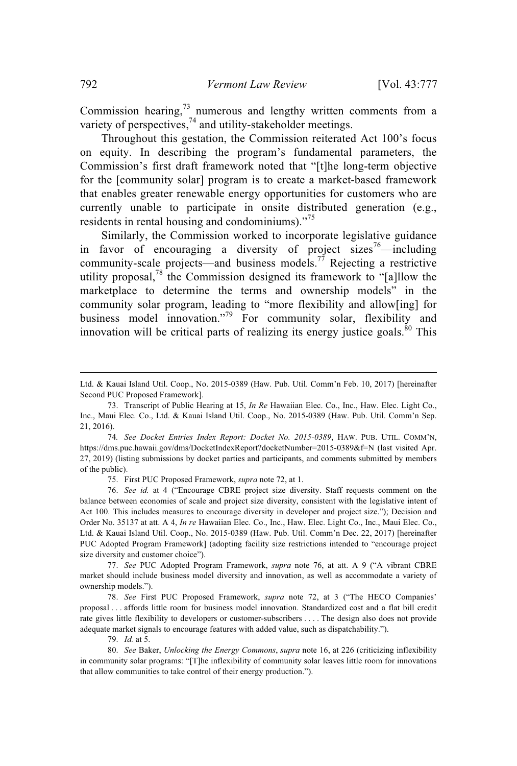Commission hearing, $^{73}$  numerous and lengthy written comments from a variety of perspectives, $74$  and utility-stakeholder meetings.

Throughout this gestation, the Commission reiterated Act 100's focus on equity. In describing the program's fundamental parameters, the Commission's first draft framework noted that "[t]he long-term objective for the [community solar] program is to create a market-based framework that enables greater renewable energy opportunities for customers who are currently unable to participate in onsite distributed generation (e.g., residents in rental housing and condominiums)."<sup>75</sup>

Similarly, the Commission worked to incorporate legislative guidance in favor of encouraging a diversity of project sizes<sup>76</sup>—including community-scale projects—and business models.<sup>77</sup> Rejecting a restrictive utility proposal,<sup>78</sup> the Commission designed its framework to "[a]llow the marketplace to determine the terms and ownership models" in the community solar program, leading to "more flexibility and allow[ing] for business model innovation."<sup>79</sup> For community solar, flexibility and innovation will be critical parts of realizing its energy justice goals.<sup>80</sup> This

75. First PUC Proposed Framework, *supra* note 72, at 1.

76. *See id.* at 4 ("Encourage CBRE project size diversity. Staff requests comment on the balance between economies of scale and project size diversity, consistent with the legislative intent of Act 100. This includes measures to encourage diversity in developer and project size."); Decision and Order No. 35137 at att. A 4, *In re* Hawaiian Elec. Co., Inc., Haw. Elec. Light Co., Inc., Maui Elec. Co., Ltd. & Kauai Island Util. Coop., No. 2015-0389 (Haw. Pub. Util. Comm'n Dec. 22, 2017) [hereinafter PUC Adopted Program Framework] (adopting facility size restrictions intended to "encourage project size diversity and customer choice").

77. *See* PUC Adopted Program Framework, *supra* note 76, at att. A 9 ("A vibrant CBRE market should include business model diversity and innovation, as well as accommodate a variety of ownership models.").

78. *See* First PUC Proposed Framework, *supra* note 72, at 3 ("The HECO Companies' proposal . . . affords little room for business model innovation. Standardized cost and a flat bill credit rate gives little flexibility to developers or customer-subscribers . . . . The design also does not provide adequate market signals to encourage features with added value, such as dispatchability.").

79. *Id.* at 5.

80. *See* Baker, *Unlocking the Energy Commons*, *supra* note 16, at 226 (criticizing inflexibility in community solar programs: "[T]he inflexibility of community solar leaves little room for innovations that allow communities to take control of their energy production.").

Ltd. & Kauai Island Util. Coop., No. 2015-0389 (Haw. Pub. Util. Comm'n Feb. 10, 2017) [hereinafter Second PUC Proposed Framework].

<sup>73.</sup> Transcript of Public Hearing at 15, *In Re* Hawaiian Elec. Co., Inc., Haw. Elec. Light Co., Inc., Maui Elec. Co., Ltd. & Kauai Island Util. Coop., No. 2015-0389 (Haw. Pub. Util. Comm'n Sep. 21, 2016).

<sup>74</sup>*. See Docket Entries Index Report: Docket No. 2015-0389*, HAW. PUB. UTIL. COMM'N, https://dms.puc.hawaii.gov/dms/DocketIndexReport?docketNumber=2015-0389&f=N (last visited Apr. 27, 2019) (listing submissions by docket parties and participants, and comments submitted by members of the public).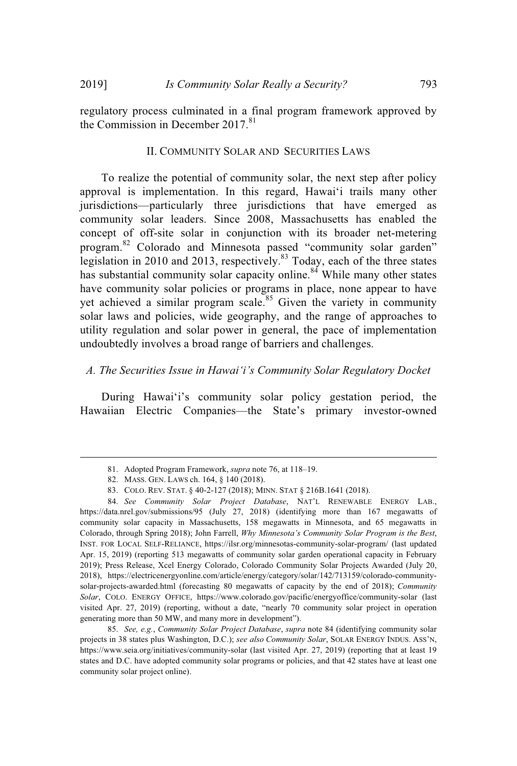regulatory process culminated in a final program framework approved by the Commission in December 2017.<sup>81</sup>

#### II. COMMUNITY SOLAR AND SECURITIES LAWS

To realize the potential of community solar, the next step after policy approval is implementation. In this regard, Hawaiʻi trails many other jurisdictions—particularly three jurisdictions that have emerged as community solar leaders. Since 2008, Massachusetts has enabled the concept of off-site solar in conjunction with its broader net-metering program.<sup>82</sup> Colorado and Minnesota passed "community solar garden" legislation in 2010 and 2013, respectively.<sup>83</sup> Today, each of the three states has substantial community solar capacity online.<sup>84</sup> While many other states have community solar policies or programs in place, none appear to have yet achieved a similar program scale.<sup>85</sup> Given the variety in community solar laws and policies, wide geography, and the range of approaches to utility regulation and solar power in general, the pace of implementation undoubtedly involves a broad range of barriers and challenges.

# *A. The Securities Issue in Hawaiʻi's Community Solar Regulatory Docket*

During Hawaiʻi's community solar policy gestation period, the Hawaiian Electric Companies—the State's primary investor-owned

<sup>81.</sup> Adopted Program Framework, *supra* note 76, at 118–19.

<sup>82.</sup> MASS. GEN. LAWS ch. 164, § 140 (2018).

<sup>83.</sup> COLO. REV. STAT. § 40-2-127 (2018); MINN. STAT § 216B.1641 (2018).

<sup>84.</sup> *See Community Solar Project Database*, NAT'L RENEWABLE ENERGY LAB., https://data.nrel.gov/submissions/95 (July 27, 2018) (identifying more than 167 megawatts of community solar capacity in Massachusetts, 158 megawatts in Minnesota, and 65 megawatts in Colorado, through Spring 2018); John Farrell, *Why Minnesota's Community Solar Program is the Best*, INST. FOR LOCAL SELF-RELIANCE, https://ilsr.org/minnesotas-community-solar-program/ (last updated Apr. 15, 2019) (reporting 513 megawatts of community solar garden operational capacity in February 2019); Press Release, Xcel Energy Colorado, Colorado Community Solar Projects Awarded (July 20, 2018), https://electricenergyonline.com/article/energy/category/solar/142/713159/colorado-communitysolar-projects-awarded.html (forecasting 80 megawatts of capacity by the end of 2018); *Community Solar*, COLO. ENERGY OFFICE, https://www.colorado.gov/pacific/energyoffice/community-solar (last visited Apr. 27, 2019) (reporting, without a date, "nearly 70 community solar project in operation generating more than 50 MW, and many more in development").

<sup>85.</sup> *See, e.g.*, *Community Solar Project Database*, *supra* note 84 (identifying community solar projects in 38 states plus Washington, D.C.); *see also Community Solar*, SOLAR ENERGY INDUS. ASS'N, https://www.seia.org/initiatives/community-solar (last visited Apr. 27, 2019) (reporting that at least 19 states and D.C. have adopted community solar programs or policies, and that 42 states have at least one community solar project online).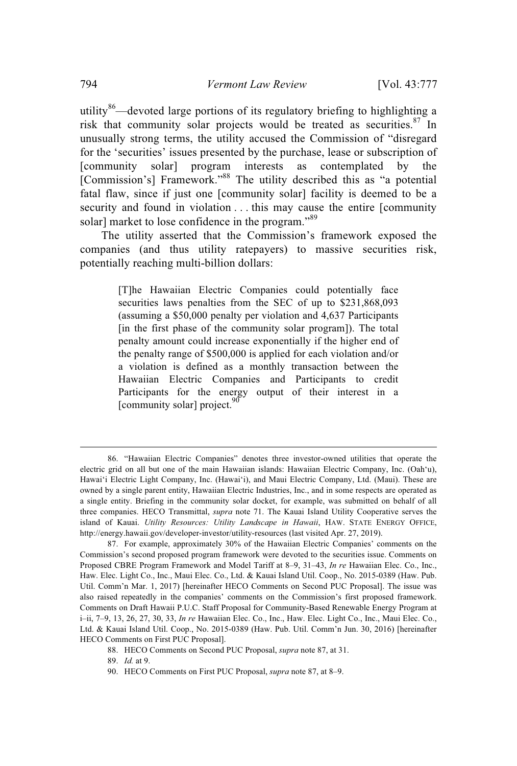utility<sup>86</sup>—devoted large portions of its regulatory briefing to highlighting a risk that community solar projects would be treated as securities. <sup>87</sup> In unusually strong terms, the utility accused the Commission of "disregard for the 'securities' issues presented by the purchase, lease or subscription of [community solar] program interests as contemplated by the [Commission's] Framework."<sup>88</sup> The utility described this as "a potential fatal flaw, since if just one [community solar] facility is deemed to be a security and found in violation . . . this may cause the entire [community solar] market to lose confidence in the program."<sup>89</sup>

The utility asserted that the Commission's framework exposed the companies (and thus utility ratepayers) to massive securities risk, potentially reaching multi-billion dollars:

> [T]he Hawaiian Electric Companies could potentially face securities laws penalties from the SEC of up to \$231,868,093 (assuming a \$50,000 penalty per violation and 4,637 Participants [in the first phase of the community solar program]). The total penalty amount could increase exponentially if the higher end of the penalty range of \$500,000 is applied for each violation and/or a violation is defined as a monthly transaction between the Hawaiian Electric Companies and Participants to credit Participants for the energy output of their interest in a [community solar] project. $90$

<sup>86.</sup> "Hawaiian Electric Companies" denotes three investor-owned utilities that operate the electric grid on all but one of the main Hawaiian islands: Hawaiian Electric Company, Inc. (Oahʻu), Hawaiʻi Electric Light Company, Inc. (Hawaiʻi), and Maui Electric Company, Ltd. (Maui). These are owned by a single parent entity, Hawaiian Electric Industries, Inc., and in some respects are operated as a single entity. Briefing in the community solar docket, for example, was submitted on behalf of all three companies. HECO Transmittal, *supra* note 71. The Kauai Island Utility Cooperative serves the island of Kauai. *Utility Resources: Utility Landscape in Hawaii*, HAW. STATE ENERGY OFFICE, http://energy.hawaii.gov/developer-investor/utility-resources (last visited Apr. 27, 2019).

<sup>87.</sup> For example, approximately 30% of the Hawaiian Electric Companies' comments on the Commission's second proposed program framework were devoted to the securities issue. Comments on Proposed CBRE Program Framework and Model Tariff at 8–9, 31–43, *In re* Hawaiian Elec. Co., Inc., Haw. Elec. Light Co., Inc., Maui Elec. Co., Ltd. & Kauai Island Util. Coop., No. 2015-0389 (Haw. Pub. Util. Comm'n Mar. 1, 2017) [hereinafter HECO Comments on Second PUC Proposal]. The issue was also raised repeatedly in the companies' comments on the Commission's first proposed framework. Comments on Draft Hawaii P.U.C. Staff Proposal for Community-Based Renewable Energy Program at i–ii, 7–9, 13, 26, 27, 30, 33, *In re* Hawaiian Elec. Co., Inc., Haw. Elec. Light Co., Inc., Maui Elec. Co., Ltd. & Kauai Island Util. Coop., No. 2015-0389 (Haw. Pub. Util. Comm'n Jun. 30, 2016) [hereinafter HECO Comments on First PUC Proposal].

<sup>88.</sup> HECO Comments on Second PUC Proposal, *supra* note 87, at 31.

<sup>89.</sup> *Id.* at 9.

<sup>90.</sup> HECO Comments on First PUC Proposal, *supra* note 87, at 8–9.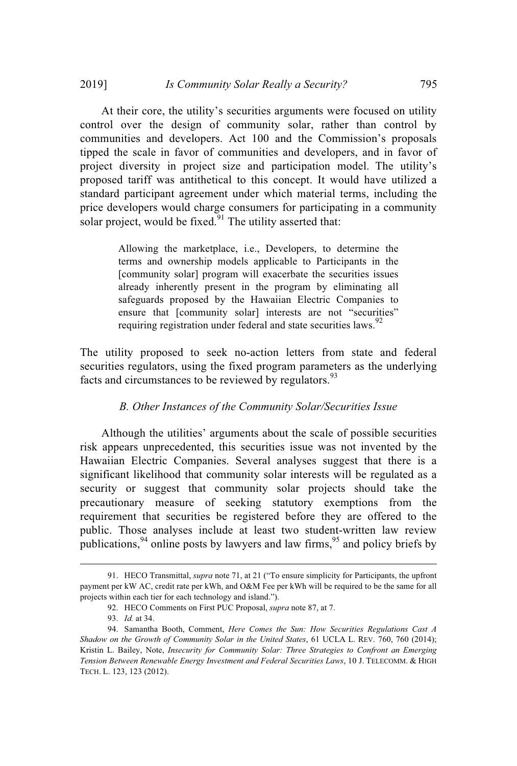At their core, the utility's securities arguments were focused on utility control over the design of community solar, rather than control by communities and developers. Act 100 and the Commission's proposals tipped the scale in favor of communities and developers, and in favor of project diversity in project size and participation model. The utility's proposed tariff was antithetical to this concept. It would have utilized a standard participant agreement under which material terms, including the price developers would charge consumers for participating in a community solar project, would be fixed. $91$  The utility asserted that:

> Allowing the marketplace, i.e., Developers, to determine the terms and ownership models applicable to Participants in the [community solar] program will exacerbate the securities issues already inherently present in the program by eliminating all safeguards proposed by the Hawaiian Electric Companies to ensure that [community solar] interests are not "securities" requiring registration under federal and state securities laws.<sup>92</sup>

The utility proposed to seek no-action letters from state and federal securities regulators, using the fixed program parameters as the underlying facts and circumstances to be reviewed by regulators.<sup>93</sup>

# *B. Other Instances of the Community Solar/Securities Issue*

Although the utilities' arguments about the scale of possible securities risk appears unprecedented, this securities issue was not invented by the Hawaiian Electric Companies. Several analyses suggest that there is a significant likelihood that community solar interests will be regulated as a security or suggest that community solar projects should take the precautionary measure of seeking statutory exemptions from the requirement that securities be registered before they are offered to the public. Those analyses include at least two student-written law review publications, <sup>94</sup> online posts by lawyers and law firms, <sup>95</sup> and policy briefs by

<sup>91.</sup> HECO Transmittal, *supra* note 71, at 21 ("To ensure simplicity for Participants, the upfront payment per kW AC, credit rate per kWh, and O&M Fee per kWh will be required to be the same for all projects within each tier for each technology and island.").

<sup>92.</sup> HECO Comments on First PUC Proposal, *supra* note 87, at 7.

<sup>93.</sup> *Id.* at 34.

<sup>94.</sup> Samantha Booth, Comment, *Here Comes the Sun: How Securities Regulations Cast A Shadow on the Growth of Community Solar in the United States*, 61 UCLA L. REV. 760, 760 (2014); Kristin L. Bailey, Note, *Insecurity for Community Solar: Three Strategies to Confront an Emerging Tension Between Renewable Energy Investment and Federal Securities Laws*, 10 J. TELECOMM. & HIGH TECH. L. 123, 123 (2012).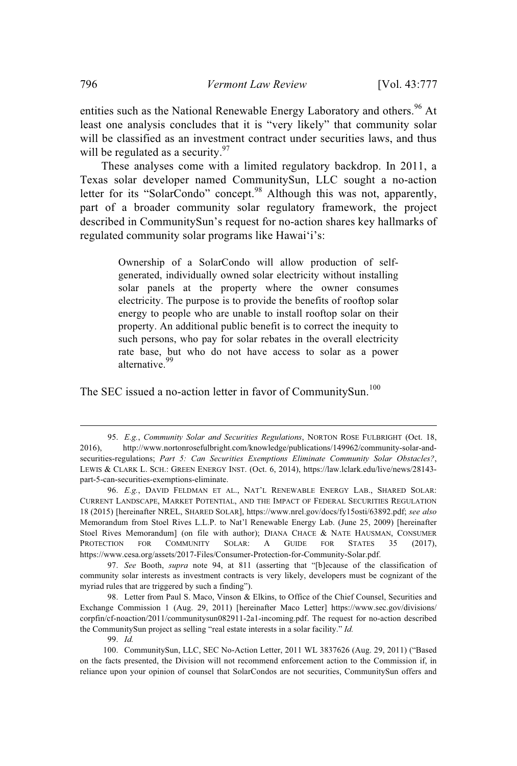entities such as the National Renewable Energy Laboratory and others.<sup>96</sup> At least one analysis concludes that it is "very likely" that community solar will be classified as an investment contract under securities laws, and thus will be regulated as a security.  $97$ 

These analyses come with a limited regulatory backdrop. In 2011, a Texas solar developer named CommunitySun, LLC sought a no-action letter for its "SolarCondo" concept.<sup>98</sup> Although this was not, apparently, part of a broader community solar regulatory framework, the project described in CommunitySun's request for no-action shares key hallmarks of regulated community solar programs like Hawaiʻi's:

> Ownership of a SolarCondo will allow production of selfgenerated, individually owned solar electricity without installing solar panels at the property where the owner consumes electricity. The purpose is to provide the benefits of rooftop solar energy to people who are unable to install rooftop solar on their property. An additional public benefit is to correct the inequity to such persons, who pay for solar rebates in the overall electricity rate base, but who do not have access to solar as a power alternative. 99

The SEC issued a no-action letter in favor of CommunitySun.<sup>100</sup>

99. *Id.*

<sup>95.</sup> *E.g.*, *Community Solar and Securities Regulations*, NORTON ROSE FULBRIGHT (Oct. 18, 2016), http://www.nortonrosefulbright.com/knowledge/publications/149962/community-solar-andsecurities-regulations; *Part 5: Can Securities Exemptions Eliminate Community Solar Obstacles?*, LEWIS & CLARK L. SCH.: GREEN ENERGY INST. (Oct. 6, 2014), https://law.lclark.edu/live/news/28143 part-5-can-securities-exemptions-eliminate.

<sup>96.</sup> *E.g.*, DAVID FELDMAN ET AL., NAT'L RENEWABLE ENERGY LAB., SHARED SOLAR: CURRENT LANDSCAPE, MARKET POTENTIAL, AND THE IMPACT OF FEDERAL SECURITIES REGULATION 18 (2015) [hereinafter NREL, SHARED SOLAR], https://www.nrel.gov/docs/fy15osti/63892.pdf; *see also* Memorandum from Stoel Rives L.L.P. to Nat'l Renewable Energy Lab. (June 25, 2009) [hereinafter Stoel Rives Memorandum] (on file with author); DIANA CHACE & NATE HAUSMAN, CONSUMER PROTECTION FOR COMMUNITY SOLAR: A GUIDE FOR STATES 35 (2017), https://www.cesa.org/assets/2017-Files/Consumer-Protection-for-Community-Solar.pdf.

<sup>97.</sup> *See* Booth, *supra* note 94, at 811 (asserting that "[b]ecause of the classification of community solar interests as investment contracts is very likely, developers must be cognizant of the myriad rules that are triggered by such a finding").

<sup>98.</sup> Letter from Paul S. Maco, Vinson & Elkins, to Office of the Chief Counsel, Securities and Exchange Commission 1 (Aug. 29, 2011) [hereinafter Maco Letter] https://www.sec.gov/divisions/ corpfin/cf-noaction/2011/communitysun082911-2a1-incoming.pdf. The request for no-action described the CommunitySun project as selling "real estate interests in a solar facility." *Id.*

<sup>100.</sup> CommunitySun, LLC, SEC No-Action Letter, 2011 WL 3837626 (Aug. 29, 2011) ("Based on the facts presented, the Division will not recommend enforcement action to the Commission if, in reliance upon your opinion of counsel that SolarCondos are not securities, CommunitySun offers and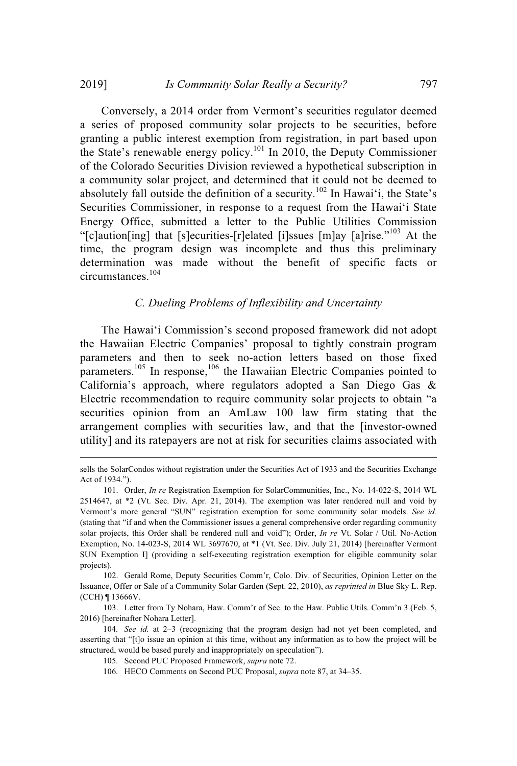Conversely, a 2014 order from Vermont's securities regulator deemed a series of proposed community solar projects to be securities, before granting a public interest exemption from registration, in part based upon the State's renewable energy policy.<sup>101</sup> In 2010, the Deputy Commissioner of the Colorado Securities Division reviewed a hypothetical subscription in a community solar project, and determined that it could not be deemed to absolutely fall outside the definition of a security.<sup>102</sup> In Hawai'i, the State's Securities Commissioner, in response to a request from the Hawaiʻi State Energy Office, submitted a letter to the Public Utilities Commission "[c]aution[ing] that [s]ecurities-[r]elated [i]ssues [m]ay [a]rise."<sup>103</sup> At the time, the program design was incomplete and thus this preliminary determination was made without the benefit of specific facts or circumstances. 104

### *C. Dueling Problems of Inflexibility and Uncertainty*

The Hawaiʻi Commission's second proposed framework did not adopt the Hawaiian Electric Companies' proposal to tightly constrain program parameters and then to seek no-action letters based on those fixed parameters.<sup>105</sup> In response,<sup>106</sup> the Hawaiian Electric Companies pointed to California's approach, where regulators adopted a San Diego Gas & Electric recommendation to require community solar projects to obtain "a securities opinion from an AmLaw 100 law firm stating that the arrangement complies with securities law, and that the [investor-owned utility] and its ratepayers are not at risk for securities claims associated with

102. Gerald Rome, Deputy Securities Comm'r, Colo. Div. of Securities, Opinion Letter on the Issuance, Offer or Sale of a Community Solar Garden (Sept. 22, 2010), *as reprinted in* Blue Sky L. Rep. (CCH) ¶ 13666V.

103. Letter from Ty Nohara, Haw. Comm'r of Sec. to the Haw. Public Utils. Comm'n 3 (Feb. 5, 2016) [hereinafter Nohara Letter].

104*. See id.* at 2–3 (recognizing that the program design had not yet been completed, and asserting that "[t]o issue an opinion at this time, without any information as to how the project will be structured, would be based purely and inappropriately on speculation").

106*.* HECO Comments on Second PUC Proposal, *supra* note 87, at 34–35.

sells the SolarCondos without registration under the Securities Act of 1933 and the Securities Exchange Act of 1934.").

<sup>101.</sup> Order, *In re* Registration Exemption for SolarCommunities, Inc., No. 14-022-S, 2014 WL 2514647, at \*2 (Vt. Sec. Div. Apr. 21, 2014). The exemption was later rendered null and void by Vermont's more general "SUN" registration exemption for some community solar models. *See id.* (stating that "if and when the Commissioner issues a general comprehensive order regarding community solar projects, this Order shall be rendered null and void"); Order, *In re* Vt. Solar / Util. No-Action Exemption, No. 14-023-S, 2014 WL 3697670, at \*1 (Vt. Sec. Div. July 21, 2014) [hereinafter Vermont SUN Exemption I] (providing a self-executing registration exemption for eligible community solar projects).

<sup>105</sup>*.* Second PUC Proposed Framework, *supra* note 72.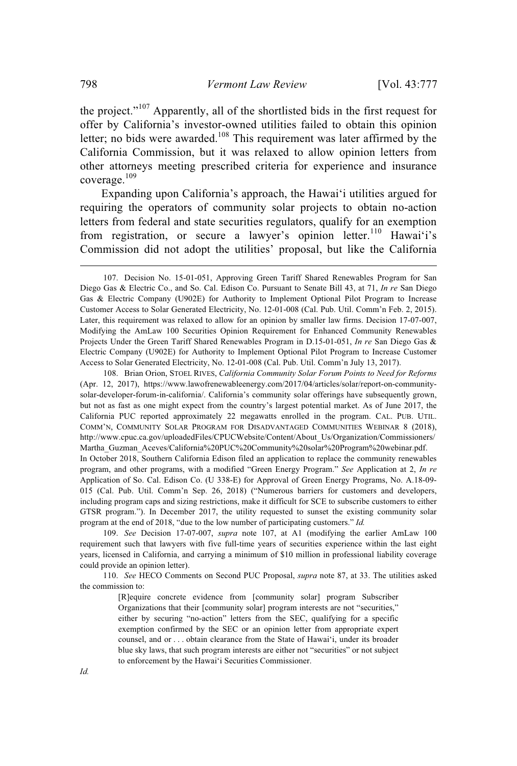the project."<sup>107</sup> Apparently, all of the shortlisted bids in the first request for offer by California's investor-owned utilities failed to obtain this opinion letter; no bids were awarded.<sup>108</sup> This requirement was later affirmed by the California Commission, but it was relaxed to allow opinion letters from other attorneys meeting prescribed criteria for experience and insurance coverage. 109

Expanding upon California's approach, the Hawaiʻi utilities argued for requiring the operators of community solar projects to obtain no-action letters from federal and state securities regulators, qualify for an exemption from registration, or secure a lawyer's opinion letter.<sup>110</sup> Hawai'i's Commission did not adopt the utilities' proposal, but like the California

108. Brian Orion, STOEL RIVES, *California Community Solar Forum Points to Need for Reforms* (Apr. 12, 2017), https://www.lawofrenewableenergy.com/2017/04/articles/solar/report-on-communitysolar-developer-forum-in-california/. California's community solar offerings have subsequently grown, but not as fast as one might expect from the country's largest potential market. As of June 2017, the California PUC reported approximately 22 megawatts enrolled in the program. CAL. PUB. UTIL. COMM'N, COMMUNITY SOLAR PROGRAM FOR DISADVANTAGED COMMUNITIES WEBINAR 8 (2018), http://www.cpuc.ca.gov/uploadedFiles/CPUCWebsite/Content/About\_Us/Organization/Commissioners/ Martha\_Guzman\_Aceves/California%20PUC%20Community%20solar%20Program%20webinar.pdf. In October 2018, Southern California Edison filed an application to replace the community renewables program, and other programs, with a modified "Green Energy Program." *See* Application at 2, *In re* Application of So. Cal. Edison Co. (U 338-E) for Approval of Green Energy Programs, No. A.18-09- 015 (Cal. Pub. Util. Comm'n Sep. 26, 2018) ("Numerous barriers for customers and developers, including program caps and sizing restrictions, make it difficult for SCE to subscribe customers to either GTSR program."). In December 2017, the utility requested to sunset the existing community solar program at the end of 2018, "due to the low number of participating customers." *Id.*

109. *See* Decision 17-07-007, *supra* note 107, at A1 (modifying the earlier AmLaw 100 requirement such that lawyers with five full-time years of securities experience within the last eight years, licensed in California, and carrying a minimum of \$10 million in professional liability coverage could provide an opinion letter).

110. *See* HECO Comments on Second PUC Proposal, *supra* note 87, at 33. The utilities asked the commission to:

> [R]equire concrete evidence from [community solar] program Subscriber Organizations that their [community solar] program interests are not "securities," either by securing "no-action" letters from the SEC, qualifying for a specific exemption confirmed by the SEC or an opinion letter from appropriate expert counsel, and or . . . obtain clearance from the State of Hawaiʻi, under its broader blue sky laws, that such program interests are either not "securities" or not subject to enforcement by the Hawaiʻi Securities Commissioner.

<sup>107.</sup> Decision No. 15-01-051, Approving Green Tariff Shared Renewables Program for San Diego Gas & Electric Co., and So. Cal. Edison Co. Pursuant to Senate Bill 43, at 71, *In re* San Diego Gas & Electric Company (U902E) for Authority to Implement Optional Pilot Program to Increase Customer Access to Solar Generated Electricity, No. 12-01-008 (Cal. Pub. Util. Comm'n Feb. 2, 2015). Later, this requirement was relaxed to allow for an opinion by smaller law firms. Decision 17-07-007, Modifying the AmLaw 100 Securities Opinion Requirement for Enhanced Community Renewables Projects Under the Green Tariff Shared Renewables Program in D.15-01-051, *In re* San Diego Gas & Electric Company (U902E) for Authority to Implement Optional Pilot Program to Increase Customer Access to Solar Generated Electricity, No. 12-01-008 (Cal. Pub. Util. Comm'n July 13, 2017).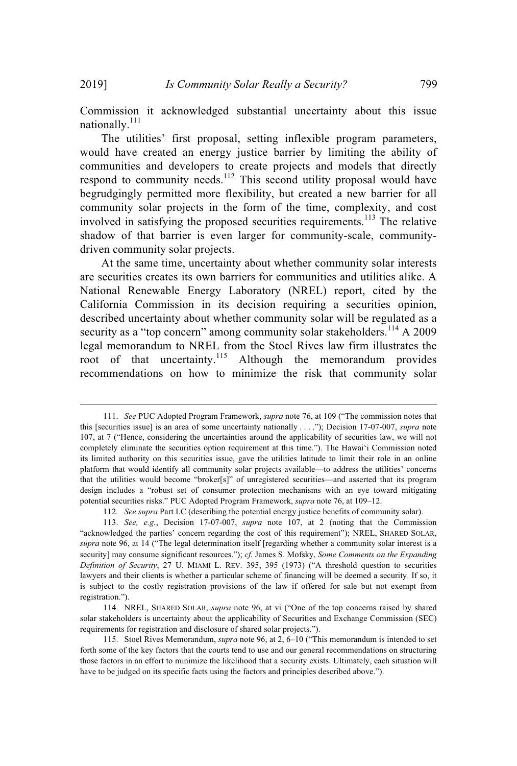Commission it acknowledged substantial uncertainty about this issue nationally.<sup>111</sup>

The utilities' first proposal, setting inflexible program parameters, would have created an energy justice barrier by limiting the ability of communities and developers to create projects and models that directly respond to community needs.<sup>112</sup> This second utility proposal would have begrudgingly permitted more flexibility, but created a new barrier for all community solar projects in the form of the time, complexity, and cost involved in satisfying the proposed securities requirements. <sup>113</sup> The relative shadow of that barrier is even larger for community-scale, communitydriven community solar projects.

At the same time, uncertainty about whether community solar interests are securities creates its own barriers for communities and utilities alike. A National Renewable Energy Laboratory (NREL) report, cited by the California Commission in its decision requiring a securities opinion, described uncertainty about whether community solar will be regulated as a security as a "top concern" among community solar stakeholders.<sup>114</sup> A 2009 legal memorandum to NREL from the Stoel Rives law firm illustrates the root of that uncertainty.<sup>115</sup> Although the memorandum provides recommendations on how to minimize the risk that community solar

<sup>111.</sup> *See* PUC Adopted Program Framework, *supra* note 76, at 109 ("The commission notes that this [securities issue] is an area of some uncertainty nationally . . . ."); Decision 17-07-007, *supra* note 107, at 7 ("Hence, considering the uncertainties around the applicability of securities law, we will not completely eliminate the securities option requirement at this time."). The Hawaiʻi Commission noted its limited authority on this securities issue, gave the utilities latitude to limit their role in an online platform that would identify all community solar projects available—to address the utilities' concerns that the utilities would become "broker[s]" of unregistered securities—and asserted that its program design includes a "robust set of consumer protection mechanisms with an eye toward mitigating potential securities risks." PUC Adopted Program Framework, *supra* note 76, at 109–12.

<sup>112</sup>*. See supra* Part I.C (describing the potential energy justice benefits of community solar).

<sup>113.</sup> *See, e.g.*, Decision 17-07-007, *supra* note 107, at 2 (noting that the Commission "acknowledged the parties' concern regarding the cost of this requirement"); NREL, SHARED SOLAR, *supra* note 96, at 14 ("The legal determination itself [regarding whether a community solar interest is a security] may consume significant resources."); *cf.* James S. Mofsky, *Some Comments on the Expanding Definition of Security*, 27 U. MIAMI L. REV. 395, 395 (1973) ("A threshold question to securities lawyers and their clients is whether a particular scheme of financing will be deemed a security. If so, it is subject to the costly registration provisions of the law if offered for sale but not exempt from registration.").

<sup>114.</sup> NREL, SHARED SOLAR, *supra* note 96, at vi ("One of the top concerns raised by shared solar stakeholders is uncertainty about the applicability of Securities and Exchange Commission (SEC) requirements for registration and disclosure of shared solar projects.").

<sup>115.</sup> Stoel Rives Memorandum, *supra* note 96, at 2, 6–10 ("This memorandum is intended to set forth some of the key factors that the courts tend to use and our general recommendations on structuring those factors in an effort to minimize the likelihood that a security exists. Ultimately, each situation will have to be judged on its specific facts using the factors and principles described above.").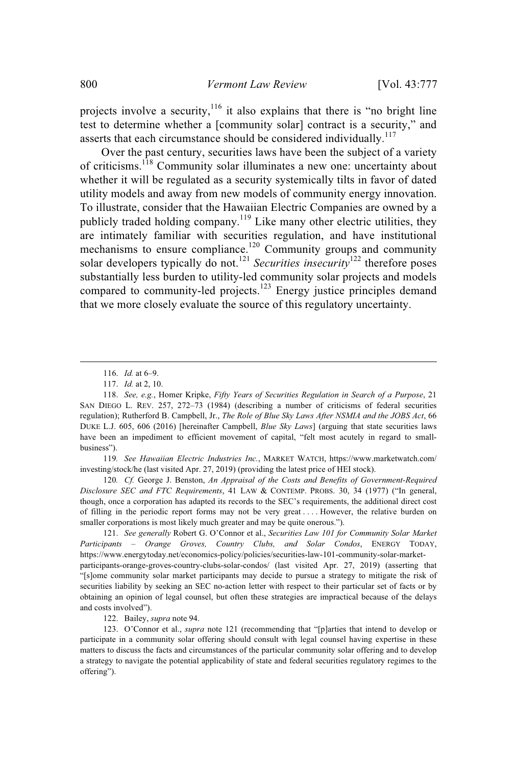projects involve a security,  $116$  it also explains that there is "no bright line test to determine whether a [community solar] contract is a security," and asserts that each circumstance should be considered individually.<sup>117</sup>

Over the past century, securities laws have been the subject of a variety of criticisms.<sup>118</sup> Community solar illuminates a new one: uncertainty about whether it will be regulated as a security systemically tilts in favor of dated utility models and away from new models of community energy innovation. To illustrate, consider that the Hawaiian Electric Companies are owned by a publicly traded holding company.<sup>119</sup> Like many other electric utilities, they are intimately familiar with securities regulation, and have institutional mechanisms to ensure compliance.<sup>120</sup> Community groups and community solar developers typically do not.<sup>121</sup> *Securities insecurity*<sup>122</sup> therefore poses substantially less burden to utility-led community solar projects and models compared to community-led projects.<sup>123</sup> Energy justice principles demand that we more closely evaluate the source of this regulatory uncertainty.

119*. See Hawaiian Electric Industries Inc.*, MARKET WATCH, https://www.marketwatch.com/ investing/stock/he (last visited Apr. 27, 2019) (providing the latest price of HEI stock).

120*. Cf.* George J. Benston, *An Appraisal of the Costs and Benefits of Government-Required Disclosure SEC and FTC Requirements*, 41 LAW & CONTEMP. PROBS. 30, 34 (1977) ("In general, though, once a corporation has adapted its records to the SEC's requirements, the additional direct cost of filling in the periodic report forms may not be very great . . . . However, the relative burden on smaller corporations is most likely much greater and may be quite onerous.").

121. *See generally* Robert G. O'Connor et al., *Securities Law 101 for Community Solar Market Participants – Orange Groves, Country Clubs, and Solar Condos*, ENERGY TODAY, https://www.energytoday.net/economics-policy/policies/securities-law-101-community-solar-marketparticipants-orange-groves-country-clubs-solar-condos/ (last visited Apr. 27, 2019) (asserting that "[s]ome community solar market participants may decide to pursue a strategy to mitigate the risk of securities liability by seeking an SEC no-action letter with respect to their particular set of facts or by obtaining an opinion of legal counsel, but often these strategies are impractical because of the delays and costs involved").

122. Bailey, *supra* note 94.

123. O'Connor et al., *supra* note 121 (recommending that "[p]arties that intend to develop or participate in a community solar offering should consult with legal counsel having expertise in these matters to discuss the facts and circumstances of the particular community solar offering and to develop a strategy to navigate the potential applicability of state and federal securities regulatory regimes to the offering").

<sup>116.</sup> *Id.* at 6–9.

<sup>117.</sup> *Id.* at 2, 10.

<sup>118.</sup> *See, e.g.*, Homer Kripke, *Fifty Years of Securities Regulation in Search of a Purpose*, 21 SAN DIEGO L. REV. 257, 272–73 (1984) (describing a number of criticisms of federal securities regulation); Rutherford B. Campbell, Jr., *The Role of Blue Sky Laws After NSMIA and the JOBS Act*, 66 DUKE L.J. 605, 606 (2016) [hereinafter Campbell, *Blue Sky Laws*] (arguing that state securities laws have been an impediment to efficient movement of capital, "felt most acutely in regard to smallbusiness").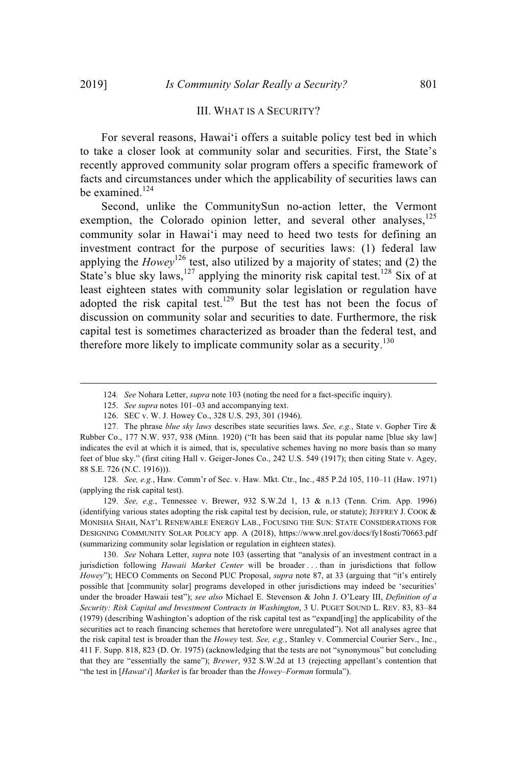### III. WHAT IS A SECURITY?

For several reasons, Hawaiʻi offers a suitable policy test bed in which to take a closer look at community solar and securities. First, the State's recently approved community solar program offers a specific framework of facts and circumstances under which the applicability of securities laws can be examined.<sup>124</sup>

Second, unlike the CommunitySun no-action letter, the Vermont exemption, the Colorado opinion letter, and several other analyses,<sup>125</sup> community solar in Hawaiʻi may need to heed two tests for defining an investment contract for the purpose of securities laws: (1) federal law applying the *Howey*<sup>126</sup> test, also utilized by a majority of states; and (2) the State's blue sky laws,<sup>127</sup> applying the minority risk capital test.<sup>128</sup> Six of at least eighteen states with community solar legislation or regulation have adopted the risk capital test.<sup>129</sup> But the test has not been the focus of discussion on community solar and securities to date. Furthermore, the risk capital test is sometimes characterized as broader than the federal test, and therefore more likely to implicate community solar as a security.<sup>130</sup>

126. SEC v. W. J. Howey Co., 328 U.S. 293, 301 (1946).

128. *See, e.g.*, Haw. Comm'r of Sec. v. Haw. Mkt. Ctr., Inc., 485 P.2d 105, 110–11 (Haw. 1971) (applying the risk capital test).

129. *See, e.g.*, Tennessee v. Brewer, 932 S.W.2d 1, 13 & n.13 (Tenn. Crim. App. 1996) (identifying various states adopting the risk capital test by decision, rule, or statute); JEFFREY J. COOK & MONISHA SHAH, NAT'L RENEWABLE ENERGY LAB., FOCUSING THE SUN: STATE CONSIDERATIONS FOR DESIGNING COMMUNITY SOLAR POLICY app. A (2018), https://www.nrel.gov/docs/fy18osti/70663.pdf (summarizing community solar legislation or regulation in eighteen states).

130. *See* Nohara Letter, *supra* note 103 (asserting that "analysis of an investment contract in a jurisdiction following *Hawaii Market Center* will be broader . . . than in jurisdictions that follow *Howey*"); HECO Comments on Second PUC Proposal, *supra* note 87, at 33 (arguing that "it's entirely possible that [community solar] programs developed in other jurisdictions may indeed be 'securities' under the broader Hawaii test"); *see also* Michael E. Stevenson & John J. O'Leary III, *Definition of a Security: Risk Capital and Investment Contracts in Washington*, 3 U. PUGET SOUND L. REV. 83, 83–84 (1979) (describing Washington's adoption of the risk capital test as "expand[ing] the applicability of the securities act to reach financing schemes that heretofore were unregulated"). Not all analyses agree that the risk capital test is broader than the *Howey* test. *See, e.g.*, Stanley v. Commercial Courier Serv., Inc., 411 F. Supp. 818, 823 (D. Or. 1975) (acknowledging that the tests are not "synonymous" but concluding that they are "essentially the same"); *Brewer*, 932 S.W.2d at 13 (rejecting appellant's contention that "the test in [*Hawai*ʻ*i*] *Market* is far broader than the *Howey–Forman* formula").

<sup>124</sup>*. See* Nohara Letter, *supra* note 103 (noting the need for a fact-specific inquiry).

<sup>125.</sup> *See supra* notes 101–03 and accompanying text.

<sup>127.</sup> The phrase *blue sky laws* describes state securities laws. *See, e.g.*, State v. Gopher Tire & Rubber Co., 177 N.W. 937, 938 (Minn. 1920) ("It has been said that its popular name [blue sky law] indicates the evil at which it is aimed, that is, speculative schemes having no more basis than so many feet of blue sky." (first citing Hall v. Geiger-Jones Co., 242 U.S. 549 (1917); then citing State v. Agey, 88 S.E. 726 (N.C. 1916))).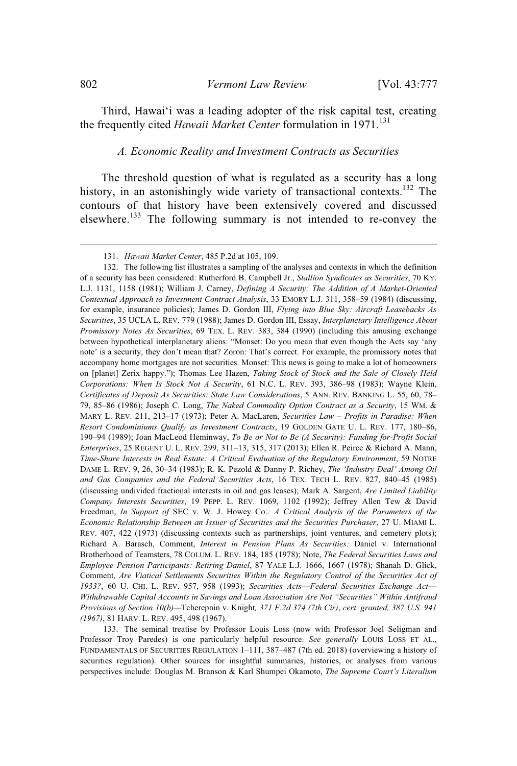Third, Hawaiʻi was a leading adopter of the risk capital test, creating the frequently cited *Hawaii Market Center* formulation in 1971.<sup>131</sup>

#### *A. Economic Reality and Investment Contracts as Securities*

The threshold question of what is regulated as a security has a long history, in an astonishingly wide variety of transactional contexts.<sup>132</sup> The contours of that history have been extensively covered and discussed elsewhere.<sup>133</sup> The following summary is not intended to re-convey the

<sup>131.</sup> *Hawaii Market Center*, 485 P.2d at 105, 109.

<sup>132.</sup> The following list illustrates a sampling of the analyses and contexts in which the definition of a security has been considered: Rutherford B. Campbell Jr., *Stallion Syndicates as Securities*, 70 KY. L.J. 1131, 1158 (1981); William J. Carney, *Defining A Security: The Addition of A Market-Oriented Contextual Approach to Investment Contract Analysis*, 33 EMORY L.J. 311, 358–59 (1984) (discussing, for example, insurance policies); James D. Gordon III, *Flying into Blue Sky: Aircraft Leasebacks As Securities*, 35 UCLA L. REV. 779 (1988); James D. Gordon III, Essay, *Interplanetary Intelligence About Promissory Notes As Securities*, 69 TEX. L. REV. 383, 384 (1990) (including this amusing exchange between hypothetical interplanetary aliens: "Monset: Do you mean that even though the Acts say 'any note' is a security, they don't mean that? Zoron: That's correct. For example, the promissory notes that accompany home mortgages are not securities. Monset: This news is going to make a lot of homeowners on [planet] Zerix happy."); Thomas Lee Hazen, *Taking Stock of Stock and the Sale of Closely Held Corporations: When Is Stock Not A Security*, 61 N.C. L. REV. 393, 386–98 (1983); Wayne Klein, *Certificates of Deposit As Securities: State Law Considerations*, 5 ANN. REV. BANKING L. 55, 60, 78– 79, 85–86 (1986); Joseph C. Long, *The Naked Commodity Option Contract as a Security*, 15 WM. & MARY L. REV. 211, 213–17 (1973); Peter A. MacLaren, *Securities Law – Profits in Paradise: When Resort Condominiums Qualify as Investment Contracts*, 19 GOLDEN GATE U. L. REV. 177, 180–86, 190–94 (1989); Joan MacLeod Heminway, *To Be or Not to Be (A Security): Funding for-Profit Social Enterprises*, 25 REGENT U. L. REV. 299, 311–13, 315, 317 (2013); Ellen R. Peirce & Richard A. Mann, *Time-Share Interests in Real Estate: A Critical Evaluation of the Regulatory Environment*, 59 NOTRE DAME L. REV. 9, 26, 30–34 (1983); R. K. Pezold & Danny P. Richey, *The 'Industry Deal' Among Oil and Gas Companies and the Federal Securities Acts*, 16 TEX. TECH L. REV. 827, 840–45 (1985) (discussing undivided fractional interests in oil and gas leases); Mark A. Sargent, *Are Limited Liability Company Interests Securities*, 19 PEPP. L. REV. 1069, 1102 (1992); Jeffrey Allen Tew & David Freedman, *In Support of* SEC v. W. J. Howey Co.*: A Critical Analysis of the Parameters of the Economic Relationship Between an Issuer of Securities and the Securities Purchaser*, 27 U. MIAMI L. REV. 407, 422 (1973) (discussing contexts such as partnerships, joint ventures, and cemetery plots); Richard A. Barasch, Comment, *Interest in Pension Plans As Securities:* Daniel v. International Brotherhood of Teamsters, 78 COLUM. L. REV. 184, 185 (1978); Note, *The Federal Securities Laws and Employee Pension Participants: Retiring Daniel*, 87 YALE L.J. 1666, 1667 (1978); Shanah D. Glick, Comment, *Are Viatical Settlements Securities Within the Regulatory Control of the Securities Act of 1933?*, 60 U. CHI. L. REV. 957, 958 (1993); *Securities Acts*—*Federal Securities Exchange Act*— *Withdrawable Capital Accounts in Savings and Loan Association Are Not "Securities" Within Antifraud Provisions of Section 10(b)—*Tcherepnin v. Knight*, 371 F.2d 374 (7th Cir)*, *cert. granted, 387 U.S. 941 (1967)*, 81 HARV. L. REV. 495, 498 (1967).

<sup>133.</sup> The seminal treatise by Professor Louis Loss (now with Professor Joel Seligman and Professor Troy Paredes) is one particularly helpful resource. *See generally* LOUIS LOSS ET AL., FUNDAMENTALS OF SECURITIES REGULATION 1–111, 387–487 (7th ed. 2018) (overviewing a history of securities regulation). Other sources for insightful summaries, histories, or analyses from various perspectives include: Douglas M. Branson & Karl Shumpei Okamoto, *The Supreme Court's Literalism*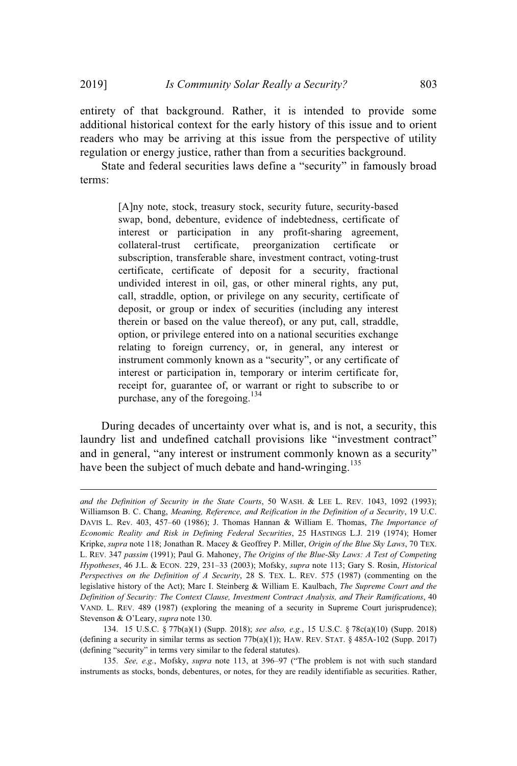entirety of that background. Rather, it is intended to provide some additional historical context for the early history of this issue and to orient readers who may be arriving at this issue from the perspective of utility regulation or energy justice, rather than from a securities background.

State and federal securities laws define a "security" in famously broad terms:

> [A]ny note, stock, treasury stock, security future, security-based swap, bond, debenture, evidence of indebtedness, certificate of interest or participation in any profit-sharing agreement, collateral-trust certificate, preorganization certificate or subscription, transferable share, investment contract, voting-trust certificate, certificate of deposit for a security, fractional undivided interest in oil, gas, or other mineral rights, any put, call, straddle, option, or privilege on any security, certificate of deposit, or group or index of securities (including any interest therein or based on the value thereof), or any put, call, straddle, option, or privilege entered into on a national securities exchange relating to foreign currency, or, in general, any interest or instrument commonly known as a "security", or any certificate of interest or participation in, temporary or interim certificate for, receipt for, guarantee of, or warrant or right to subscribe to or purchase, any of the foregoing.<sup>134</sup>

During decades of uncertainty over what is, and is not, a security, this laundry list and undefined catchall provisions like "investment contract" and in general, "any interest or instrument commonly known as a security" have been the subject of much debate and hand-wringing.<sup>135</sup>

*and the Definition of Security in the State Courts*, 50 WASH. & LEE L. REV. 1043, 1092 (1993); Williamson B. C. Chang, *Meaning, Reference, and Reification in the Definition of a Security*, 19 U.C. DAVIS L. Rev. 403, 457–60 (1986); J. Thomas Hannan & William E. Thomas, *The Importance of Economic Reality and Risk in Defining Federal Securities*, 25 HASTINGS L.J. 219 (1974); Homer Kripke, *supra* note 118; Jonathan R. Macey & Geoffrey P. Miller, *Origin of the Blue Sky Laws*, 70 TEX. L. REV. 347 *passim* (1991); Paul G. Mahoney, *The Origins of the Blue-Sky Laws: A Test of Competing Hypotheses*, 46 J.L. & ECON. 229, 231–33 (2003); Mofsky, *supra* note 113; Gary S. Rosin, *Historical Perspectives on the Definition of A Security*, 28 S. TEX. L. REV. 575 (1987) (commenting on the legislative history of the Act); Marc I. Steinberg & William E. Kaulbach, *The Supreme Court and the Definition of Security: The Context Clause, Investment Contract Analysis, and Their Ramifications*, 40 VAND. L. REV. 489 (1987) (exploring the meaning of a security in Supreme Court jurisprudence); Stevenson & O'Leary, *supra* note 130.

<sup>134.</sup> 15 U.S.C. § 77b(a)(1) (Supp. 2018); *see also, e.g.*, 15 U.S.C. § 78c(a)(10) (Supp. 2018) (defining a security in similar terms as section  $77b(a)(1)$ ); HAW. REV. STAT. § 485A-102 (Supp. 2017) (defining "security" in terms very similar to the federal statutes).

<sup>135.</sup> *See, e.g.*, Mofsky, *supra* note 113, at 396–97 ("The problem is not with such standard instruments as stocks, bonds, debentures, or notes, for they are readily identifiable as securities. Rather,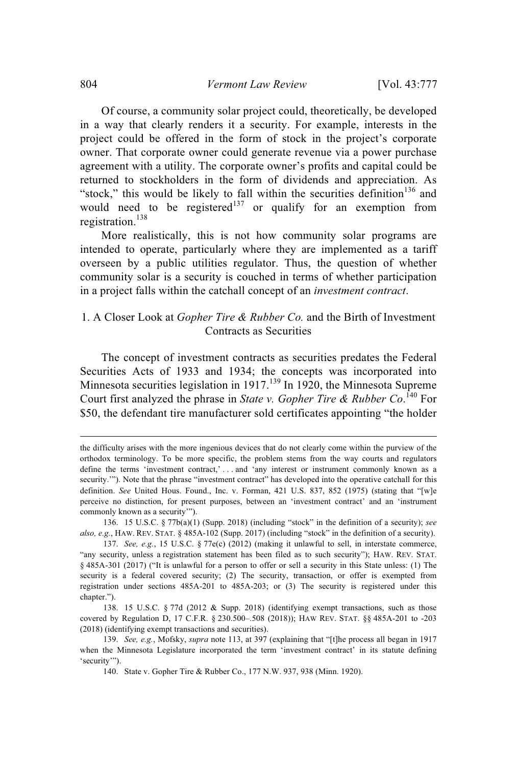Of course, a community solar project could, theoretically, be developed in a way that clearly renders it a security. For example, interests in the project could be offered in the form of stock in the project's corporate owner. That corporate owner could generate revenue via a power purchase agreement with a utility. The corporate owner's profits and capital could be returned to stockholders in the form of dividends and appreciation. As "stock," this would be likely to fall within the securities definition<sup>136</sup> and would need to be registered<sup>137</sup> or qualify for an exemption from registration. 138

More realistically, this is not how community solar programs are intended to operate, particularly where they are implemented as a tariff overseen by a public utilities regulator. Thus, the question of whether community solar is a security is couched in terms of whether participation in a project falls within the catchall concept of an *investment contract*.

# 1. A Closer Look at *Gopher Tire & Rubber Co.* and the Birth of Investment Contracts as Securities

The concept of investment contracts as securities predates the Federal Securities Acts of 1933 and 1934; the concepts was incorporated into Minnesota securities legislation in  $1917<sup>139</sup>$  In 1920, the Minnesota Supreme Court first analyzed the phrase in *State v. Gopher Tire & Rubber Co*. <sup>140</sup> For \$50, the defendant tire manufacturer sold certificates appointing "the holder

the difficulty arises with the more ingenious devices that do not clearly come within the purview of the orthodox terminology. To be more specific, the problem stems from the way courts and regulators define the terms 'investment contract,' . . . and 'any interest or instrument commonly known as a security.""). Note that the phrase "investment contract" has developed into the operative catchall for this definition. *See* United Hous. Found., Inc. v. Forman, 421 U.S. 837, 852 (1975) (stating that "[w]e perceive no distinction, for present purposes, between an 'investment contract' and an 'instrument commonly known as a security'").

<sup>136.</sup> 15 U.S.C. § 77b(a)(1) (Supp. 2018) (including "stock" in the definition of a security); *see also, e.g.*, HAW. REV. STAT. § 485A-102 (Supp. 2017) (including "stock" in the definition of a security).

<sup>137.</sup> *See, e.g.*, 15 U.S.C. § 77e(c) (2012) (making it unlawful to sell, in interstate commerce, "any security, unless a registration statement has been filed as to such security"); HAW. REV. STAT. § 485A-301 (2017) ("It is unlawful for a person to offer or sell a security in this State unless: (1) The security is a federal covered security; (2) The security, transaction, or offer is exempted from registration under sections 485A-201 to 485A-203; or (3) The security is registered under this chapter.").

<sup>138.</sup> 15 U.S.C. § 77d (2012 & Supp. 2018) (identifying exempt transactions, such as those covered by Regulation D, 17 C.F.R. § 230.500–.508 (2018)); HAW REV. STAT. §§ 485A-201 to -203 (2018) (identifying exempt transactions and securities).

<sup>139.</sup> *See, e.g.*, Mofsky, *supra* note 113, at 397 (explaining that "[t]he process all began in 1917 when the Minnesota Legislature incorporated the term 'investment contract' in its statute defining 'security'").

<sup>140.</sup> State v. Gopher Tire & Rubber Co., 177 N.W. 937, 938 (Minn. 1920).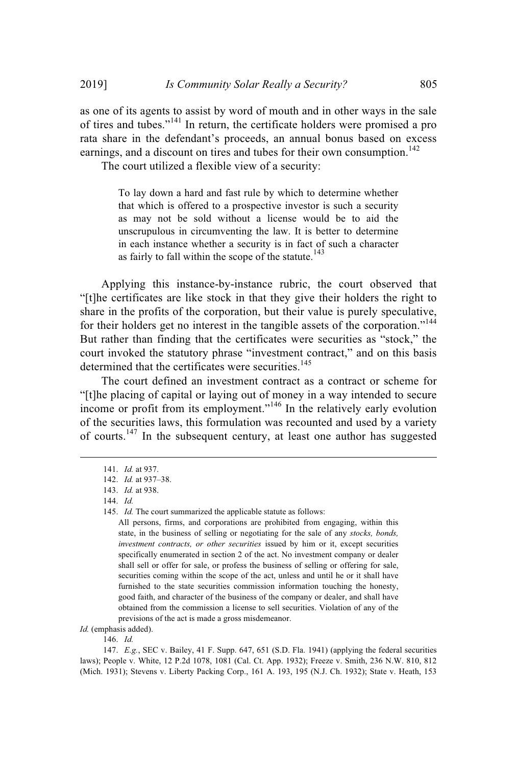as one of its agents to assist by word of mouth and in other ways in the sale of tires and tubes."<sup>141</sup> In return, the certificate holders were promised a pro rata share in the defendant's proceeds, an annual bonus based on excess earnings, and a discount on tires and tubes for their own consumption.<sup>142</sup>

The court utilized a flexible view of a security:

To lay down a hard and fast rule by which to determine whether that which is offered to a prospective investor is such a security as may not be sold without a license would be to aid the unscrupulous in circumventing the law. It is better to determine in each instance whether a security is in fact of such a character as fairly to fall within the scope of the statute.<sup>143</sup>

Applying this instance-by-instance rubric, the court observed that "[t]he certificates are like stock in that they give their holders the right to share in the profits of the corporation, but their value is purely speculative, for their holders get no interest in the tangible assets of the corporation."<sup>144</sup> But rather than finding that the certificates were securities as "stock," the court invoked the statutory phrase "investment contract," and on this basis determined that the certificates were securities.<sup>145</sup>

The court defined an investment contract as a contract or scheme for "[t]he placing of capital or laying out of money in a way intended to secure income or profit from its employment."<sup>146</sup> In the relatively early evolution of the securities laws, this formulation was recounted and used by a variety of courts.<sup>147</sup> In the subsequent century, at least one author has suggested

*Id.* (emphasis added).

146. *Id.*

147. *E.g.*, SEC v. Bailey, 41 F. Supp. 647, 651 (S.D. Fla. 1941) (applying the federal securities laws); People v. White, 12 P.2d 1078, 1081 (Cal. Ct. App. 1932); Freeze v. Smith, 236 N.W. 810, 812 (Mich. 1931); Stevens v. Liberty Packing Corp., 161 A. 193, 195 (N.J. Ch. 1932); State v. Heath, 153

<sup>141.</sup> *Id.* at 937.

<sup>142.</sup> *Id.* at 937–38.

<sup>143.</sup> *Id.* at 938.

<sup>144.</sup> *Id.*

<sup>145.</sup> *Id.* The court summarized the applicable statute as follows:

All persons, firms, and corporations are prohibited from engaging, within this state, in the business of selling or negotiating for the sale of any *stocks, bonds, investment contracts, or other securities* issued by him or it, except securities specifically enumerated in section 2 of the act. No investment company or dealer shall sell or offer for sale, or profess the business of selling or offering for sale, securities coming within the scope of the act, unless and until he or it shall have furnished to the state securities commission information touching the honesty, good faith, and character of the business of the company or dealer, and shall have obtained from the commission a license to sell securities. Violation of any of the previsions of the act is made a gross misdemeanor.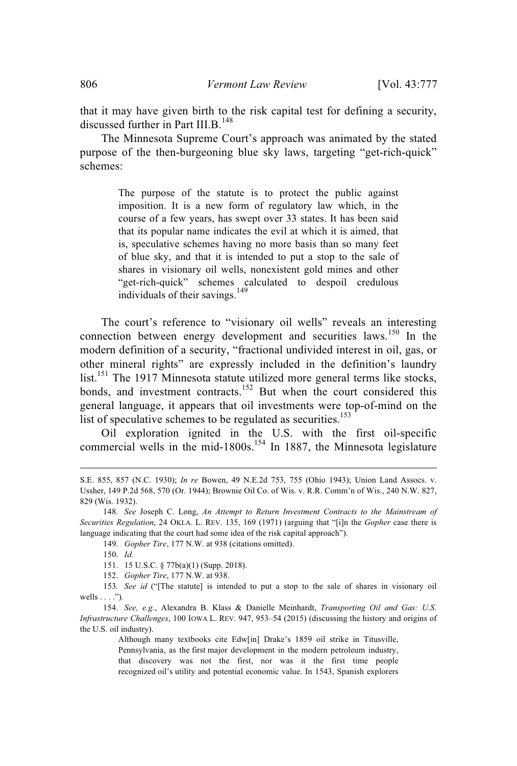that it may have given birth to the risk capital test for defining a security, discussed further in Part III.B.<sup>148</sup>

The Minnesota Supreme Court's approach was animated by the stated purpose of the then-burgeoning blue sky laws, targeting "get-rich-quick" schemes:

> The purpose of the statute is to protect the public against imposition. It is a new form of regulatory law which, in the course of a few years, has swept over 33 states. It has been said that its popular name indicates the evil at which it is aimed, that is, speculative schemes having no more basis than so many feet of blue sky, and that it is intended to put a stop to the sale of shares in visionary oil wells, nonexistent gold mines and other "get-rich-quick" schemes calculated to despoil credulous individuals of their savings.<sup>149</sup>

The court's reference to "visionary oil wells" reveals an interesting connection between energy development and securities laws.<sup>150</sup> In the modern definition of a security, "fractional undivided interest in oil, gas, or other mineral rights" are expressly included in the definition's laundry list.<sup>151</sup> The 1917 Minnesota statute utilized more general terms like stocks, bonds, and investment contracts.<sup>152</sup> But when the court considered this general language, it appears that oil investments were top-of-mind on the list of speculative schemes to be regulated as securities.<sup>153</sup>

Oil exploration ignited in the U.S. with the first oil-specific commercial wells in the mid-1800s.<sup>154</sup> In 1887, the Minnesota legislature

152. *Gopher Tire*, 177 N.W. at 938.

Although many textbooks cite Edw[in] Drake's 1859 oil strike in Titusville, Pennsylvania, as the first major development in the modern petroleum industry, that discovery was not the first, nor was it the first time people recognized oil's utility and potential economic value. In 1543, Spanish explorers

S.E. 855, 857 (N.C. 1930); *In re* Bowen, 49 N.E.2d 753, 755 (Ohio 1943); Union Land Assocs. v. Ussher, 149 P.2d 568, 570 (Or. 1944); Brownie Oil Co. of Wis. v. R.R. Comm'n of Wis., 240 N.W. 827, 829 (Wis. 1932).

<sup>148.</sup> *See* Joseph C. Long, *An Attempt to Return Investment Contracts to the Mainstream of Securities Regulation*, 24 OKLA. L. REV. 135, 169 (1971) (arguing that "[i]n the *Gopher* case there is language indicating that the court had some idea of the risk capital approach").

<sup>149.</sup> *Gopher Tire*, 177 N.W. at 938 (citations omitted).

<sup>150.</sup> *Id.*

<sup>151.</sup> 15 U.S.C. § 77b(a)(1) (Supp. 2018).

<sup>153</sup>*. See id* ("[The statute] is intended to put a stop to the sale of shares in visionary oil wells . . . .")*.*

<sup>154.</sup> *See, e.g.*, Alexandra B. Klass & Danielle Meinhardt, *Transporting Oil and Gas: U.S. Infrastructure Challenges*, 100 IOWA L. REV. 947, 953–54 (2015) (discussing the history and origins of the U.S. oil industry).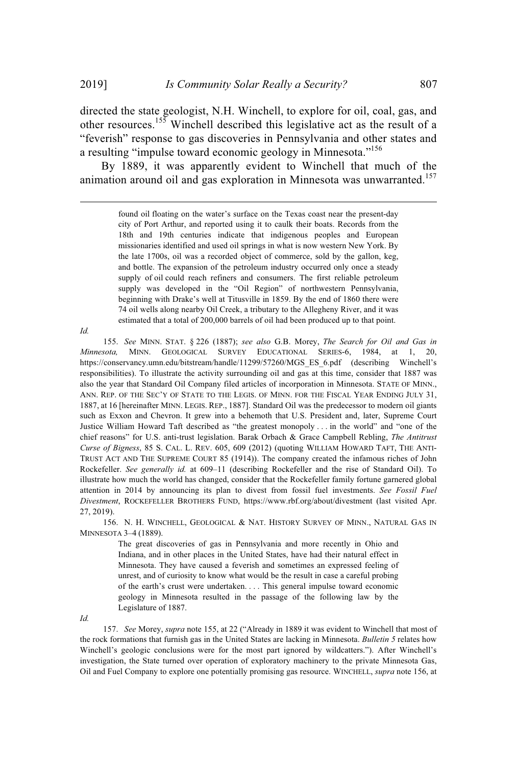directed the state geologist, N.H. Winchell, to explore for oil, coal, gas, and other resources. <sup>155</sup> Winchell described this legislative act as the result of a "feverish" response to gas discoveries in Pennsylvania and other states and a resulting "impulse toward economic geology in Minnesota."<sup>156</sup>

By 1889, it was apparently evident to Winchell that much of the animation around oil and gas exploration in Minnesota was unwarranted.<sup>157</sup>

> found oil floating on the water's surface on the Texas coast near the present-day city of Port Arthur, and reported using it to caulk their boats. Records from the 18th and 19th centuries indicate that indigenous peoples and European missionaries identified and used oil springs in what is now western New York. By the late 1700s, oil was a recorded object of commerce, sold by the gallon, keg, and bottle. The expansion of the petroleum industry occurred only once a steady supply of oil could reach refiners and consumers. The first reliable petroleum supply was developed in the "Oil Region" of northwestern Pennsylvania, beginning with Drake's well at Titusville in 1859. By the end of 1860 there were 74 oil wells along nearby Oil Creek, a tributary to the Allegheny River, and it was estimated that a total of 200,000 barrels of oil had been produced up to that point.

*Id.*

155. *See* MINN. STAT. § 226 (1887); *see also* G.B. Morey, *The Search for Oil and Gas in Minnesota,* MINN. GEOLOGICAL SURVEY EDUCATIONAL SERIES-6, 1984, at 1, 20, https://conservancy.umn.edu/bitstream/handle/11299/57260/MGS\_ES\_6.pdf (describing Winchell's responsibilities). To illustrate the activity surrounding oil and gas at this time, consider that 1887 was also the year that Standard Oil Company filed articles of incorporation in Minnesota. STATE OF MINN., ANN. REP. OF THE SEC'Y OF STATE TO THE LEGIS. OF MINN. FOR THE FISCAL YEAR ENDING JULY 31, 1887, at 16 [hereinafter MINN. LEGIS. REP., 1887]. Standard Oil was the predecessor to modern oil giants such as Exxon and Chevron. It grew into a behemoth that U.S. President and, later, Supreme Court Justice William Howard Taft described as "the greatest monopoly . . . in the world" and "one of the chief reasons" for U.S. anti-trust legislation. Barak Orbach & Grace Campbell Rebling, *The Antitrust Curse of Bigness*, 85 S. CAL. L. REV. 605, 609 (2012) (quoting WILLIAM HOWARD TAFT, THE ANTI-TRUST ACT AND THE SUPREME COURT 85 (1914)). The company created the infamous riches of John Rockefeller. *See generally id.* at 609–11 (describing Rockefeller and the rise of Standard Oil). To illustrate how much the world has changed, consider that the Rockefeller family fortune garnered global attention in 2014 by announcing its plan to divest from fossil fuel investments. *See Fossil Fuel Divestment*, ROCKEFELLER BROTHERS FUND, https://www.rbf.org/about/divestment (last visited Apr. 27, 2019).

156. N. H. WINCHELL, GEOLOGICAL & NAT. HISTORY SURVEY OF MINN., NATURAL GAS IN MINNESOTA 3–4 (1889).

> The great discoveries of gas in Pennsylvania and more recently in Ohio and Indiana, and in other places in the United States, have had their natural effect in Minnesota. They have caused a feverish and sometimes an expressed feeling of unrest, and of curiosity to know what would be the result in case a careful probing of the earth's crust were undertaken. . . . This general impulse toward economic geology in Minnesota resulted in the passage of the following law by the Legislature of 1887.

*Id.*

157. *See* Morey, *supra* note 155, at 22 ("Already in 1889 it was evident to Winchell that most of the rock formations that furnish gas in the United States are lacking in Minnesota. *Bulletin 5* relates how Winchell's geologic conclusions were for the most part ignored by wildcatters."). After Winchell's investigation, the State turned over operation of exploratory machinery to the private Minnesota Gas, Oil and Fuel Company to explore one potentially promising gas resource. WINCHELL, *supra* note 156, at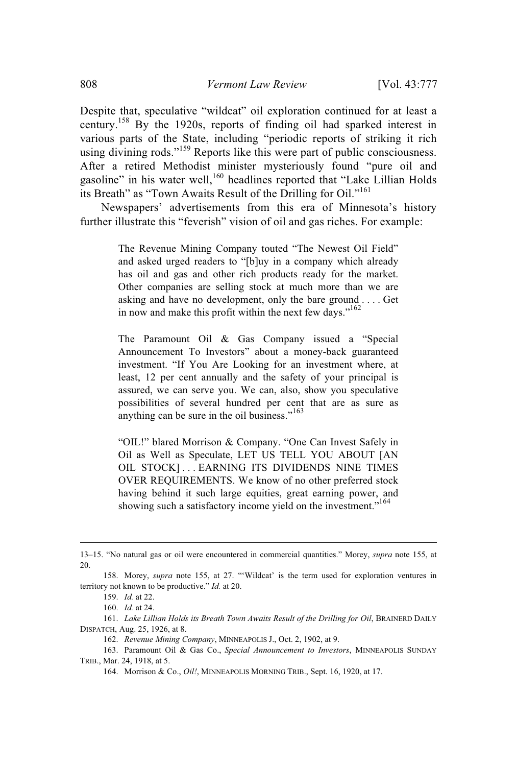Despite that, speculative "wildcat" oil exploration continued for at least a century.<sup>158</sup> By the 1920s, reports of finding oil had sparked interest in various parts of the State, including "periodic reports of striking it rich using divining rods."<sup>159</sup> Reports like this were part of public consciousness. After a retired Methodist minister mysteriously found "pure oil and gasoline" in his water well, $160$  headlines reported that "Lake Lillian Holds" its Breath" as "Town Awaits Result of the Drilling for Oil."<sup>161</sup>

Newspapers' advertisements from this era of Minnesota's history further illustrate this "feverish" vision of oil and gas riches. For example:

> The Revenue Mining Company touted "The Newest Oil Field" and asked urged readers to "[b]uy in a company which already has oil and gas and other rich products ready for the market. Other companies are selling stock at much more than we are asking and have no development, only the bare ground . . . . Get in now and make this profit within the next few days."<sup>162</sup>

> The Paramount Oil & Gas Company issued a "Special Announcement To Investors" about a money-back guaranteed investment. "If You Are Looking for an investment where, at least, 12 per cent annually and the safety of your principal is assured, we can serve you. We can, also, show you speculative possibilities of several hundred per cent that are as sure as anything can be sure in the oil business."<sup>163</sup>

> "OIL!" blared Morrison & Company. "One Can Invest Safely in Oil as Well as Speculate, LET US TELL YOU ABOUT [AN OIL STOCK]... EARNING ITS DIVIDENDS NINE TIMES OVER REQUIREMENTS. We know of no other preferred stock having behind it such large equities, great earning power, and showing such a satisfactory income yield on the investment."<sup>164</sup>

161. *Lake Lillian Holds its Breath Town Awaits Result of the Drilling for Oil*, BRAINERD DAILY DISPATCH, Aug. 25, 1926, at 8.

<sup>13–15. &</sup>quot;No natural gas or oil were encountered in commercial quantities." Morey, *supra* note 155, at 20.

<sup>158.</sup> Morey, *supra* note 155, at 27. "'Wildcat' is the term used for exploration ventures in territory not known to be productive." *Id.* at 20.

<sup>159.</sup> *Id.* at 22.

<sup>160.</sup> *Id.* at 24.

<sup>162.</sup> *Revenue Mining Company*, MINNEAPOLIS J., Oct. 2, 1902, at 9.

<sup>163.</sup> Paramount Oil & Gas Co., *Special Announcement to Investors*, MINNEAPOLIS SUNDAY TRIB., Mar. 24, 1918, at 5.

<sup>164.</sup> Morrison & Co., *Oil!*, MINNEAPOLIS MORNING TRIB., Sept. 16, 1920, at 17.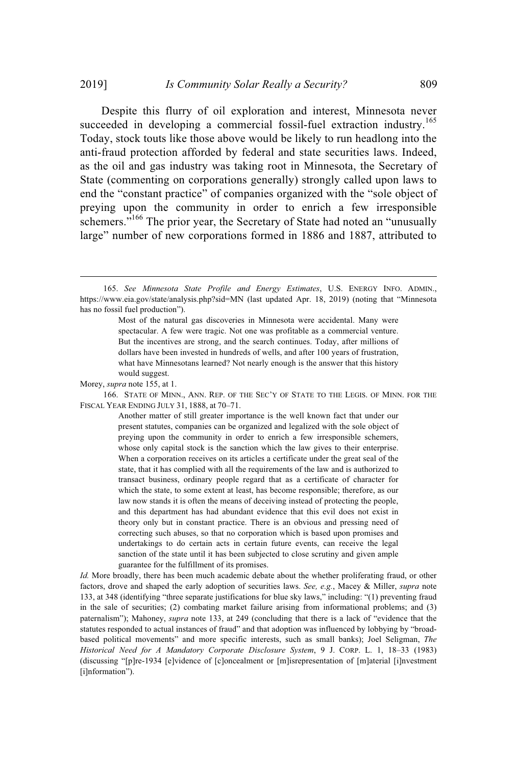Despite this flurry of oil exploration and interest, Minnesota never succeeded in developing a commercial fossil-fuel extraction industry.<sup>165</sup> Today, stock touts like those above would be likely to run headlong into the anti-fraud protection afforded by federal and state securities laws. Indeed, as the oil and gas industry was taking root in Minnesota, the Secretary of State (commenting on corporations generally) strongly called upon laws to end the "constant practice" of companies organized with the "sole object of preying upon the community in order to enrich a few irresponsible schemers."<sup>166</sup> The prior year, the Secretary of State had noted an "unusually large" number of new corporations formed in 1886 and 1887, attributed to

166. STATE OF MINN., ANN. REP. OF THE SEC'Y OF STATE TO THE LEGIS. OF MINN. FOR THE FISCAL YEAR ENDING JULY 31, 1888, at 70–71.

> Another matter of still greater importance is the well known fact that under our present statutes, companies can be organized and legalized with the sole object of preying upon the community in order to enrich a few irresponsible schemers, whose only capital stock is the sanction which the law gives to their enterprise. When a corporation receives on its articles a certificate under the great seal of the state, that it has complied with all the requirements of the law and is authorized to transact business, ordinary people regard that as a certificate of character for which the state, to some extent at least, has become responsible; therefore, as our law now stands it is often the means of deceiving instead of protecting the people, and this department has had abundant evidence that this evil does not exist in theory only but in constant practice. There is an obvious and pressing need of correcting such abuses, so that no corporation which is based upon promises and undertakings to do certain acts in certain future events, can receive the legal sanction of the state until it has been subjected to close scrutiny and given ample guarantee for the fulfillment of its promises.

*Id.* More broadly, there has been much academic debate about the whether proliferating fraud, or other factors, drove and shaped the early adoption of securities laws. *See, e.g.*, Macey & Miller, *supra* note 133, at 348 (identifying "three separate justifications for blue sky laws," including: "(1) preventing fraud in the sale of securities; (2) combating market failure arising from informational problems; and (3) paternalism"); Mahoney, *supra* note 133, at 249 (concluding that there is a lack of "evidence that the statutes responded to actual instances of fraud" and that adoption was influenced by lobbying by "broadbased political movements" and more specific interests, such as small banks); Joel Seligman, *The Historical Need for A Mandatory Corporate Disclosure System*, 9 J. CORP. L. 1, 18–33 (1983) (discussing "[p]re-1934 [e]vidence of [c]oncealment or [m]isrepresentation of [m]aterial [i]nvestment [i]nformation").

<sup>165.</sup> *See Minnesota State Profile and Energy Estimates*, U.S. ENERGY INFO. ADMIN., https://www.eia.gov/state/analysis.php?sid=MN (last updated Apr. 18, 2019) (noting that "Minnesota has no fossil fuel production").

Most of the natural gas discoveries in Minnesota were accidental. Many were spectacular. A few were tragic. Not one was profitable as a commercial venture. But the incentives are strong, and the search continues. Today, after millions of dollars have been invested in hundreds of wells, and after 100 years of frustration, what have Minnesotans learned? Not nearly enough is the answer that this history would suggest.

Morey, *supra* note 155, at 1.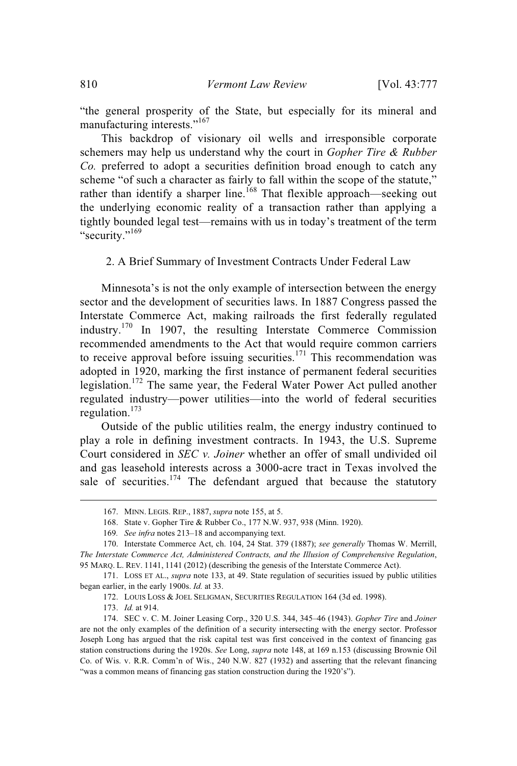"the general prosperity of the State, but especially for its mineral and manufacturing interests."<sup>167</sup>

This backdrop of visionary oil wells and irresponsible corporate schemers may help us understand why the court in *Gopher Tire & Rubber Co.* preferred to adopt a securities definition broad enough to catch any scheme "of such a character as fairly to fall within the scope of the statute," rather than identify a sharper line.<sup>168</sup> That flexible approach—seeking out the underlying economic reality of a transaction rather than applying a tightly bounded legal test—remains with us in today's treatment of the term "security."<sup>169</sup>

## 2. A Brief Summary of Investment Contracts Under Federal Law

Minnesota's is not the only example of intersection between the energy sector and the development of securities laws. In 1887 Congress passed the Interstate Commerce Act, making railroads the first federally regulated industry.<sup>170</sup> In 1907, the resulting Interstate Commerce Commission recommended amendments to the Act that would require common carriers to receive approval before issuing securities.<sup>171</sup> This recommendation was adopted in 1920, marking the first instance of permanent federal securities legislation.<sup>172</sup> The same year, the Federal Water Power Act pulled another regulated industry—power utilities—into the world of federal securities regulation. 173

Outside of the public utilities realm, the energy industry continued to play a role in defining investment contracts. In 1943, the U.S. Supreme Court considered in *SEC v. Joiner* whether an offer of small undivided oil and gas leasehold interests across a 3000-acre tract in Texas involved the sale of securities.<sup>174</sup> The defendant argued that because the statutory

<sup>167.</sup> MINN. LEGIS. REP., 1887, *supra* note 155, at 5.

<sup>168.</sup> State v. Gopher Tire & Rubber Co., 177 N.W. 937, 938 (Minn. 1920).

<sup>169</sup>*. See infra* notes 213–18 and accompanying text.

<sup>170.</sup> Interstate Commerce Act, ch. 104, 24 Stat. 379 (1887); *see generally* Thomas W. Merrill, *The Interstate Commerce Act, Administered Contracts, and the Illusion of Comprehensive Regulation*, 95 MARQ. L. REV. 1141, 1141 (2012) (describing the genesis of the Interstate Commerce Act).

<sup>171.</sup> LOSS ET AL., *supra* note 133, at 49. State regulation of securities issued by public utilities began earlier, in the early 1900s. *Id.* at 33.

<sup>172.</sup> LOUIS LOSS & JOEL SELIGMAN, SECURITIES REGULATION 164 (3d ed. 1998).

<sup>173.</sup> *Id.* at 914.

<sup>174.</sup> SEC v. C. M. Joiner Leasing Corp., 320 U.S. 344, 345–46 (1943). *Gopher Tire* and *Joiner* are not the only examples of the definition of a security intersecting with the energy sector. Professor Joseph Long has argued that the risk capital test was first conceived in the context of financing gas station constructions during the 1920s. *See* Long, *supra* note 148, at 169 n.153 (discussing Brownie Oil Co. of Wis. v. R.R. Comm'n of Wis., 240 N.W. 827 (1932) and asserting that the relevant financing "was a common means of financing gas station construction during the 1920's").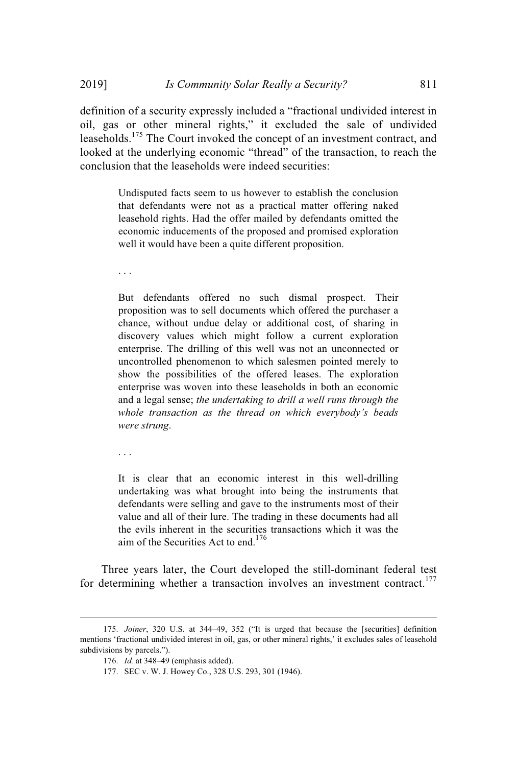definition of a security expressly included a "fractional undivided interest in oil, gas or other mineral rights," it excluded the sale of undivided leaseholds.<sup>175</sup> The Court invoked the concept of an investment contract, and looked at the underlying economic "thread" of the transaction, to reach the conclusion that the leaseholds were indeed securities:

> Undisputed facts seem to us however to establish the conclusion that defendants were not as a practical matter offering naked leasehold rights. Had the offer mailed by defendants omitted the economic inducements of the proposed and promised exploration well it would have been a quite different proposition.

. . .

But defendants offered no such dismal prospect. Their proposition was to sell documents which offered the purchaser a chance, without undue delay or additional cost, of sharing in discovery values which might follow a current exploration enterprise. The drilling of this well was not an unconnected or uncontrolled phenomenon to which salesmen pointed merely to show the possibilities of the offered leases. The exploration enterprise was woven into these leaseholds in both an economic and a legal sense; *the undertaking to drill a well runs through the whole transaction as the thread on which everybody's beads were strung*.

. . .

It is clear that an economic interest in this well-drilling undertaking was what brought into being the instruments that defendants were selling and gave to the instruments most of their value and all of their lure. The trading in these documents had all the evils inherent in the securities transactions which it was the aim of the Securities Act to end.<sup>176</sup>

Three years later, the Court developed the still-dominant federal test for determining whether a transaction involves an investment contract.<sup>177</sup>

<sup>175.</sup> *Joiner*, 320 U.S. at 344–49, 352 ("It is urged that because the [securities] definition mentions 'fractional undivided interest in oil, gas, or other mineral rights,' it excludes sales of leasehold subdivisions by parcels.").

<sup>176.</sup> *Id.* at 348–49 (emphasis added).

<sup>177.</sup> SEC v. W. J. Howey Co., 328 U.S. 293, 301 (1946).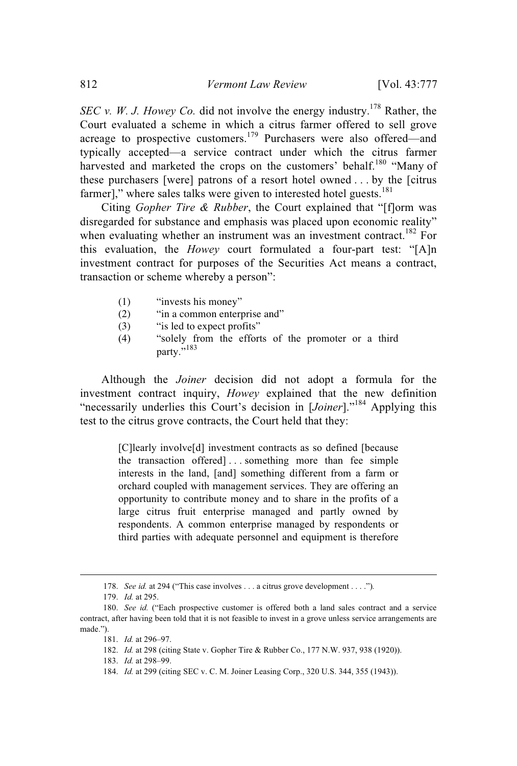*SEC v. W. J. Howey Co.* did not involve the energy industry. <sup>178</sup> Rather, the Court evaluated a scheme in which a citrus farmer offered to sell grove acreage to prospective customers.<sup>179</sup> Purchasers were also offered—and typically accepted—a service contract under which the citrus farmer harvested and marketed the crops on the customers' behalf.<sup>180</sup> "Many of these purchasers [were] patrons of a resort hotel owned . . . by the [citrus farmer]," where sales talks were given to interested hotel guests. $181$ 

Citing *Gopher Tire & Rubber*, the Court explained that "[f]orm was disregarded for substance and emphasis was placed upon economic reality" when evaluating whether an instrument was an investment contract.<sup>182</sup> For this evaluation, the *Howey* court formulated a four-part test: "[A]n investment contract for purposes of the Securities Act means a contract, transaction or scheme whereby a person":

- (1) "invests his money"
- (2) "in a common enterprise and"
- (3) "is led to expect profits"
- (4) "solely from the efforts of the promoter or a third party."<sup>183</sup>

Although the *Joiner* decision did not adopt a formula for the investment contract inquiry, *Howey* explained that the new definition "necessarily underlies this Court's decision in [*Joiner*]."<sup>184</sup> Applying this test to the citrus grove contracts, the Court held that they:

> [C]learly involve[d] investment contracts as so defined [because the transaction offered] . . . something more than fee simple interests in the land, [and] something different from a farm or orchard coupled with management services. They are offering an opportunity to contribute money and to share in the profits of a large citrus fruit enterprise managed and partly owned by respondents. A common enterprise managed by respondents or third parties with adequate personnel and equipment is therefore

<sup>178.</sup> *See id.* at 294 ("This case involves . . . a citrus grove development . . . .")*.*

<sup>179.</sup> *Id.* at 295.

<sup>180.</sup> *See id.* ("Each prospective customer is offered both a land sales contract and a service contract, after having been told that it is not feasible to invest in a grove unless service arrangements are made.").

<sup>181.</sup> *Id.* at 296–97.

<sup>182.</sup> *Id.* at 298 (citing State v. Gopher Tire & Rubber Co., 177 N.W. 937, 938 (1920)).

<sup>183.</sup> *Id.* at 298–99.

<sup>184.</sup> *Id.* at 299 (citing SEC v. C. M. Joiner Leasing Corp., 320 U.S. 344, 355 (1943)).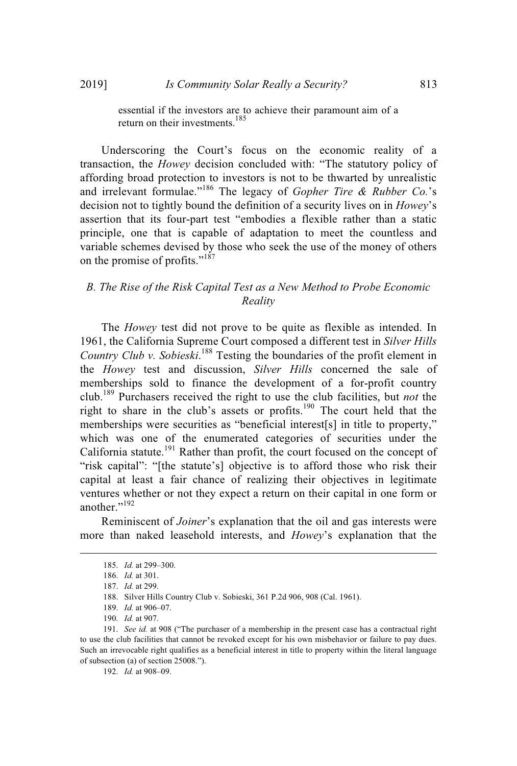essential if the investors are to achieve their paramount aim of a return on their investments.<sup>185</sup>

Underscoring the Court's focus on the economic reality of a transaction, the *Howey* decision concluded with: "The statutory policy of affording broad protection to investors is not to be thwarted by unrealistic and irrelevant formulae."<sup>186</sup> The legacy of *Gopher Tire & Rubber Co.*'s decision not to tightly bound the definition of a security lives on in *Howey*'s assertion that its four-part test "embodies a flexible rather than a static principle, one that is capable of adaptation to meet the countless and variable schemes devised by those who seek the use of the money of others on the promise of profits."<sup>187</sup>

# *B. The Rise of the Risk Capital Test as a New Method to Probe Economic Reality*

The *Howey* test did not prove to be quite as flexible as intended. In 1961, the California Supreme Court composed a different test in *Silver Hills Country Club v. Sobieski*. <sup>188</sup> Testing the boundaries of the profit element in the *Howey* test and discussion, *Silver Hills* concerned the sale of memberships sold to finance the development of a for-profit country club.<sup>189</sup> Purchasers received the right to use the club facilities, but *not* the right to share in the club's assets or profits.<sup>190</sup> The court held that the memberships were securities as "beneficial interest[s] in title to property," which was one of the enumerated categories of securities under the California statute.<sup>191</sup> Rather than profit, the court focused on the concept of "risk capital": "[the statute's] objective is to afford those who risk their capital at least a fair chance of realizing their objectives in legitimate ventures whether or not they expect a return on their capital in one form or another."<sup>192</sup>

Reminiscent of *Joiner*'s explanation that the oil and gas interests were more than naked leasehold interests, and *Howey*'s explanation that the

192. *Id.* at 908–09.

<sup>185.</sup> *Id.* at 299–300.

<sup>186.</sup> *Id.* at 301.

<sup>187.</sup> *Id.* at 299.

<sup>188.</sup> Silver Hills Country Club v. Sobieski, 361 P.2d 906, 908 (Cal. 1961).

<sup>189.</sup> *Id.* at 906–07.

<sup>190.</sup> *Id.* at 907.

<sup>191.</sup> *See id.* at 908 ("The purchaser of a membership in the present case has a contractual right to use the club facilities that cannot be revoked except for his own misbehavior or failure to pay dues. Such an irrevocable right qualifies as a beneficial interest in title to property within the literal language of subsection (a) of section 25008.").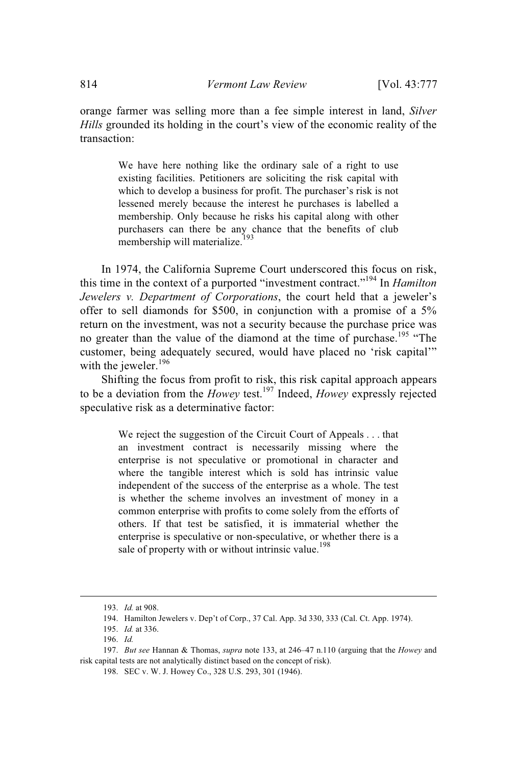orange farmer was selling more than a fee simple interest in land, *Silver Hills* grounded its holding in the court's view of the economic reality of the transaction:

> We have here nothing like the ordinary sale of a right to use existing facilities. Petitioners are soliciting the risk capital with which to develop a business for profit. The purchaser's risk is not lessened merely because the interest he purchases is labelled a membership. Only because he risks his capital along with other purchasers can there be any chance that the benefits of club membership will materialize.<sup>193</sup>

In 1974, the California Supreme Court underscored this focus on risk, this time in the context of a purported "investment contract."<sup>194</sup> In *Hamilton Jewelers v. Department of Corporations*, the court held that a jeweler's offer to sell diamonds for \$500, in conjunction with a promise of a 5% return on the investment, was not a security because the purchase price was no greater than the value of the diamond at the time of purchase.<sup>195</sup> "The customer, being adequately secured, would have placed no 'risk capital'" with the jeweler.<sup>196</sup>

Shifting the focus from profit to risk, this risk capital approach appears to be a deviation from the *Howey* test.<sup>197</sup> Indeed, *Howey* expressly rejected speculative risk as a determinative factor:

> We reject the suggestion of the Circuit Court of Appeals . . . that an investment contract is necessarily missing where the enterprise is not speculative or promotional in character and where the tangible interest which is sold has intrinsic value independent of the success of the enterprise as a whole. The test is whether the scheme involves an investment of money in a common enterprise with profits to come solely from the efforts of others. If that test be satisfied, it is immaterial whether the enterprise is speculative or non-speculative, or whether there is a sale of property with or without intrinsic value.<sup>198</sup>

<sup>193.</sup> *Id.* at 908.

<sup>194.</sup> Hamilton Jewelers v. Dep't of Corp., 37 Cal. App. 3d 330, 333 (Cal. Ct. App. 1974).

<sup>195.</sup> *Id.* at 336.

<sup>196.</sup> *Id.*

<sup>197.</sup> *But see* Hannan & Thomas, *supra* note 133, at 246–47 n.110 (arguing that the *Howey* and risk capital tests are not analytically distinct based on the concept of risk).

<sup>198.</sup> SEC v. W. J. Howey Co., 328 U.S. 293, 301 (1946).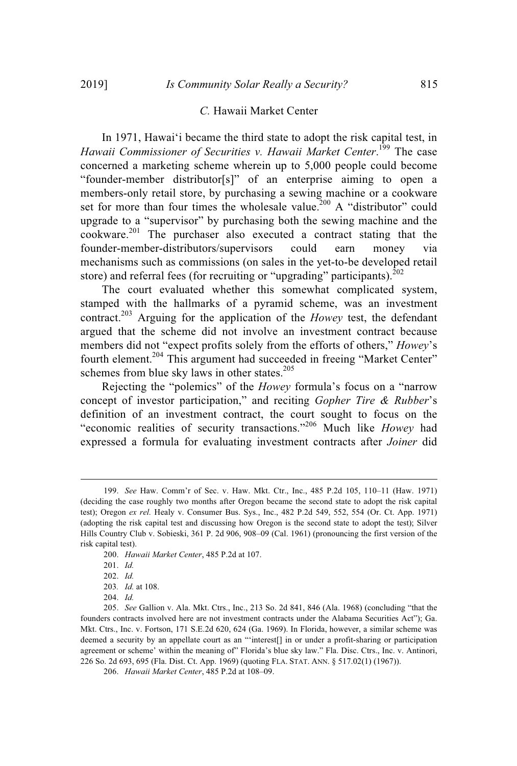#### *C.* Hawaii Market Center

In 1971, Hawaiʻi became the third state to adopt the risk capital test, in *Hawaii Commissioner of Securities v. Hawaii Market Center*. <sup>199</sup> The case concerned a marketing scheme wherein up to 5,000 people could become "founder-member distributor[s]" of an enterprise aiming to open a members-only retail store, by purchasing a sewing machine or a cookware set for more than four times the wholesale value.<sup>200</sup> A "distributor" could upgrade to a "supervisor" by purchasing both the sewing machine and the  $\rm{cookware.}^{201}$  The purchaser also executed a contract stating that the founder-member-distributors/supervisors could earn money via mechanisms such as commissions (on sales in the yet-to-be developed retail store) and referral fees (for recruiting or "upgrading" participants). $^{202}$ 

The court evaluated whether this somewhat complicated system, stamped with the hallmarks of a pyramid scheme, was an investment contract.<sup>203</sup> Arguing for the application of the *Howey* test, the defendant argued that the scheme did not involve an investment contract because members did not "expect profits solely from the efforts of others," *Howey*'s fourth element.<sup>204</sup> This argument had succeeded in freeing "Market Center" schemes from blue sky laws in other states.<sup>205</sup>

Rejecting the "polemics" of the *Howey* formula's focus on a "narrow concept of investor participation," and reciting *Gopher Tire & Rubber*'s definition of an investment contract, the court sought to focus on the "economic realities of security transactions."<sup>206</sup> Much like *Howey* had expressed a formula for evaluating investment contracts after *Joiner* did

200. *Hawaii Market Center*, 485 P.2d at 107.

204. *Id.*

<sup>199.</sup> *See* Haw. Comm'r of Sec. v. Haw. Mkt. Ctr., Inc., 485 P.2d 105, 110–11 (Haw. 1971) (deciding the case roughly two months after Oregon became the second state to adopt the risk capital test); Oregon *ex rel.* Healy v. Consumer Bus. Sys., Inc., 482 P.2d 549, 552, 554 (Or. Ct. App. 1971) (adopting the risk capital test and discussing how Oregon is the second state to adopt the test); Silver Hills Country Club v. Sobieski, 361 P. 2d 906, 908–09 (Cal. 1961) (pronouncing the first version of the risk capital test).

<sup>201.</sup> *Id.*

<sup>202.</sup> *Id.*

<sup>203</sup>*. Id.* at 108.

<sup>205.</sup> *See* Gallion v. Ala. Mkt. Ctrs., Inc., 213 So. 2d 841, 846 (Ala. 1968) (concluding "that the founders contracts involved here are not investment contracts under the Alabama Securities Act"); Ga. Mkt. Ctrs., Inc. v. Fortson, 171 S.E.2d 620, 624 (Ga. 1969). In Florida, however, a similar scheme was deemed a security by an appellate court as an "'interest[] in or under a profit-sharing or participation agreement or scheme' within the meaning of" Florida's blue sky law." Fla. Disc. Ctrs., Inc. v. Antinori, 226 So. 2d 693, 695 (Fla. Dist. Ct. App. 1969) (quoting FLA. STAT. ANN. § 517.02(1) (1967)).

<sup>206.</sup> *Hawaii Market Center*, 485 P.2d at 108–09.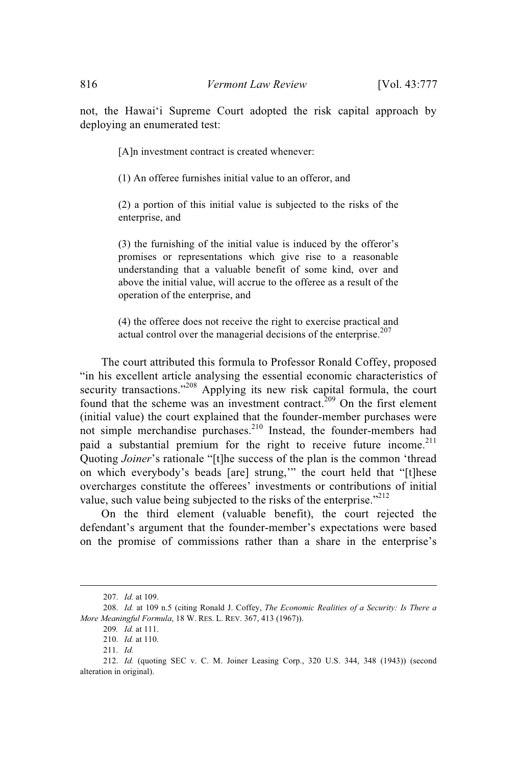not, the Hawaiʻi Supreme Court adopted the risk capital approach by deploying an enumerated test:

[A]n investment contract is created whenever:

(1) An offeree furnishes initial value to an offeror, and

(2) a portion of this initial value is subjected to the risks of the enterprise, and

(3) the furnishing of the initial value is induced by the offeror's promises or representations which give rise to a reasonable understanding that a valuable benefit of some kind, over and above the initial value, will accrue to the offeree as a result of the operation of the enterprise, and

(4) the offeree does not receive the right to exercise practical and actual control over the managerial decisions of the enterprise.<sup>207</sup>

The court attributed this formula to Professor Ronald Coffey, proposed "in his excellent article analysing the essential economic characteristics of security transactions."<sup>208</sup> Applying its new risk capital formula, the court found that the scheme was an investment contract.<sup>209</sup> On the first element (initial value) the court explained that the founder-member purchases were not simple merchandise purchases.<sup>210</sup> Instead, the founder-members had paid a substantial premium for the right to receive future income.<sup>211</sup> Quoting *Joiner*'s rationale "[t]he success of the plan is the common 'thread on which everybody's beads [are] strung,'" the court held that "[t]hese overcharges constitute the offerees' investments or contributions of initial value, such value being subjected to the risks of the enterprise." $^{212}$ 

On the third element (valuable benefit), the court rejected the defendant's argument that the founder-member's expectations were based on the promise of commissions rather than a share in the enterprise's

<sup>207.</sup> *Id.* at 109.

<sup>208.</sup> *Id.* at 109 n.5 (citing Ronald J. Coffey, *The Economic Realities of a Security: Is There a More Meaningful Formula*, 18 W. RES. L. REV. 367, 413 (1967)).

<sup>209</sup>*. Id.* at 111.

<sup>210.</sup> *Id.* at 110.

<sup>211.</sup> *Id.*

<sup>212.</sup> *Id.* (quoting SEC v. C. M. Joiner Leasing Corp., 320 U.S. 344, 348 (1943)) (second alteration in original).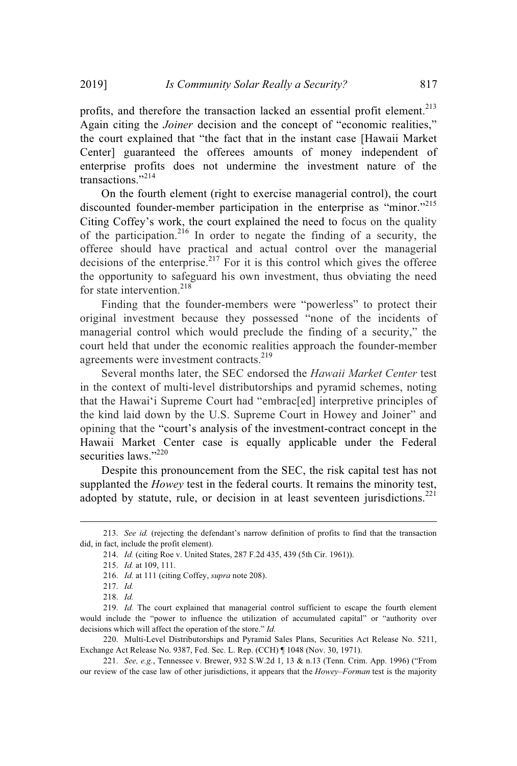profits, and therefore the transaction lacked an essential profit element.<sup>213</sup> Again citing the *Joiner* decision and the concept of "economic realities," the court explained that "the fact that in the instant case [Hawaii Market Center] guaranteed the offerees amounts of money independent of enterprise profits does not undermine the investment nature of the transactions."<sup>214</sup>

On the fourth element (right to exercise managerial control), the court discounted founder-member participation in the enterprise as "minor."<sup>215</sup> Citing Coffey's work, the court explained the need to focus on the quality of the participation.<sup>216</sup> In order to negate the finding of a security, the offeree should have practical and actual control over the managerial decisions of the enterprise.<sup>217</sup> For it is this control which gives the offeree the opportunity to safeguard his own investment, thus obviating the need for state intervention. 218

Finding that the founder-members were "powerless" to protect their original investment because they possessed "none of the incidents of managerial control which would preclude the finding of a security," the court held that under the economic realities approach the founder-member agreements were investment contracts.<sup>219</sup>

Several months later, the SEC endorsed the *Hawaii Market Center* test in the context of multi-level distributorships and pyramid schemes, noting that the Hawaiʻi Supreme Court had "embrac[ed] interpretive principles of the kind laid down by the U.S. Supreme Court in Howey and Joiner" and opining that the "court's analysis of the investment-contract concept in the Hawaii Market Center case is equally applicable under the Federal securities laws."<sup>220</sup>

Despite this pronouncement from the SEC, the risk capital test has not supplanted the *Howey* test in the federal courts. It remains the minority test, adopted by statute, rule, or decision in at least seventeen jurisdictions.<sup>221</sup>

220. Multi-Level Distributorships and Pyramid Sales Plans, Securities Act Release No. 5211, Exchange Act Release No. 9387, Fed. Sec. L. Rep. (CCH) ¶ 1048 (Nov. 30, 1971).

221. *See, e.g.*, Tennessee v. Brewer, 932 S.W.2d 1, 13 & n.13 (Tenn. Crim. App. 1996) ("From our review of the case law of other jurisdictions, it appears that the *Howey–Forman* test is the majority

<sup>213.</sup> *See id.* (rejecting the defendant's narrow definition of profits to find that the transaction did, in fact, include the profit element).

<sup>214.</sup> *Id.* (citing Roe v. United States, 287 F.2d 435, 439 (5th Cir. 1961)).

<sup>215.</sup> *Id.* at 109, 111.

<sup>216.</sup> *Id.* at 111 (citing Coffey, *supra* note 208).

<sup>217.</sup> *Id.*

<sup>218.</sup> *Id.*

<sup>219.</sup> *Id.* The court explained that managerial control sufficient to escape the fourth element would include the "power to influence the utilization of accumulated capital" or "authority over decisions which will affect the operation of the store." *Id.*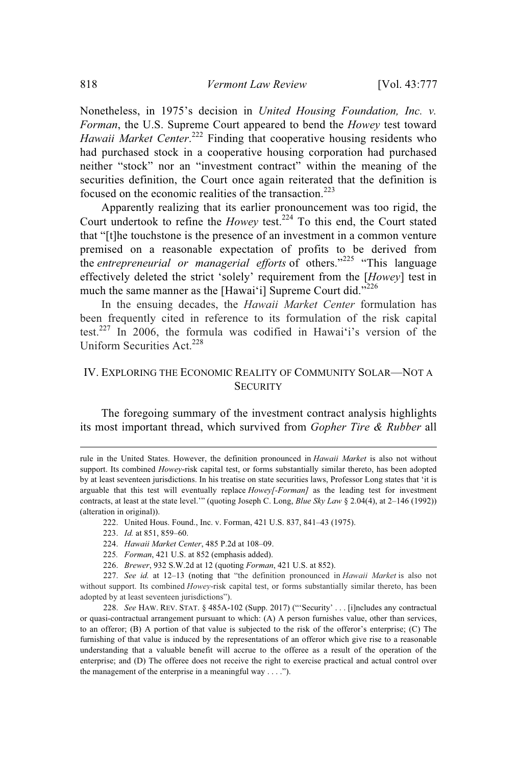Nonetheless, in 1975's decision in *United Housing Foundation, Inc. v. Forman*, the U.S. Supreme Court appeared to bend the *Howey* test toward *Hawaii Market Center*. <sup>222</sup> Finding that cooperative housing residents who had purchased stock in a cooperative housing corporation had purchased neither "stock" nor an "investment contract" within the meaning of the securities definition, the Court once again reiterated that the definition is focused on the economic realities of the transaction.<sup>223</sup>

Apparently realizing that its earlier pronouncement was too rigid, the Court undertook to refine the *Howey* test.<sup>224</sup> To this end, the Court stated that "[t]he touchstone is the presence of an investment in a common venture premised on a reasonable expectation of profits to be derived from the *entrepreneurial or managerial efforts* of others."<sup>225</sup> "This language effectively deleted the strict 'solely' requirement from the [*Howey*] test in much the same manner as the [Hawai'i] Supreme Court did."<sup>226</sup>

In the ensuing decades, the *Hawaii Market Center* formulation has been frequently cited in reference to its formulation of the risk capital test.<sup>227</sup> In 2006, the formula was codified in Hawaiʻi's version of the Uniform Securities Act.<sup>228</sup>

# IV. EXPLORING THE ECONOMIC REALITY OF COMMUNITY SOLAR—NOT A **SECURITY**

The foregoing summary of the investment contract analysis highlights its most important thread, which survived from *Gopher Tire & Rubber* all

222. United Hous. Found., Inc. v. Forman, 421 U.S. 837, 841–43 (1975).

- 223. *Id.* at 851, 859–60.
- 224. *Hawaii Market Center*, 485 P.2d at 108–09.
- 225*. Forman*, 421 U.S. at 852 (emphasis added).
- 226. *Brewer*, 932 S.W.2d at 12 (quoting *Forman*, 421 U.S. at 852).

227. *See id.* at 12–13 (noting that "the definition pronounced in *Hawaii Market* is also not without support. Its combined *Howey*-risk capital test, or forms substantially similar thereto, has been adopted by at least seventeen jurisdictions").

228. *See* HAW. REV. STAT. § 485A-102 (Supp. 2017) ("'Security' . . . [i]ncludes any contractual or quasi-contractual arrangement pursuant to which: (A) A person furnishes value, other than services, to an offeror; (B) A portion of that value is subjected to the risk of the offeror's enterprise; (C) The furnishing of that value is induced by the representations of an offeror which give rise to a reasonable understanding that a valuable benefit will accrue to the offeree as a result of the operation of the enterprise; and (D) The offeree does not receive the right to exercise practical and actual control over the management of the enterprise in a meaningful way  $\dots$ .").

rule in the United States. However, the definition pronounced in *Hawaii Market* is also not without support. Its combined *Howey*-risk capital test, or forms substantially similar thereto, has been adopted by at least seventeen jurisdictions. In his treatise on state securities laws, Professor Long states that 'it is arguable that this test will eventually replace *Howey[-Forman]* as the leading test for investment contracts, at least at the state level.'" (quoting Joseph C. Long, *Blue Sky Law* § 2.04(4), at 2–146 (1992)) (alteration in original)).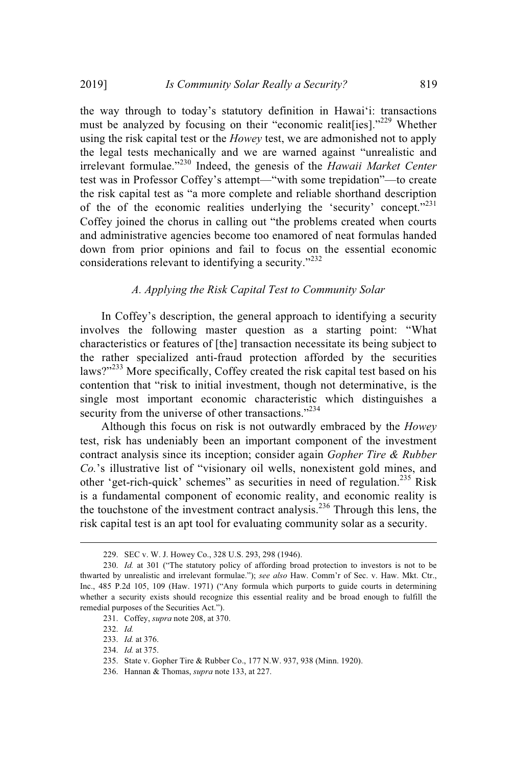the way through to today's statutory definition in Hawaiʻi: transactions must be analyzed by focusing on their "economic realit [ies]."<sup>229</sup> Whether using the risk capital test or the *Howey* test, we are admonished not to apply the legal tests mechanically and we are warned against "unrealistic and irrelevant formulae."<sup>230</sup> Indeed, the genesis of the *Hawaii Market Center* test was in Professor Coffey's attempt—"with some trepidation"—to create the risk capital test as "a more complete and reliable shorthand description of the of the economic realities underlying the 'security' concept."<sup>231</sup> Coffey joined the chorus in calling out "the problems created when courts and administrative agencies become too enamored of neat formulas handed down from prior opinions and fail to focus on the essential economic considerations relevant to identifying a security."<sup>232</sup>

# *A. Applying the Risk Capital Test to Community Solar*

In Coffey's description, the general approach to identifying a security involves the following master question as a starting point: "What characteristics or features of [the] transaction necessitate its being subject to the rather specialized anti-fraud protection afforded by the securities laws?"<sup>233</sup> More specifically, Coffey created the risk capital test based on his contention that "risk to initial investment, though not determinative, is the single most important economic characteristic which distinguishes a security from the universe of other transactions."<sup>234</sup>

Although this focus on risk is not outwardly embraced by the *Howey* test, risk has undeniably been an important component of the investment contract analysis since its inception; consider again *Gopher Tire & Rubber Co.*'s illustrative list of "visionary oil wells, nonexistent gold mines, and other 'get-rich-quick' schemes" as securities in need of regulation.<sup>235</sup> Risk is a fundamental component of economic reality, and economic reality is the touchstone of the investment contract analysis.<sup>236</sup> Through this lens, the risk capital test is an apt tool for evaluating community solar as a security.

232. *Id.*

<sup>229.</sup> SEC v. W. J. Howey Co., 328 U.S. 293, 298 (1946).

<sup>230.</sup> *Id.* at 301 ("The statutory policy of affording broad protection to investors is not to be thwarted by unrealistic and irrelevant formulae."); *see also* Haw. Comm'r of Sec. v. Haw. Mkt. Ctr., Inc., 485 P.2d 105, 109 (Haw. 1971) ("Any formula which purports to guide courts in determining whether a security exists should recognize this essential reality and be broad enough to fulfill the remedial purposes of the Securities Act.").

<sup>231.</sup> Coffey, *supra* note 208, at 370.

<sup>233.</sup> *Id.* at 376.

<sup>234.</sup> *Id.* at 375.

<sup>235.</sup> State v. Gopher Tire & Rubber Co., 177 N.W. 937, 938 (Minn. 1920).

<sup>236.</sup> Hannan & Thomas, *supra* note 133, at 227.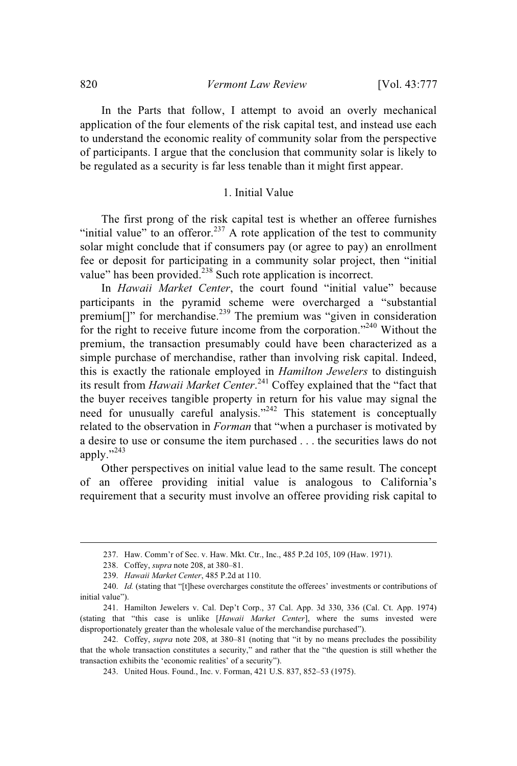In the Parts that follow, I attempt to avoid an overly mechanical application of the four elements of the risk capital test, and instead use each to understand the economic reality of community solar from the perspective of participants. I argue that the conclusion that community solar is likely to be regulated as a security is far less tenable than it might first appear.

#### 1. Initial Value

The first prong of the risk capital test is whether an offeree furnishes "initial value" to an offeror.<sup>237</sup> A rote application of the test to community solar might conclude that if consumers pay (or agree to pay) an enrollment fee or deposit for participating in a community solar project, then "initial value" has been provided.<sup>238</sup> Such rote application is incorrect.

In *Hawaii Market Center*, the court found "initial value" because participants in the pyramid scheme were overcharged a "substantial premium[]" for merchandise.<sup>239</sup> The premium was "given in consideration for the right to receive future income from the corporation."<sup>240</sup> Without the premium, the transaction presumably could have been characterized as a simple purchase of merchandise, rather than involving risk capital. Indeed, this is exactly the rationale employed in *Hamilton Jewelers* to distinguish its result from *Hawaii Market Center*. <sup>241</sup> Coffey explained that the "fact that the buyer receives tangible property in return for his value may signal the need for unusually careful analysis."<sup>242</sup> This statement is conceptually related to the observation in *Forman* that "when a purchaser is motivated by a desire to use or consume the item purchased . . . the securities laws do not apply."<sup>243</sup>

Other perspectives on initial value lead to the same result. The concept of an offeree providing initial value is analogous to California's requirement that a security must involve an offeree providing risk capital to

<sup>237.</sup> Haw. Comm'r of Sec. v. Haw. Mkt. Ctr., Inc., 485 P.2d 105, 109 (Haw. 1971).

<sup>238.</sup> Coffey, *supra* note 208, at 380–81.

<sup>239.</sup> *Hawaii Market Center*, 485 P.2d at 110.

<sup>240.</sup> *Id.* (stating that "[t]hese overcharges constitute the offerees' investments or contributions of initial value").

<sup>241.</sup> Hamilton Jewelers v. Cal. Dep't Corp., 37 Cal. App. 3d 330, 336 (Cal. Ct. App. 1974) (stating that "this case is unlike [*Hawaii Market Center*], where the sums invested were disproportionately greater than the wholesale value of the merchandise purchased").

<sup>242.</sup> Coffey, *supra* note 208, at 380–81 (noting that "it by no means precludes the possibility that the whole transaction constitutes a security," and rather that the "the question is still whether the transaction exhibits the 'economic realities' of a security").

<sup>243.</sup> United Hous. Found., Inc. v. Forman, 421 U.S. 837, 852–53 (1975).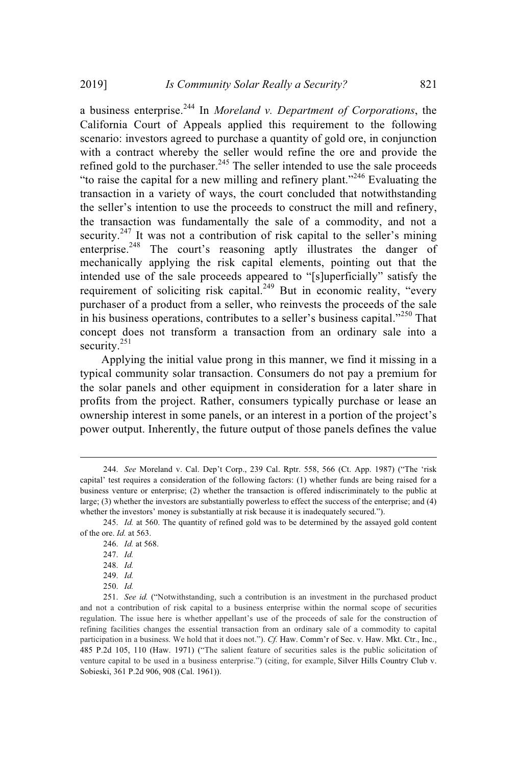a business enterprise. <sup>244</sup> In *Moreland v. Department of Corporations*, the California Court of Appeals applied this requirement to the following scenario: investors agreed to purchase a quantity of gold ore, in conjunction with a contract whereby the seller would refine the ore and provide the refined gold to the purchaser.<sup>245</sup> The seller intended to use the sale proceeds "to raise the capital for a new milling and refinery plant."<sup>246</sup> Evaluating the transaction in a variety of ways, the court concluded that notwithstanding the seller's intention to use the proceeds to construct the mill and refinery, the transaction was fundamentally the sale of a commodity, and not a security.<sup>247</sup> It was not a contribution of risk capital to the seller's mining enterprise.<sup>248</sup> The court's reasoning aptly illustrates the danger of mechanically applying the risk capital elements, pointing out that the intended use of the sale proceeds appeared to "[s]uperficially" satisfy the requirement of soliciting risk capital.<sup>249</sup> But in economic reality, "every purchaser of a product from a seller, who reinvests the proceeds of the sale in his business operations, contributes to a seller's business capital."<sup>250</sup> That concept does not transform a transaction from an ordinary sale into a security.<sup>251</sup>

Applying the initial value prong in this manner, we find it missing in a typical community solar transaction. Consumers do not pay a premium for the solar panels and other equipment in consideration for a later share in profits from the project. Rather, consumers typically purchase or lease an ownership interest in some panels, or an interest in a portion of the project's power output. Inherently, the future output of those panels defines the value

<sup>244.</sup> *See* Moreland v. Cal. Dep't Corp., 239 Cal. Rptr. 558, 566 (Ct. App. 1987) ("The 'risk capital' test requires a consideration of the following factors: (1) whether funds are being raised for a business venture or enterprise; (2) whether the transaction is offered indiscriminately to the public at large; (3) whether the investors are substantially powerless to effect the success of the enterprise; and (4) whether the investors' money is substantially at risk because it is inadequately secured.").

<sup>245.</sup> *Id.* at 560. The quantity of refined gold was to be determined by the assayed gold content of the ore. *Id.* at 563.

<sup>246.</sup> *Id.* at 568.

<sup>247.</sup> *Id.*

<sup>248.</sup> *Id.*

<sup>249.</sup> *Id.*

<sup>250.</sup> *Id.*

<sup>251.</sup> *See id.* ("Notwithstanding, such a contribution is an investment in the purchased product and not a contribution of risk capital to a business enterprise within the normal scope of securities regulation. The issue here is whether appellant's use of the proceeds of sale for the construction of refining facilities changes the essential transaction from an ordinary sale of a commodity to capital participation in a business. We hold that it does not."). *Cf.* Haw. Comm'r of Sec. v. Haw. Mkt. Ctr., Inc., 485 P.2d 105, 110 (Haw. 1971) ("The salient feature of securities sales is the public solicitation of venture capital to be used in a business enterprise.") (citing, for example, Silver Hills Country Club v. Sobieski, 361 P.2d 906, 908 (Cal. 1961)).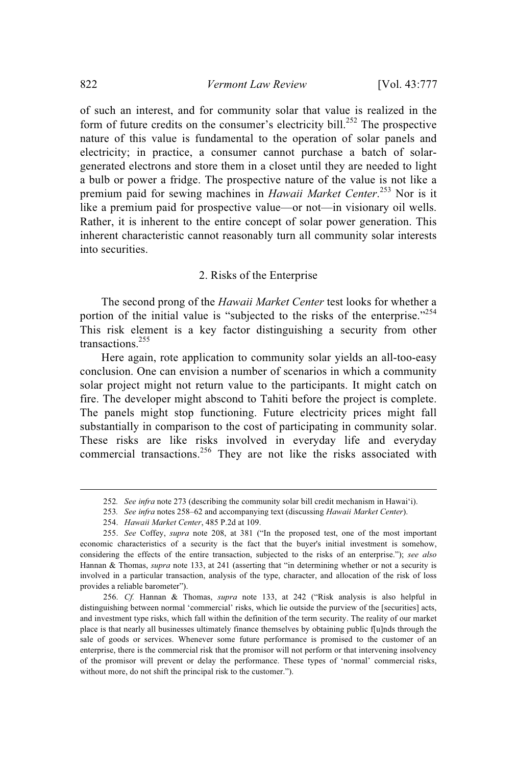of such an interest, and for community solar that value is realized in the form of future credits on the consumer's electricity bill.<sup>252</sup> The prospective nature of this value is fundamental to the operation of solar panels and electricity; in practice, a consumer cannot purchase a batch of solargenerated electrons and store them in a closet until they are needed to light a bulb or power a fridge. The prospective nature of the value is not like a premium paid for sewing machines in *Hawaii Market Center*. <sup>253</sup> Nor is it like a premium paid for prospective value—or not—in visionary oil wells. Rather, it is inherent to the entire concept of solar power generation. This inherent characteristic cannot reasonably turn all community solar interests into securities.

#### 2. Risks of the Enterprise

The second prong of the *Hawaii Market Center* test looks for whether a portion of the initial value is "subjected to the risks of the enterprise."<sup>254</sup> This risk element is a key factor distinguishing a security from other transactions. 255

Here again, rote application to community solar yields an all-too-easy conclusion. One can envision a number of scenarios in which a community solar project might not return value to the participants. It might catch on fire. The developer might abscond to Tahiti before the project is complete. The panels might stop functioning. Future electricity prices might fall substantially in comparison to the cost of participating in community solar. These risks are like risks involved in everyday life and everyday commercial transactions. <sup>256</sup> They are not like the risks associated with

- 253*. See infra* notes 258–62 and accompanying text (discussing *Hawaii Market Center*).
- 254. *Hawaii Market Center*, 485 P.2d at 109.

<sup>252</sup>*. See infra* note 273 (describing the community solar bill credit mechanism in Hawai'i).

<sup>255.</sup> *See* Coffey, *supra* note 208, at 381 ("In the proposed test, one of the most important economic characteristics of a security is the fact that the buyer's initial investment is somehow, considering the effects of the entire transaction, subjected to the risks of an enterprise."); *see also* Hannan & Thomas, *supra* note 133, at 241 (asserting that "in determining whether or not a security is involved in a particular transaction, analysis of the type, character, and allocation of the risk of loss provides a reliable barometer").

<sup>256.</sup> *Cf.* Hannan & Thomas, *supra* note 133, at 242 ("Risk analysis is also helpful in distinguishing between normal 'commercial' risks, which lie outside the purview of the [securities] acts, and investment type risks, which fall within the definition of the term security. The reality of our market place is that nearly all businesses ultimately finance themselves by obtaining public f[u]nds through the sale of goods or services. Whenever some future performance is promised to the customer of an enterprise, there is the commercial risk that the promisor will not perform or that intervening insolvency of the promisor will prevent or delay the performance. These types of 'normal' commercial risks, without more, do not shift the principal risk to the customer.").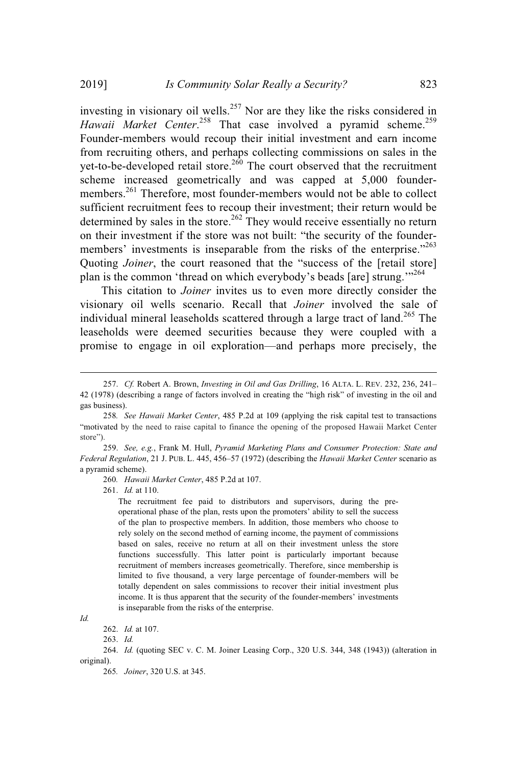investing in visionary oil wells.<sup>257</sup> Nor are they like the risks considered in Hawaii Market Center.<sup>258</sup> That case involved a pyramid scheme.<sup>259</sup> Founder-members would recoup their initial investment and earn income from recruiting others, and perhaps collecting commissions on sales in the yet-to-be-developed retail store.<sup>260</sup> The court observed that the recruitment scheme increased geometrically and was capped at 5,000 foundermembers.<sup>261</sup> Therefore, most founder-members would not be able to collect sufficient recruitment fees to recoup their investment; their return would be determined by sales in the store.<sup>262</sup> They would receive essentially no return on their investment if the store was not built: "the security of the foundermembers' investments is inseparable from the risks of the enterprise."<sup>263</sup> Quoting *Joiner*, the court reasoned that the "success of the [retail store] plan is the common 'thread on which everybody's beads [are] strung.'"<sup>264</sup>

This citation to *Joiner* invites us to even more directly consider the visionary oil wells scenario. Recall that *Joiner* involved the sale of individual mineral leaseholds scattered through a large tract of land.<sup>265</sup> The leaseholds were deemed securities because they were coupled with a promise to engage in oil exploration—and perhaps more precisely, the

259. *See, e.g.*, Frank M. Hull, *Pyramid Marketing Plans and Consumer Protection: State and Federal Regulation*, 21 J. PUB. L. 445, 456–57 (1972) (describing the *Hawaii Market Center* scenario as a pyramid scheme).

260*. Hawaii Market Center*, 485 P.2d at 107.

261. *Id.* at 110.

The recruitment fee paid to distributors and supervisors, during the preoperational phase of the plan, rests upon the promoters' ability to sell the success of the plan to prospective members. In addition, those members who choose to rely solely on the second method of earning income, the payment of commissions based on sales, receive no return at all on their investment unless the store functions successfully. This latter point is particularly important because recruitment of members increases geometrically. Therefore, since membership is limited to five thousand, a very large percentage of founder-members will be totally dependent on sales commissions to recover their initial investment plus income. It is thus apparent that the security of the founder-members' investments is inseparable from the risks of the enterprise.

*Id.*

263. *Id.*

<sup>257.</sup> *Cf.* Robert A. Brown, *Investing in Oil and Gas Drilling*, 16 ALTA. L. REV. 232, 236, 241– 42 (1978) (describing a range of factors involved in creating the "high risk" of investing in the oil and gas business).

<sup>258</sup>*. See Hawaii Market Center*, 485 P.2d at 109 (applying the risk capital test to transactions "motivated by the need to raise capital to finance the opening of the proposed Hawaii Market Center store").

<sup>262.</sup> *Id.* at 107.

<sup>264.</sup> *Id.* (quoting SEC v. C. M. Joiner Leasing Corp., 320 U.S. 344, 348 (1943)) (alteration in original).

<sup>265</sup>*. Joiner*, 320 U.S. at 345.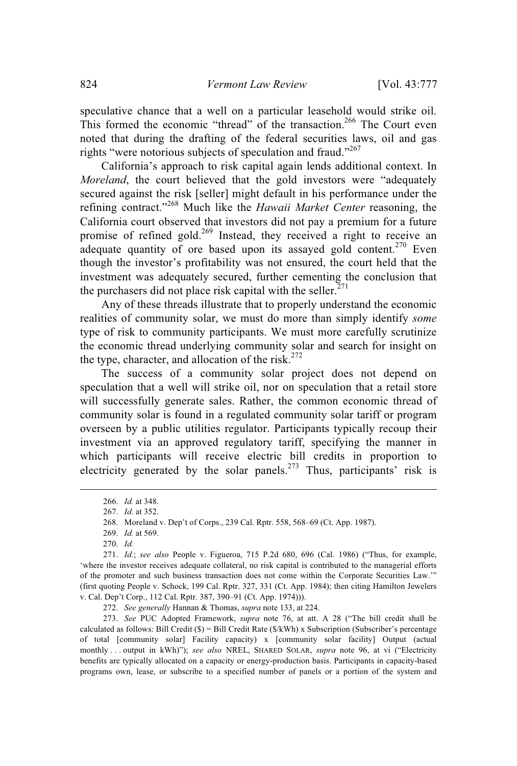speculative chance that a well on a particular leasehold would strike oil. This formed the economic "thread" of the transaction.<sup>266</sup> The Court even noted that during the drafting of the federal securities laws, oil and gas rights "were notorious subjects of speculation and fraud."<sup>267</sup>

California's approach to risk capital again lends additional context. In *Moreland*, the court believed that the gold investors were "adequately secured against the risk [seller] might default in his performance under the refining contract."<sup>268</sup> Much like the *Hawaii Market Center* reasoning, the California court observed that investors did not pay a premium for a future promise of refined gold.<sup>269</sup> Instead, they received a right to receive an adequate quantity of ore based upon its assayed gold content.<sup>270</sup> Even though the investor's profitability was not ensured, the court held that the investment was adequately secured, further cementing the conclusion that the purchasers did not place risk capital with the seller. $^{271}$ 

Any of these threads illustrate that to properly understand the economic realities of community solar, we must do more than simply identify *some* type of risk to community participants. We must more carefully scrutinize the economic thread underlying community solar and search for insight on the type, character, and allocation of the risk.<sup>272</sup>

The success of a community solar project does not depend on speculation that a well will strike oil, nor on speculation that a retail store will successfully generate sales. Rather, the common economic thread of community solar is found in a regulated community solar tariff or program overseen by a public utilities regulator. Participants typically recoup their investment via an approved regulatory tariff, specifying the manner in which participants will receive electric bill credits in proportion to electricity generated by the solar panels.<sup>273</sup> Thus, participants' risk is

269. *Id.* at 569.

270. *Id.*

272. *See generally* Hannan & Thomas, *supra* note 133, at 224.

273. *See* PUC Adopted Framework, *supra* note 76, at att. A 28 ("The bill credit shall be calculated as follows: Bill Credit (\$) = Bill Credit Rate (\$/kWh) x Subscription (Subscriber's percentage of total [community solar] Facility capacity) x [community solar facility] Output (actual monthly . . . output in kWh)"); *see also* NREL, SHARED SOLAR, *supra* note 96, at vi ("Electricity benefits are typically allocated on a capacity or energy-production basis. Participants in capacity-based programs own, lease, or subscribe to a specified number of panels or a portion of the system and

<sup>266.</sup> *Id.* at 348.

<sup>267.</sup> *Id.* at 352.

<sup>268.</sup> Moreland v. Dep't of Corps., 239 Cal. Rptr. 558, 568–69 (Ct. App. 1987).

<sup>271.</sup> *Id.*; *see also* People v. Figueroa, 715 P.2d 680, 696 (Cal. 1986) ("Thus, for example, 'where the investor receives adequate collateral, no risk capital is contributed to the managerial efforts of the promoter and such business transaction does not come within the Corporate Securities Law.'" (first quoting People v. Schock, 199 Cal. Rptr. 327, 331 (Ct. App. 1984); then citing Hamilton Jewelers v. Cal. Dep't Corp., 112 Cal. Rptr. 387, 390–91 (Ct. App. 1974))).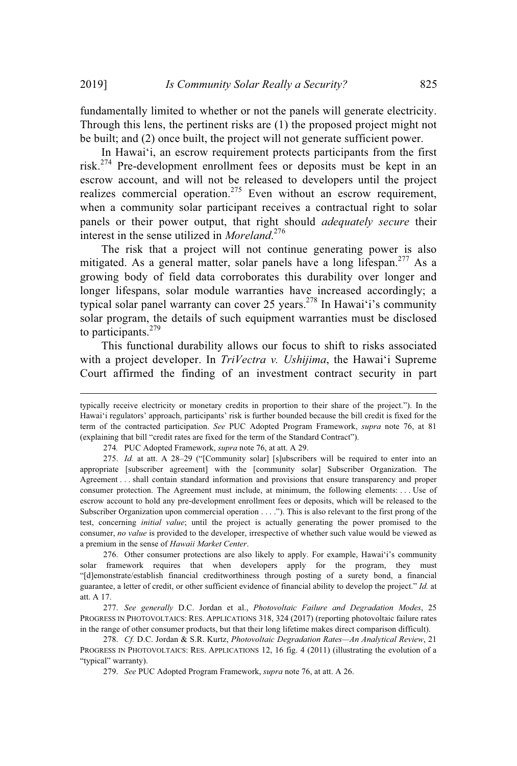fundamentally limited to whether or not the panels will generate electricity. Through this lens, the pertinent risks are (1) the proposed project might not be built; and (2) once built, the project will not generate sufficient power.

In Hawaiʻi, an escrow requirement protects participants from the first risk.<sup>274</sup> Pre-development enrollment fees or deposits must be kept in an escrow account, and will not be released to developers until the project realizes commercial operation.<sup>275</sup> Even without an escrow requirement, when a community solar participant receives a contractual right to solar panels or their power output, that right should *adequately secure* their interest in the sense utilized in *Moreland*. 276

The risk that a project will not continue generating power is also mitigated. As a general matter, solar panels have a long lifespan.<sup>277</sup> As a growing body of field data corroborates this durability over longer and longer lifespans, solar module warranties have increased accordingly; a typical solar panel warranty can cover 25 years.<sup>278</sup> In Hawai'i's community solar program, the details of such equipment warranties must be disclosed to participants.<sup>279</sup>

This functional durability allows our focus to shift to risks associated with a project developer. In *TriVectra v. Ushijima*, the Hawaiʻi Supreme Court affirmed the finding of an investment contract security in part

typically receive electricity or monetary credits in proportion to their share of the project."). In the Hawaiʻi regulators' approach, participants' risk is further bounded because the bill credit is fixed for the term of the contracted participation. *See* PUC Adopted Program Framework, *supra* note 76, at 81 (explaining that bill "credit rates are fixed for the term of the Standard Contract").

<sup>274</sup>*.* PUC Adopted Framework, *supra* note 76, at att. A 29.

<sup>275.</sup> *Id.* at att. A 28–29 ("[Community solar] [s]ubscribers will be required to enter into an appropriate [subscriber agreement] with the [community solar] Subscriber Organization. The Agreement . . . shall contain standard information and provisions that ensure transparency and proper consumer protection. The Agreement must include, at minimum, the following elements: . . . Use of escrow account to hold any pre-development enrollment fees or deposits, which will be released to the Subscriber Organization upon commercial operation . . . ."). This is also relevant to the first prong of the test, concerning *initial value*; until the project is actually generating the power promised to the consumer, *no value* is provided to the developer, irrespective of whether such value would be viewed as a premium in the sense of *Hawaii Market Center*.

<sup>276.</sup> Other consumer protections are also likely to apply. For example, Hawaiʻi's community solar framework requires that when developers apply for the program, they must "[d]emonstrate/establish financial creditworthiness through posting of a surety bond, a financial guarantee, a letter of credit, or other sufficient evidence of financial ability to develop the project." *Id.* at att. A 17.

<sup>277.</sup> *See generally* D.C. Jordan et al., *Photovoltaic Failure and Degradation Modes*, 25 PROGRESS IN PHOTOVOLTAICS: RES. APPLICATIONS 318, 324 (2017) (reporting photovoltaic failure rates in the range of other consumer products, but that their long lifetime makes direct comparison difficult).

<sup>278.</sup> *Cf.* D.C. Jordan & S.R. Kurtz, *Photovoltaic Degradation Rates—An Analytical Review*, 21 PROGRESS IN PHOTOVOLTAICS: RES. APPLICATIONS 12, 16 fig. 4 (2011) (illustrating the evolution of a "typical" warranty).

<sup>279.</sup> *See* PUC Adopted Program Framework, *supra* note 76, at att. A 26.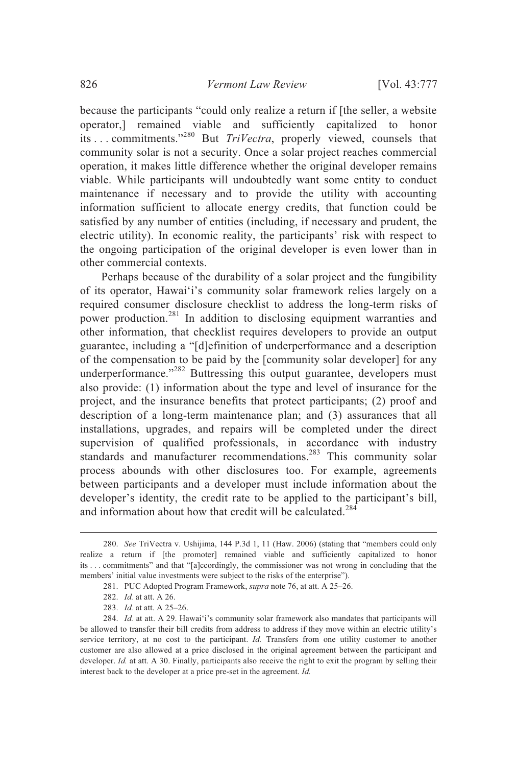because the participants "could only realize a return if [the seller, a website operator,] remained viable and sufficiently capitalized to honor its . . . commitments."<sup>280</sup> But *TriVectra*, properly viewed, counsels that community solar is not a security. Once a solar project reaches commercial operation, it makes little difference whether the original developer remains viable. While participants will undoubtedly want some entity to conduct maintenance if necessary and to provide the utility with accounting information sufficient to allocate energy credits, that function could be satisfied by any number of entities (including, if necessary and prudent, the electric utility). In economic reality, the participants' risk with respect to the ongoing participation of the original developer is even lower than in other commercial contexts.

Perhaps because of the durability of a solar project and the fungibility of its operator, Hawaiʻi's community solar framework relies largely on a required consumer disclosure checklist to address the long-term risks of power production.<sup>281</sup> In addition to disclosing equipment warranties and other information, that checklist requires developers to provide an output guarantee, including a "[d]efinition of underperformance and a description of the compensation to be paid by the [community solar developer] for any underperformance."<sup>282</sup> Buttressing this output guarantee, developers must also provide: (1) information about the type and level of insurance for the project, and the insurance benefits that protect participants; (2) proof and description of a long-term maintenance plan; and (3) assurances that all installations, upgrades, and repairs will be completed under the direct supervision of qualified professionals, in accordance with industry standards and manufacturer recommendations.<sup>283</sup> This community solar process abounds with other disclosures too. For example, agreements between participants and a developer must include information about the developer's identity, the credit rate to be applied to the participant's bill, and information about how that credit will be calculated.<sup>284</sup>

<sup>280.</sup> *See* TriVectra v. Ushijima, 144 P.3d 1, 11 (Haw. 2006) (stating that "members could only realize a return if [the promoter] remained viable and sufficiently capitalized to honor its . . . commitments" and that "[a]ccordingly, the commissioner was not wrong in concluding that the members' initial value investments were subject to the risks of the enterprise").

<sup>281.</sup> PUC Adopted Program Framework, *supra* note 76, at att. A 25–26.

<sup>282.</sup> *Id.* at att. A 26.

<sup>283.</sup> *Id.* at att. A 25–26.

<sup>284.</sup> *Id.* at att. A 29. Hawaiʻi's community solar framework also mandates that participants will be allowed to transfer their bill credits from address to address if they move within an electric utility's service territory, at no cost to the participant. *Id.* Transfers from one utility customer to another customer are also allowed at a price disclosed in the original agreement between the participant and developer. *Id.* at att. A 30. Finally, participants also receive the right to exit the program by selling their interest back to the developer at a price pre-set in the agreement. *Id.*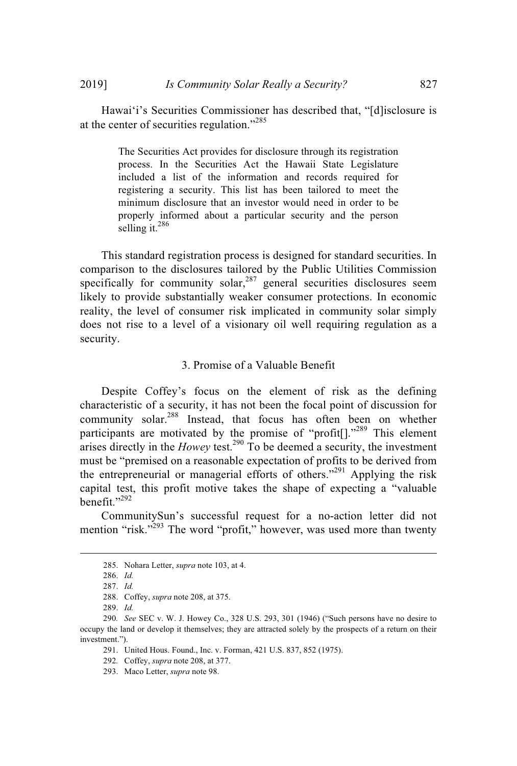Hawaiʻi's Securities Commissioner has described that, "[d]isclosure is at the center of securities regulation."<sup>285</sup>

> The Securities Act provides for disclosure through its registration process. In the Securities Act the Hawaii State Legislature included a list of the information and records required for registering a security. This list has been tailored to meet the minimum disclosure that an investor would need in order to be properly informed about a particular security and the person selling it. $^{286}$

This standard registration process is designed for standard securities. In comparison to the disclosures tailored by the Public Utilities Commission specifically for community solar, $287$  general securities disclosures seem likely to provide substantially weaker consumer protections. In economic reality, the level of consumer risk implicated in community solar simply does not rise to a level of a visionary oil well requiring regulation as a security.

### 3. Promise of a Valuable Benefit

Despite Coffey's focus on the element of risk as the defining characteristic of a security, it has not been the focal point of discussion for community solar.<sup>288</sup> Instead, that focus has often been on whether participants are motivated by the promise of "profit $[$ ]."<sup>289</sup> This element arises directly in the *Howey* test.<sup>290</sup> To be deemed a security, the investment must be "premised on a reasonable expectation of profits to be derived from the entrepreneurial or managerial efforts of others.<sup> $291$ </sup> Applying the risk capital test, this profit motive takes the shape of expecting a "valuable benefit." $292$ 

CommunitySun's successful request for a no-action letter did not mention "risk."<sup>293</sup> The word "profit," however, was used more than twenty

<sup>285.</sup> Nohara Letter, *supra* note 103, at 4.

<sup>286.</sup> *Id.*

<sup>287.</sup> *Id.*

<sup>288.</sup> Coffey, *supra* note 208, at 375.

<sup>289.</sup> *Id.*

<sup>290</sup>*. See* SEC v. W. J. Howey Co., 328 U.S. 293, 301 (1946) ("Such persons have no desire to occupy the land or develop it themselves; they are attracted solely by the prospects of a return on their investment.").

<sup>291.</sup> United Hous. Found., Inc. v. Forman, 421 U.S. 837, 852 (1975).

<sup>292</sup>*.* Coffey, *supra* note 208, at 377.

<sup>293.</sup> Maco Letter, *supra* note 98.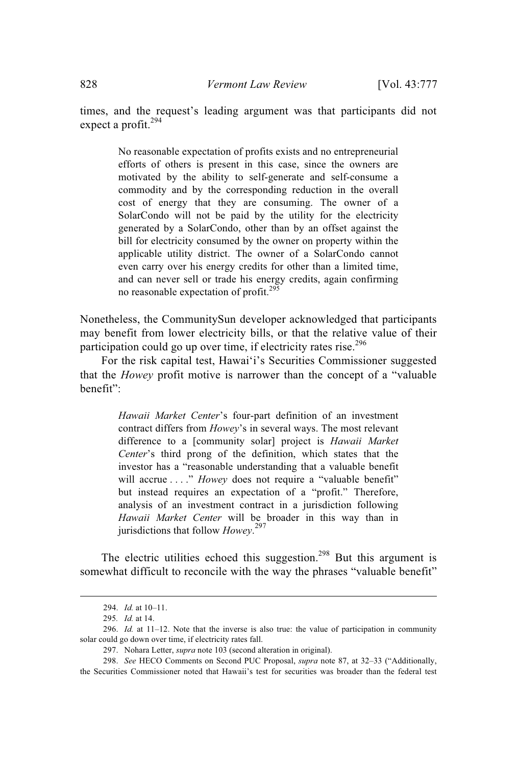times, and the request's leading argument was that participants did not expect a profit. $294$ 

> No reasonable expectation of profits exists and no entrepreneurial efforts of others is present in this case, since the owners are motivated by the ability to self-generate and self-consume a commodity and by the corresponding reduction in the overall cost of energy that they are consuming. The owner of a SolarCondo will not be paid by the utility for the electricity generated by a SolarCondo, other than by an offset against the bill for electricity consumed by the owner on property within the applicable utility district. The owner of a SolarCondo cannot even carry over his energy credits for other than a limited time, and can never sell or trade his energy credits, again confirming no reasonable expectation of profit. $295$

Nonetheless, the CommunitySun developer acknowledged that participants may benefit from lower electricity bills, or that the relative value of their participation could go up over time, if electricity rates rise.<sup>296</sup>

For the risk capital test, Hawaiʻi's Securities Commissioner suggested that the *Howey* profit motive is narrower than the concept of a "valuable benefit":

> *Hawaii Market Center*'s four-part definition of an investment contract differs from *Howey*'s in several ways. The most relevant difference to a [community solar] project is *Hawaii Market Center*'s third prong of the definition, which states that the investor has a "reasonable understanding that a valuable benefit will accrue . . . ." *Howey* does not require a "valuable benefit" but instead requires an expectation of a "profit." Therefore, analysis of an investment contract in a jurisdiction following *Hawaii Market Center* will be broader in this way than in jurisdictions that follow *Howey*. 297

The electric utilities echoed this suggestion.<sup>298</sup> But this argument is somewhat difficult to reconcile with the way the phrases "valuable benefit"

<sup>294.</sup> *Id.* at 10–11.

<sup>295</sup>*. Id.* at 14.

<sup>296.</sup> *Id.* at 11–12. Note that the inverse is also true: the value of participation in community solar could go down over time, if electricity rates fall.

<sup>297.</sup> Nohara Letter, *supra* note 103 (second alteration in original).

<sup>298.</sup> *See* HECO Comments on Second PUC Proposal, *supra* note 87, at 32–33 ("Additionally, the Securities Commissioner noted that Hawaii's test for securities was broader than the federal test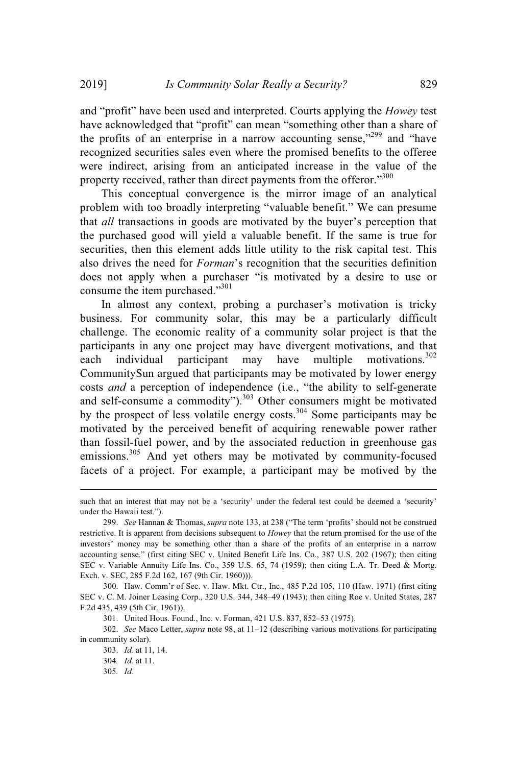and "profit" have been used and interpreted. Courts applying the *Howey* test have acknowledged that "profit" can mean "something other than a share of the profits of an enterprise in a narrow accounting sense, $1299$  and "have recognized securities sales even where the promised benefits to the offeree were indirect, arising from an anticipated increase in the value of the property received, rather than direct payments from the offeror."300

This conceptual convergence is the mirror image of an analytical problem with too broadly interpreting "valuable benefit." We can presume that *all* transactions in goods are motivated by the buyer's perception that the purchased good will yield a valuable benefit. If the same is true for securities, then this element adds little utility to the risk capital test. This also drives the need for *Forman*'s recognition that the securities definition does not apply when a purchaser "is motivated by a desire to use or consume the item purchased."301

In almost any context, probing a purchaser's motivation is tricky business. For community solar, this may be a particularly difficult challenge. The economic reality of a community solar project is that the participants in any one project may have divergent motivations, and that each individual participant may have multiple motivations.<sup>302</sup> CommunitySun argued that participants may be motivated by lower energy costs *and* a perception of independence (i.e., "the ability to self-generate and self-consume a commodity").<sup>303</sup> Other consumers might be motivated by the prospect of less volatile energy costs.<sup>304</sup> Some participants may be motivated by the perceived benefit of acquiring renewable power rather than fossil-fuel power, and by the associated reduction in greenhouse gas emissions.<sup>305</sup> And yet others may be motivated by community-focused facets of a project. For example, a participant may be motived by the

such that an interest that may not be a 'security' under the federal test could be deemed a 'security' under the Hawaii test.").

<sup>299.</sup> *See* Hannan & Thomas, *supra* note 133, at 238 ("The term 'profits' should not be construed restrictive. It is apparent from decisions subsequent to *Howey* that the return promised for the use of the investors' money may be something other than a share of the profits of an enterprise in a narrow accounting sense." (first citing SEC v. United Benefit Life Ins. Co., 387 U.S. 202 (1967); then citing SEC v. Variable Annuity Life Ins. Co., 359 U.S. 65, 74 (1959); then citing L.A. Tr. Deed & Mortg. Exch. v. SEC, 285 F.2d 162, 167 (9th Cir. 1960))).

<sup>300.</sup> Haw. Comm'r of Sec. v. Haw. Mkt. Ctr., Inc., 485 P.2d 105, 110 (Haw. 1971) (first citing SEC v. C. M. Joiner Leasing Corp., 320 U.S. 344, 348–49 (1943); then citing Roe v. United States, 287 F.2d 435, 439 (5th Cir. 1961)).

<sup>301.</sup> United Hous. Found., Inc. v. Forman, 421 U.S. 837, 852–53 (1975).

<sup>302.</sup> *See* Maco Letter, *supra* note 98, at 11–12 (describing various motivations for participating in community solar).

<sup>303.</sup> *Id.* at 11, 14.

<sup>304</sup>*. Id.* at 11.

<sup>305</sup>*. Id.*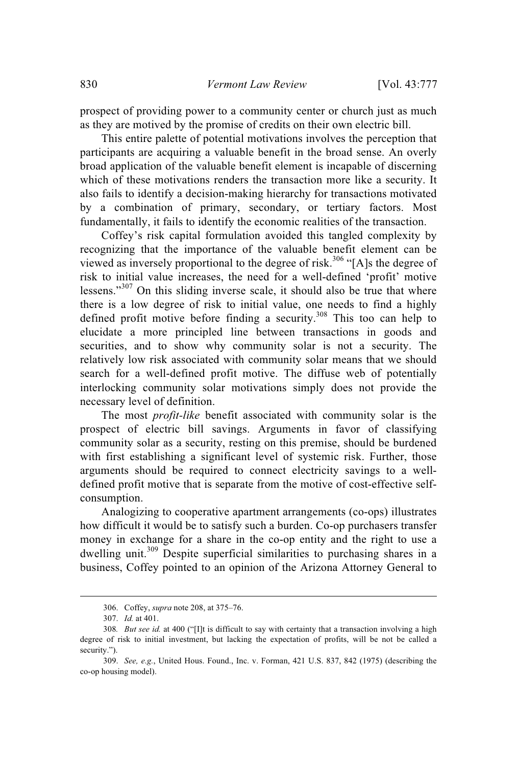prospect of providing power to a community center or church just as much as they are motived by the promise of credits on their own electric bill.

This entire palette of potential motivations involves the perception that participants are acquiring a valuable benefit in the broad sense. An overly broad application of the valuable benefit element is incapable of discerning which of these motivations renders the transaction more like a security. It also fails to identify a decision-making hierarchy for transactions motivated by a combination of primary, secondary, or tertiary factors. Most fundamentally, it fails to identify the economic realities of the transaction.

Coffey's risk capital formulation avoided this tangled complexity by recognizing that the importance of the valuable benefit element can be viewed as inversely proportional to the degree of risk.<sup>306</sup> "[A]s the degree of risk to initial value increases, the need for a well-defined 'profit' motive lessens."<sup>307</sup> On this sliding inverse scale, it should also be true that where there is a low degree of risk to initial value, one needs to find a highly defined profit motive before finding a security.<sup>308</sup> This too can help to elucidate a more principled line between transactions in goods and securities, and to show why community solar is not a security. The relatively low risk associated with community solar means that we should search for a well-defined profit motive. The diffuse web of potentially interlocking community solar motivations simply does not provide the necessary level of definition.

The most *profit-like* benefit associated with community solar is the prospect of electric bill savings. Arguments in favor of classifying community solar as a security, resting on this premise, should be burdened with first establishing a significant level of systemic risk. Further, those arguments should be required to connect electricity savings to a welldefined profit motive that is separate from the motive of cost-effective selfconsumption.

Analogizing to cooperative apartment arrangements (co-ops) illustrates how difficult it would be to satisfy such a burden. Co-op purchasers transfer money in exchange for a share in the co-op entity and the right to use a dwelling unit.<sup>309</sup> Despite superficial similarities to purchasing shares in a business, Coffey pointed to an opinion of the Arizona Attorney General to

<sup>306.</sup> Coffey, *supra* note 208, at 375–76.

<sup>307.</sup> *Id.* at 401.

<sup>308</sup>*. But see id.* at 400 ("[I]t is difficult to say with certainty that a transaction involving a high degree of risk to initial investment, but lacking the expectation of profits, will be not be called a security.").

<sup>309.</sup> *See, e.g.*, United Hous. Found., Inc. v. Forman, 421 U.S. 837, 842 (1975) (describing the co-op housing model).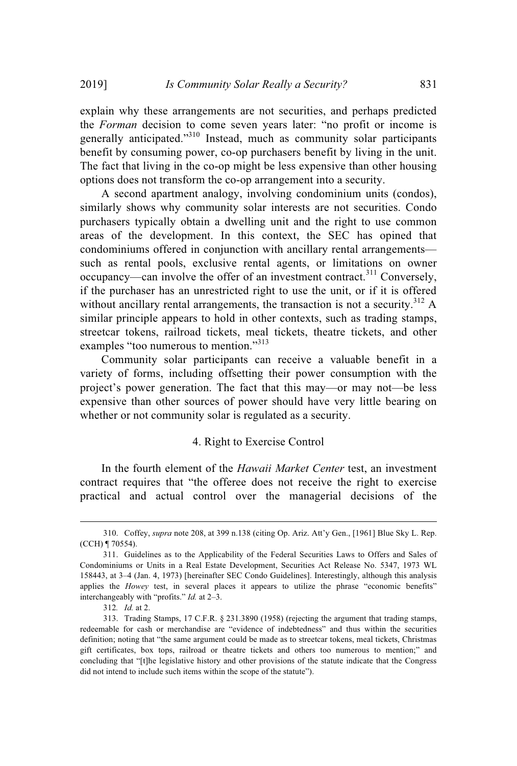explain why these arrangements are not securities, and perhaps predicted the *Forman* decision to come seven years later: "no profit or income is generally anticipated."<sup>310</sup> Instead, much as community solar participants benefit by consuming power, co-op purchasers benefit by living in the unit. The fact that living in the co-op might be less expensive than other housing options does not transform the co-op arrangement into a security.

A second apartment analogy, involving condominium units (condos), similarly shows why community solar interests are not securities. Condo purchasers typically obtain a dwelling unit and the right to use common areas of the development. In this context, the SEC has opined that condominiums offered in conjunction with ancillary rental arrangements such as rental pools, exclusive rental agents, or limitations on owner occupancy—can involve the offer of an investment contract.<sup>311</sup> Conversely, if the purchaser has an unrestricted right to use the unit, or if it is offered without ancillary rental arrangements, the transaction is not a security.<sup>312</sup> A similar principle appears to hold in other contexts, such as trading stamps, streetcar tokens, railroad tickets, meal tickets, theatre tickets, and other examples "too numerous to mention."<sup>313</sup>

Community solar participants can receive a valuable benefit in a variety of forms, including offsetting their power consumption with the project's power generation. The fact that this may—or may not—be less expensive than other sources of power should have very little bearing on whether or not community solar is regulated as a security.

### 4. Right to Exercise Control

In the fourth element of the *Hawaii Market Center* test, an investment contract requires that "the offeree does not receive the right to exercise practical and actual control over the managerial decisions of the

<sup>310.</sup> Coffey, *supra* note 208, at 399 n.138 (citing Op. Ariz. Att'y Gen., [1961] Blue Sky L. Rep. (CCH) ¶ 70554).

<sup>311.</sup> Guidelines as to the Applicability of the Federal Securities Laws to Offers and Sales of Condominiums or Units in a Real Estate Development, Securities Act Release No. 5347, 1973 WL 158443, at 3–4 (Jan. 4, 1973) [hereinafter SEC Condo Guidelines]. Interestingly, although this analysis applies the *Howey* test, in several places it appears to utilize the phrase "economic benefits" interchangeably with "profits." *Id.* at 2–3.

<sup>312</sup>*. Id.* at 2.

<sup>313.</sup> Trading Stamps, 17 C.F.R. § 231.3890 (1958) (rejecting the argument that trading stamps, redeemable for cash or merchandise are "evidence of indebtedness" and thus within the securities definition; noting that "the same argument could be made as to streetcar tokens, meal tickets, Christmas gift certificates, box tops, railroad or theatre tickets and others too numerous to mention;" and concluding that "[t]he legislative history and other provisions of the statute indicate that the Congress did not intend to include such items within the scope of the statute").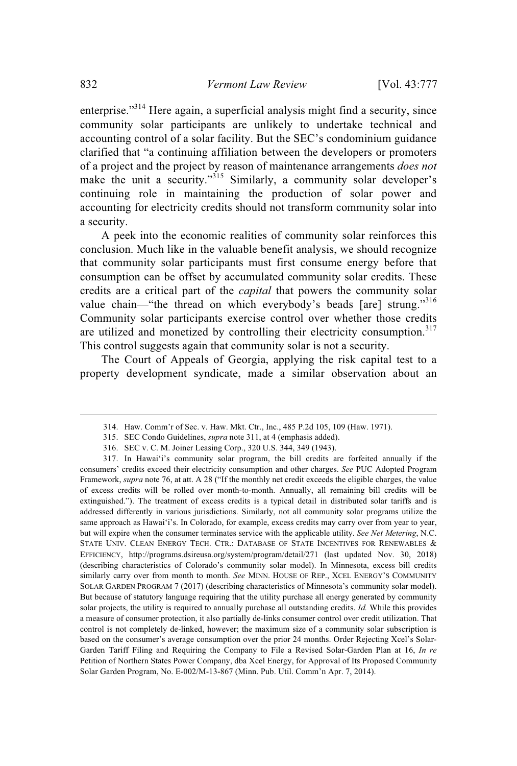enterprise."<sup>314</sup> Here again, a superficial analysis might find a security, since community solar participants are unlikely to undertake technical and accounting control of a solar facility. But the SEC's condominium guidance clarified that "a continuing affiliation between the developers or promoters of a project and the project by reason of maintenance arrangements *does not* make the unit a security."<sup>315</sup> Similarly, a community solar developer's continuing role in maintaining the production of solar power and accounting for electricity credits should not transform community solar into a security.

A peek into the economic realities of community solar reinforces this conclusion. Much like in the valuable benefit analysis, we should recognize that community solar participants must first consume energy before that consumption can be offset by accumulated community solar credits. These credits are a critical part of the *capital* that powers the community solar value chain—"the thread on which everybody's beads [are] strung."<sup>316</sup> Community solar participants exercise control over whether those credits are utilized and monetized by controlling their electricity consumption.<sup>317</sup> This control suggests again that community solar is not a security.

The Court of Appeals of Georgia, applying the risk capital test to a property development syndicate, made a similar observation about an

<sup>314.</sup> Haw. Comm'r of Sec. v. Haw. Mkt. Ctr., Inc., 485 P.2d 105, 109 (Haw. 1971).

<sup>315.</sup> SEC Condo Guidelines, *supra* note 311, at 4 (emphasis added).

<sup>316.</sup> SEC v. C. M. Joiner Leasing Corp., 320 U.S. 344, 349 (1943).

<sup>317.</sup> In Hawaiʻi's community solar program, the bill credits are forfeited annually if the consumers' credits exceed their electricity consumption and other charges. *See* PUC Adopted Program Framework, *supra* note 76, at att. A 28 ("If the monthly net credit exceeds the eligible charges, the value of excess credits will be rolled over month-to-month. Annually, all remaining bill credits will be extinguished."). The treatment of excess credits is a typical detail in distributed solar tariffs and is addressed differently in various jurisdictions. Similarly, not all community solar programs utilize the same approach as Hawaiʻi's. In Colorado, for example, excess credits may carry over from year to year, but will expire when the consumer terminates service with the applicable utility. *See Net Metering*, N.C. STATE UNIV. CLEAN ENERGY TECH. CTR.: DATABASE OF STATE INCENTIVES FOR RENEWABLES & EFFICIENCY, http://programs.dsireusa.org/system/program/detail/271 (last updated Nov. 30, 2018) (describing characteristics of Colorado's community solar model). In Minnesota, excess bill credits similarly carry over from month to month. *See* MINN. HOUSE OF REP., XCEL ENERGY'S COMMUNITY SOLAR GARDEN PROGRAM 7 (2017) (describing characteristics of Minnesota's community solar model). But because of statutory language requiring that the utility purchase all energy generated by community solar projects, the utility is required to annually purchase all outstanding credits. *Id.* While this provides a measure of consumer protection, it also partially de-links consumer control over credit utilization. That control is not completely de-linked, however; the maximum size of a community solar subscription is based on the consumer's average consumption over the prior 24 months. Order Rejecting Xcel's Solar-Garden Tariff Filing and Requiring the Company to File a Revised Solar-Garden Plan at 16, *In re* Petition of Northern States Power Company, dba Xcel Energy, for Approval of Its Proposed Community Solar Garden Program, No. E-002/M-13-867 (Minn. Pub. Util. Comm'n Apr. 7, 2014).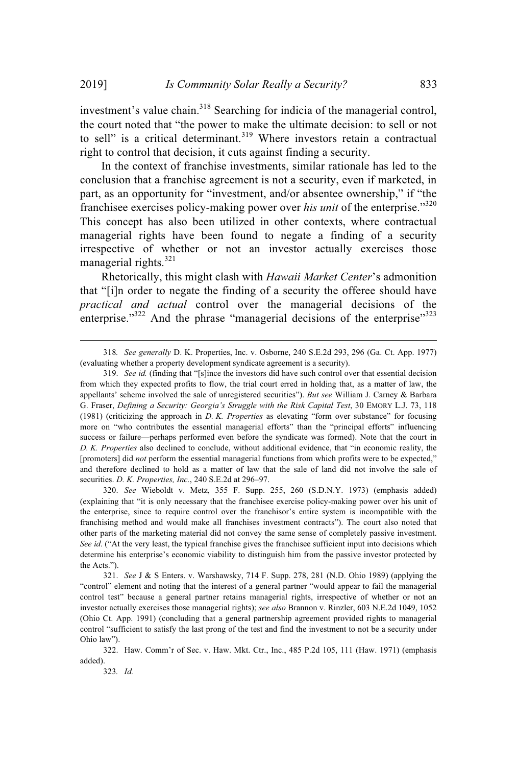investment's value chain.<sup>318</sup> Searching for indicia of the managerial control, the court noted that "the power to make the ultimate decision: to sell or not to sell" is a critical determinant.<sup>319</sup> Where investors retain a contractual right to control that decision, it cuts against finding a security.

In the context of franchise investments, similar rationale has led to the conclusion that a franchise agreement is not a security, even if marketed, in part, as an opportunity for "investment, and/or absentee ownership," if "the franchisee exercises policy-making power over *his unit* of the enterprise."<sup>320</sup> This concept has also been utilized in other contexts, where contractual managerial rights have been found to negate a finding of a security irrespective of whether or not an investor actually exercises those managerial rights.<sup>321</sup>

Rhetorically, this might clash with *Hawaii Market Center*'s admonition that "[i]n order to negate the finding of a security the offeree should have *practical and actual* control over the managerial decisions of the enterprise." $322$  And the phrase "managerial decisions of the enterprise" $323$ 

320. *See* Wieboldt v. Metz, 355 F. Supp. 255, 260 (S.D.N.Y. 1973) (emphasis added) (explaining that "it is only necessary that the franchisee exercise policy-making power over his unit of the enterprise, since to require control over the franchisor's entire system is incompatible with the franchising method and would make all franchises investment contracts"). The court also noted that other parts of the marketing material did not convey the same sense of completely passive investment. *See id.* ("At the very least, the typical franchise gives the franchisee sufficient input into decisions which determine his enterprise's economic viability to distinguish him from the passive investor protected by the Acts.").

323*. Id.*

<sup>318</sup>*. See generally* D. K. Properties, Inc. v. Osborne, 240 S.E.2d 293, 296 (Ga. Ct. App. 1977) (evaluating whether a property development syndicate agreement is a security).

<sup>319.</sup> *See id.* (finding that "[s]ince the investors did have such control over that essential decision from which they expected profits to flow, the trial court erred in holding that, as a matter of law, the appellants' scheme involved the sale of unregistered securities"). *But see* William J. Carney & Barbara G. Fraser, *Defining a Security: Georgia's Struggle with the Risk Capital Test*, 30 EMORY L.J. 73, 118 (1981) (criticizing the approach in *D. K. Properties* as elevating "form over substance" for focusing more on "who contributes the essential managerial efforts" than the "principal efforts" influencing success or failure—perhaps performed even before the syndicate was formed). Note that the court in *D. K. Properties* also declined to conclude, without additional evidence, that "in economic reality, the [promoters] did *not* perform the essential managerial functions from which profits were to be expected," and therefore declined to hold as a matter of law that the sale of land did not involve the sale of securities. *D. K. Properties, Inc.*, 240 S.E.2d at 296–97.

<sup>321.</sup> *See* J & S Enters. v. Warshawsky, 714 F. Supp. 278, 281 (N.D. Ohio 1989) (applying the "control" element and noting that the interest of a general partner "would appear to fail the managerial control test" because a general partner retains managerial rights, irrespective of whether or not an investor actually exercises those managerial rights); *see also* Brannon v. Rinzler, 603 N.E.2d 1049, 1052 (Ohio Ct. App. 1991) (concluding that a general partnership agreement provided rights to managerial control "sufficient to satisfy the last prong of the test and find the investment to not be a security under Ohio law").

<sup>322.</sup> Haw. Comm'r of Sec. v. Haw. Mkt. Ctr., Inc., 485 P.2d 105, 111 (Haw. 1971) (emphasis added).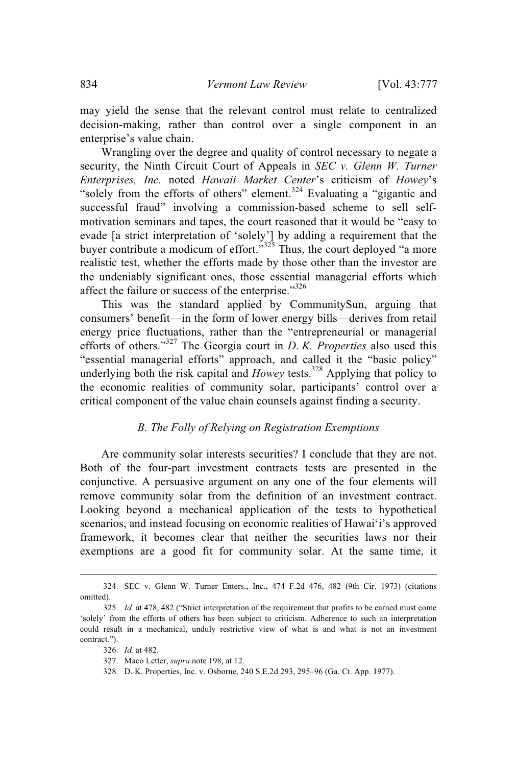may yield the sense that the relevant control must relate to centralized decision-making, rather than control over a single component in an enterprise's value chain.

Wrangling over the degree and quality of control necessary to negate a security, the Ninth Circuit Court of Appeals in *SEC v. Glenn W. Turner Enterprises, Inc.* noted *Hawaii Market Center*'s criticism of *Howey*'s "solely from the efforts of others" element.<sup>324</sup> Evaluating a "gigantic and" successful fraud" involving a commission-based scheme to sell selfmotivation seminars and tapes, the court reasoned that it would be "easy to evade [a strict interpretation of 'solely'] by adding a requirement that the buyer contribute a modicum of effort." $325$  Thus, the court deployed "a more realistic test, whether the efforts made by those other than the investor are the undeniably significant ones, those essential managerial efforts which affect the failure or success of the enterprise."<sup>326</sup>

This was the standard applied by CommunitySun, arguing that consumers' benefit—in the form of lower energy bills—derives from retail energy price fluctuations, rather than the "entrepreneurial or managerial efforts of others."<sup>327</sup> The Georgia court in *D. K. Properties* also used this "essential managerial efforts" approach, and called it the "basic policy" underlying both the risk capital and *Howey* tests.<sup>328</sup> Applying that policy to the economic realities of community solar, participants' control over a critical component of the value chain counsels against finding a security.

# *B. The Folly of Relying on Registration Exemptions*

Are community solar interests securities? I conclude that they are not. Both of the four-part investment contracts tests are presented in the conjunctive. A persuasive argument on any one of the four elements will remove community solar from the definition of an investment contract. Looking beyond a mechanical application of the tests to hypothetical scenarios, and instead focusing on economic realities of Hawaiʻi's approved framework, it becomes clear that neither the securities laws nor their exemptions are a good fit for community solar. At the same time, it

- 326. *Id.* at 482.
- 327. Maco Letter, *supra* note 198, at 12.
- 328. D. K. Properties, Inc. v. Osborne, 240 S.E.2d 293, 295–96 (Ga. Ct. App. 1977).

<sup>324.</sup> SEC v. Glenn W. Turner Enters., Inc., 474 F.2d 476, 482 (9th Cir. 1973) (citations omitted).

<sup>325.</sup> *Id.* at 478, 482 ("Strict interpretation of the requirement that profits to be earned must come 'solely' from the efforts of others has been subject to criticism. Adherence to such an interpretation could result in a mechanical, unduly restrictive view of what is and what is not an investment contract.").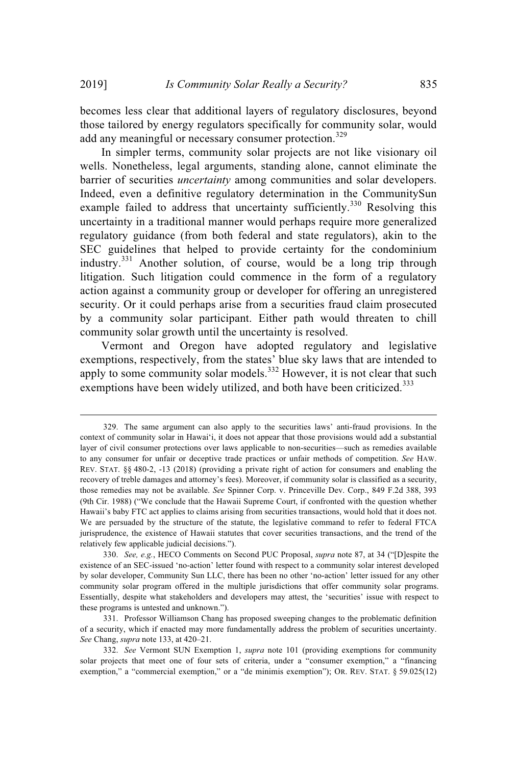becomes less clear that additional layers of regulatory disclosures, beyond those tailored by energy regulators specifically for community solar, would add any meaningful or necessary consumer protection.<sup>329</sup>

In simpler terms, community solar projects are not like visionary oil wells. Nonetheless, legal arguments, standing alone, cannot eliminate the barrier of securities *uncertainty* among communities and solar developers. Indeed, even a definitive regulatory determination in the CommunitySun example failed to address that uncertainty sufficiently.<sup>330</sup> Resolving this uncertainty in a traditional manner would perhaps require more generalized regulatory guidance (from both federal and state regulators), akin to the SEC guidelines that helped to provide certainty for the condominium industry.<sup>331</sup> Another solution, of course, would be a long trip through litigation. Such litigation could commence in the form of a regulatory action against a community group or developer for offering an unregistered security. Or it could perhaps arise from a securities fraud claim prosecuted by a community solar participant. Either path would threaten to chill community solar growth until the uncertainty is resolved.

Vermont and Oregon have adopted regulatory and legislative exemptions, respectively, from the states' blue sky laws that are intended to apply to some community solar models.<sup>332</sup> However, it is not clear that such exemptions have been widely utilized, and both have been criticized.<sup>333</sup>

<sup>329.</sup> The same argument can also apply to the securities laws' anti-fraud provisions. In the context of community solar in Hawaiʻi, it does not appear that those provisions would add a substantial layer of civil consumer protections over laws applicable to non-securities—such as remedies available to any consumer for unfair or deceptive trade practices or unfair methods of competition. *See* HAW. REV. STAT. §§ 480-2, -13 (2018) (providing a private right of action for consumers and enabling the recovery of treble damages and attorney's fees). Moreover, if community solar is classified as a security, those remedies may not be available. *See* Spinner Corp. v. Princeville Dev. Corp., 849 F.2d 388, 393 (9th Cir. 1988) ("We conclude that the Hawaii Supreme Court, if confronted with the question whether Hawaii's baby FTC act applies to claims arising from securities transactions, would hold that it does not. We are persuaded by the structure of the statute, the legislative command to refer to federal FTCA jurisprudence, the existence of Hawaii statutes that cover securities transactions, and the trend of the relatively few applicable judicial decisions.").

<sup>330.</sup> *See, e.g.*, HECO Comments on Second PUC Proposal, *supra* note 87, at 34 ("[D]espite the existence of an SEC-issued 'no-action' letter found with respect to a community solar interest developed by solar developer, Community Sun LLC, there has been no other 'no-action' letter issued for any other community solar program offered in the multiple jurisdictions that offer community solar programs. Essentially, despite what stakeholders and developers may attest, the 'securities' issue with respect to these programs is untested and unknown.").

<sup>331.</sup> Professor Williamson Chang has proposed sweeping changes to the problematic definition of a security, which if enacted may more fundamentally address the problem of securities uncertainty. *See* Chang, *supra* note 133, at 420–21.

<sup>332.</sup> *See* Vermont SUN Exemption 1, *supra* note 101 (providing exemptions for community solar projects that meet one of four sets of criteria, under a "consumer exemption," a "financing exemption," a "commercial exemption," or a "de minimis exemption"); OR. REV. STAT. § 59.025(12)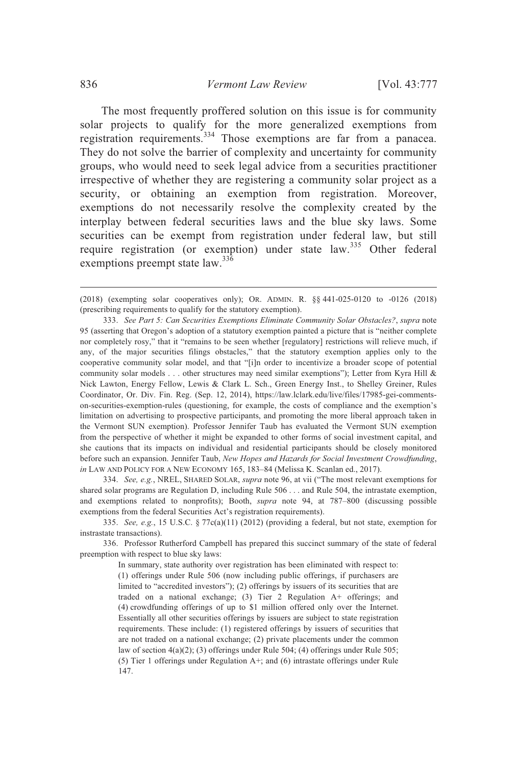The most frequently proffered solution on this issue is for community solar projects to qualify for the more generalized exemptions from registration requirements.<sup>334</sup> Those exemptions are far from a panacea. They do not solve the barrier of complexity and uncertainty for community groups, who would need to seek legal advice from a securities practitioner irrespective of whether they are registering a community solar project as a security, or obtaining an exemption from registration. Moreover, exemptions do not necessarily resolve the complexity created by the interplay between federal securities laws and the blue sky laws. Some securities can be exempt from registration under federal law, but still require registration (or exemption) under state law.<sup>335</sup> Other federal exemptions preempt state law.<sup>336</sup>

333. *See Part 5: Can Securities Exemptions Eliminate Community Solar Obstacles?*, *supra* note 95 (asserting that Oregon's adoption of a statutory exemption painted a picture that is "neither complete nor completely rosy," that it "remains to be seen whether [regulatory] restrictions will relieve much, if any, of the major securities filings obstacles," that the statutory exemption applies only to the cooperative community solar model, and that "[i]n order to incentivize a broader scope of potential community solar models . . . other structures may need similar exemptions"); Letter from Kyra Hill & Nick Lawton, Energy Fellow, Lewis & Clark L. Sch., Green Energy Inst., to Shelley Greiner, Rules Coordinator, Or. Div. Fin. Reg. (Sep. 12, 2014), https://law.lclark.edu/live/files/17985-gei-commentson-securities-exemption-rules (questioning, for example, the costs of compliance and the exemption's limitation on advertising to prospective participants, and promoting the more liberal approach taken in the Vermont SUN exemption). Professor Jennifer Taub has evaluated the Vermont SUN exemption from the perspective of whether it might be expanded to other forms of social investment capital, and she cautions that its impacts on individual and residential participants should be closely monitored before such an expansion. Jennifer Taub, *New Hopes and Hazards for Social Investment Crowdfunding*, *in* LAW AND POLICY FOR A NEW ECONOMY 165, 183–84 (Melissa K. Scanlan ed., 2017).

334. *See, e.g.*, NREL, SHARED SOLAR, *supra* note 96, at vii ("The most relevant exemptions for shared solar programs are Regulation D, including Rule 506 . . . and Rule 504, the intrastate exemption, and exemptions related to nonprofits); Booth, *supra* note 94, at 787–800 (discussing possible exemptions from the federal Securities Act's registration requirements).

335. *See, e.g.*, 15 U.S.C. § 77c(a)(11) (2012) (providing a federal, but not state, exemption for instrastate transactions).

336. Professor Rutherford Campbell has prepared this succinct summary of the state of federal preemption with respect to blue sky laws:

> In summary, state authority over registration has been eliminated with respect to: (1) offerings under Rule 506 (now including public offerings, if purchasers are limited to "accredited investors"); (2) offerings by issuers of its securities that are traded on a national exchange; (3) Tier 2 Regulation A+ offerings; and (4) crowdfunding offerings of up to \$1 million offered only over the Internet. Essentially all other securities offerings by issuers are subject to state registration requirements. These include: (1) registered offerings by issuers of securities that are not traded on a national exchange; (2) private placements under the common law of section 4(a)(2); (3) offerings under Rule 504; (4) offerings under Rule 505; (5) Tier 1 offerings under Regulation A+; and (6) intrastate offerings under Rule 147.

<sup>(2018) (</sup>exempting solar cooperatives only); OR. ADMIN. R. §§ 441-025-0120 to -0126 (2018) (prescribing requirements to qualify for the statutory exemption).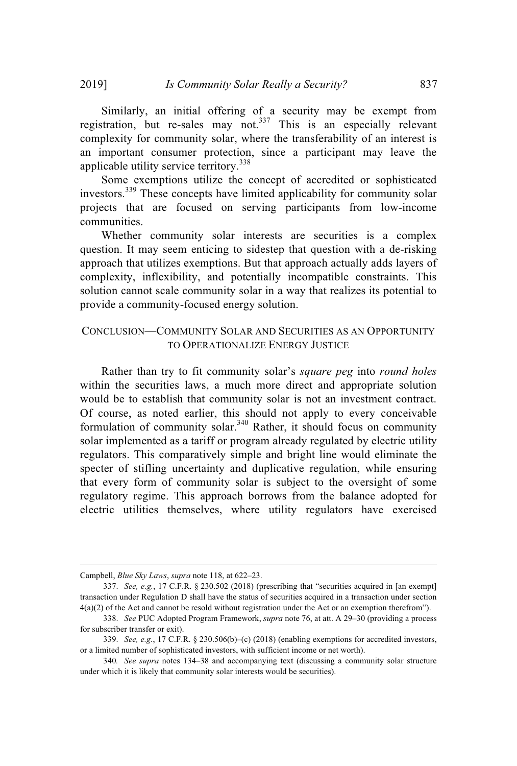Similarly, an initial offering of a security may be exempt from registration, but re-sales may not.<sup>337</sup> This is an especially relevant complexity for community solar, where the transferability of an interest is an important consumer protection, since a participant may leave the applicable utility service territory.<sup>338</sup>

Some exemptions utilize the concept of accredited or sophisticated investors.<sup>339</sup> These concepts have limited applicability for community solar projects that are focused on serving participants from low-income communities.

Whether community solar interests are securities is a complex question. It may seem enticing to sidestep that question with a de-risking approach that utilizes exemptions. But that approach actually adds layers of complexity, inflexibility, and potentially incompatible constraints. This solution cannot scale community solar in a way that realizes its potential to provide a community-focused energy solution.

# CONCLUSION—COMMUNITY SOLAR AND SECURITIES AS AN OPPORTUNITY TO OPERATIONALIZE ENERGY JUSTICE

Rather than try to fit community solar's *square peg* into *round holes* within the securities laws, a much more direct and appropriate solution would be to establish that community solar is not an investment contract. Of course, as noted earlier, this should not apply to every conceivable formulation of community solar.<sup>340</sup> Rather, it should focus on community solar implemented as a tariff or program already regulated by electric utility regulators. This comparatively simple and bright line would eliminate the specter of stifling uncertainty and duplicative regulation, while ensuring that every form of community solar is subject to the oversight of some regulatory regime. This approach borrows from the balance adopted for electric utilities themselves, where utility regulators have exercised

Campbell, *Blue Sky Laws*, *supra* note 118, at 622–23.

<sup>337.</sup> *See, e.g.*, 17 C.F.R. § 230.502 (2018) (prescribing that "securities acquired in [an exempt] transaction under Regulation D shall have the status of securities acquired in a transaction under section 4(a)(2) of the Act and cannot be resold without registration under the Act or an exemption therefrom").

<sup>338.</sup> *See* PUC Adopted Program Framework, *supra* note 76, at att. A 29–30 (providing a process for subscriber transfer or exit).

<sup>339.</sup> *See, e.g.*, 17 C.F.R. § 230.506(b)–(c) (2018) (enabling exemptions for accredited investors, or a limited number of sophisticated investors, with sufficient income or net worth).

<sup>340</sup>*. See supra* notes 134–38 and accompanying text (discussing a community solar structure under which it is likely that community solar interests would be securities).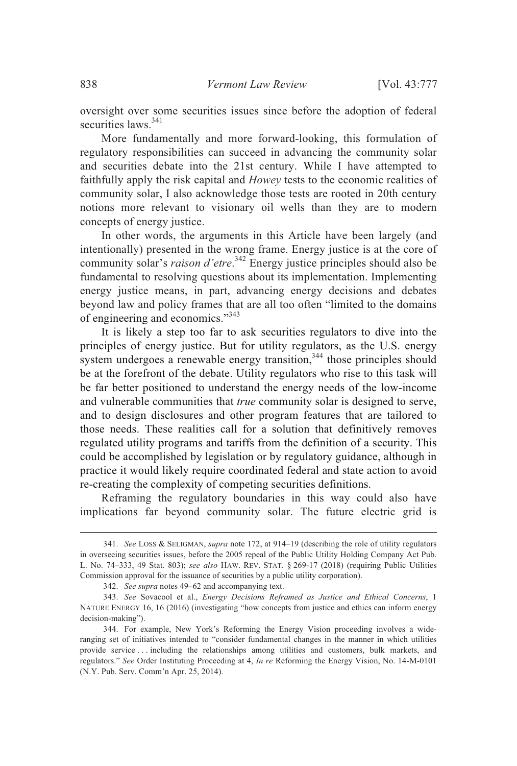oversight over some securities issues since before the adoption of federal securities laws.<sup>341</sup>

More fundamentally and more forward-looking, this formulation of regulatory responsibilities can succeed in advancing the community solar and securities debate into the 21st century. While I have attempted to faithfully apply the risk capital and *Howey* tests to the economic realities of community solar, I also acknowledge those tests are rooted in 20th century notions more relevant to visionary oil wells than they are to modern concepts of energy justice.

In other words, the arguments in this Article have been largely (and intentionally) presented in the wrong frame. Energy justice is at the core of community solar's *raison d'etre*. <sup>342</sup> Energy justice principles should also be fundamental to resolving questions about its implementation. Implementing energy justice means, in part, advancing energy decisions and debates beyond law and policy frames that are all too often "limited to the domains of engineering and economics."<sup>343</sup>

It is likely a step too far to ask securities regulators to dive into the principles of energy justice. But for utility regulators, as the U.S. energy system undergoes a renewable energy transition,<sup>344</sup> those principles should be at the forefront of the debate. Utility regulators who rise to this task will be far better positioned to understand the energy needs of the low-income and vulnerable communities that *true* community solar is designed to serve, and to design disclosures and other program features that are tailored to those needs. These realities call for a solution that definitively removes regulated utility programs and tariffs from the definition of a security. This could be accomplished by legislation or by regulatory guidance, although in practice it would likely require coordinated federal and state action to avoid re-creating the complexity of competing securities definitions.

Reframing the regulatory boundaries in this way could also have implications far beyond community solar. The future electric grid is

<sup>341.</sup> *See* LOSS & SELIGMAN, *supra* note 172, at 914–19 (describing the role of utility regulators in overseeing securities issues, before the 2005 repeal of the Public Utility Holding Company Act Pub. L. No. 74–333, 49 Stat. 803); *see also* HAW. REV. STAT. § 269-17 (2018) (requiring Public Utilities Commission approval for the issuance of securities by a public utility corporation).

<sup>342.</sup> *See supra* notes 49–62 and accompanying text.

<sup>343.</sup> *See* Sovacool et al., *Energy Decisions Reframed as Justice and Ethical Concerns*, 1 NATURE ENERGY 16, 16 (2016) (investigating "how concepts from justice and ethics can inform energy decision-making").

<sup>344.</sup> For example, New York's Reforming the Energy Vision proceeding involves a wideranging set of initiatives intended to "consider fundamental changes in the manner in which utilities provide service . . . including the relationships among utilities and customers, bulk markets, and regulators." *See* Order Instituting Proceeding at 4, *In re* Reforming the Energy Vision, No. 14-M-0101 (N.Y. Pub. Serv. Comm'n Apr. 25, 2014).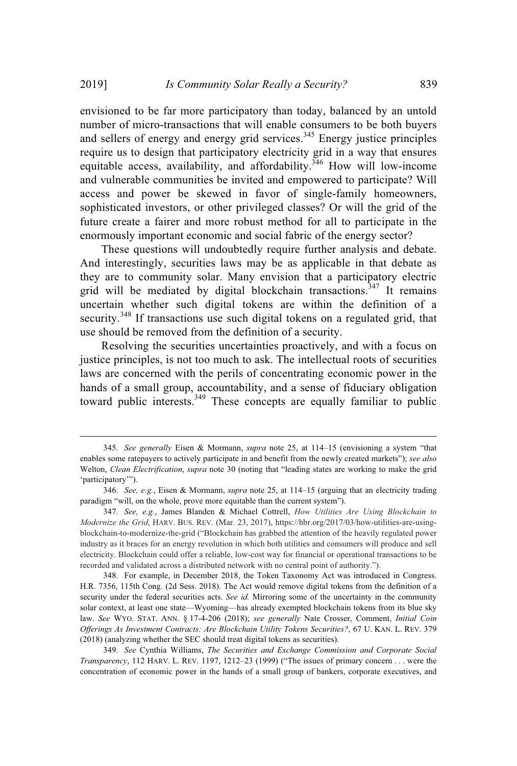envisioned to be far more participatory than today, balanced by an untold number of micro-transactions that will enable consumers to be both buyers and sellers of energy and energy grid services.<sup>345</sup> Energy justice principles require us to design that participatory electricity grid in a way that ensures equitable access, availability, and affordability.<sup>346</sup> How will low-income and vulnerable communities be invited and empowered to participate? Will access and power be skewed in favor of single-family homeowners, sophisticated investors, or other privileged classes? Or will the grid of the future create a fairer and more robust method for all to participate in the enormously important economic and social fabric of the energy sector?

These questions will undoubtedly require further analysis and debate. And interestingly, securities laws may be as applicable in that debate as they are to community solar. Many envision that a participatory electric grid will be mediated by digital blockchain transactions.<sup>347</sup> It remains uncertain whether such digital tokens are within the definition of a security.<sup>348</sup> If transactions use such digital tokens on a regulated grid, that use should be removed from the definition of a security.

Resolving the securities uncertainties proactively, and with a focus on justice principles, is not too much to ask. The intellectual roots of securities laws are concerned with the perils of concentrating economic power in the hands of a small group, accountability, and a sense of fiduciary obligation toward public interests.<sup>349</sup> These concepts are equally familiar to public

<sup>345.</sup> *See generally* Eisen & Mormann, *supra* note 25, at 114–15 (envisioning a system "that enables some ratepayers to actively participate in and benefit from the newly created markets"); *see also* Welton, *Clean Electrification*, *supra* note 30 (noting that "leading states are working to make the grid 'participatory'").

<sup>346.</sup> *See, e.g.*, Eisen & Mormann, *supra* note 25, at 114–15 (arguing that an electricity trading paradigm "will, on the whole, prove more equitable than the current system").

<sup>347.</sup> *See, e.g.*, James Blanden & Michael Cottrell, *How Utilities Are Using Blockchain to Modernize the Grid*, HARV. BUS. REV. (Mar. 23, 2017), https://hbr.org/2017/03/how-utilities-are-usingblockchain-to-modernize-the-grid ("Blockchain has grabbed the attention of the heavily regulated power industry as it braces for an energy revolution in which both utilities and consumers will produce and sell electricity. Blockchain could offer a reliable, low-cost way for financial or operational transactions to be recorded and validated across a distributed network with no central point of authority.").

<sup>348.</sup> For example, in December 2018, the Token Taxonomy Act was introduced in Congress. H.R. 7356, 115th Cong. (2d Sess. 2018). The Act would remove digital tokens from the definition of a security under the federal securities acts. *See id.* Mirroring some of the uncertainty in the community solar context, at least one state—Wyoming—has already exempted blockchain tokens from its blue sky law. *See* WYO. STAT. ANN. § 17-4-206 (2018); *see generally* Nate Crosser, Comment, *Initial Coin Offerings As Investment Contracts: Are Blockchain Utility Tokens Securities?*, 67 U. KAN. L. REV. 379 (2018) (analyzing whether the SEC should treat digital tokens as securities).

<sup>349.</sup> *See* Cynthia Williams, *The Securities and Exchange Commission and Corporate Social Transparency*, 112 HARV. L. REV. 1197, 1212–23 (1999) ("The issues of primary concern . . . were the concentration of economic power in the hands of a small group of bankers, corporate executives, and